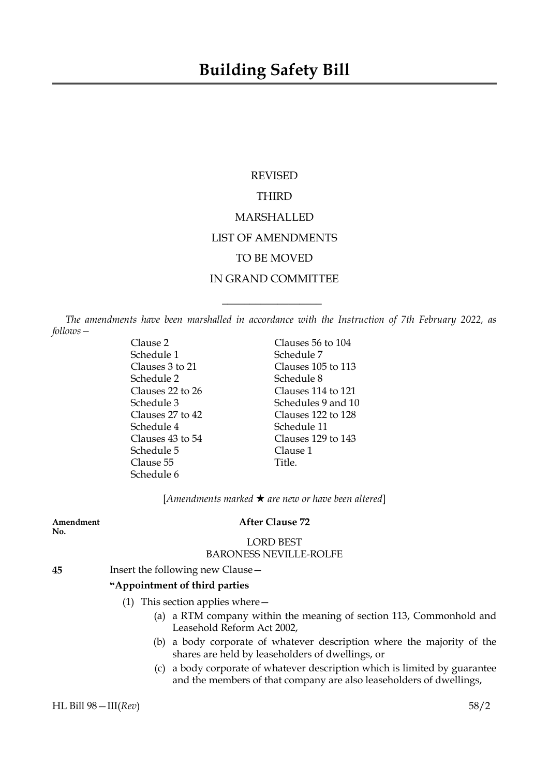# REVISED THIRD MARSHALLED LIST OF AMENDMENTS TO BE MOVED IN GRAND COMMITTEE

*The amendments have been marshalled in accordance with the Instruction of 7th February 2022, as follows—*

 $\overline{\phantom{a}}$  , where  $\overline{\phantom{a}}$ 

Schedule 1 Schedule 7 Schedule 2 Schedule 8 Schedule 4 Schedule 11 Schedule 5 Clause 1 Clause 55 Title. Schedule 6

Clause 2 Clauses 56 to 104 Clauses 3 to 21 Clauses 105 to 113 Clauses 22 to 26 Clauses 114 to 121 Schedule 3 Schedules 9 and 10 Clauses 27 to 42 Clauses 122 to 128 Clauses 43 to 54 Clauses 129 to 143

[*Amendments marked* \* *are new or have been altered*]

**No.**

# **Amendment After Clause 72**

# LORD BEST BARONESS NEVILLE-ROLFE

**45** Insert the following new Clause—

## **"Appointment of third parties**

- (1) This section applies where—
	- (a) a RTM company within the meaning of section 113, Commonhold and Leasehold Reform Act 2002,
	- (b) a body corporate of whatever description where the majority of the shares are held by leaseholders of dwellings, or
	- (c) a body corporate of whatever description which is limited by guarantee and the members of that company are also leaseholders of dwellings,

HL Bill 98—III(*Rev*) 58/2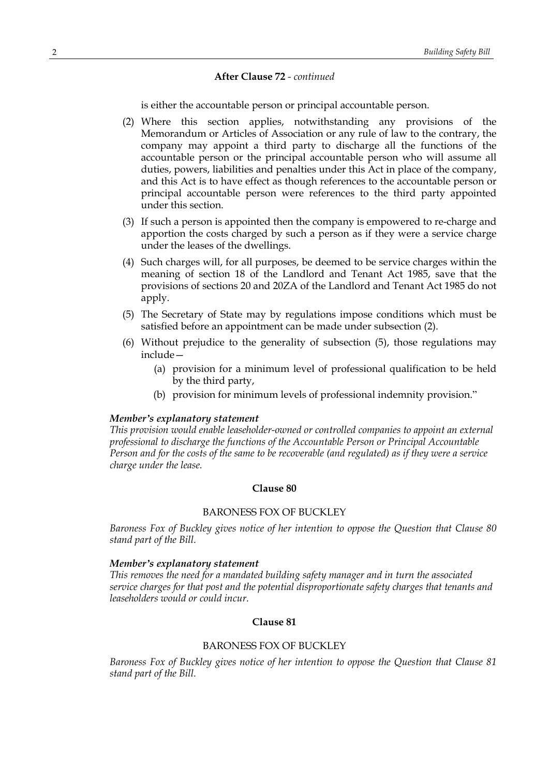# **After Clause 72** *- continued*

is either the accountable person or principal accountable person.

- (2) Where this section applies, notwithstanding any provisions of the Memorandum or Articles of Association or any rule of law to the contrary, the company may appoint a third party to discharge all the functions of the accountable person or the principal accountable person who will assume all duties, powers, liabilities and penalties under this Act in place of the company, and this Act is to have effect as though references to the accountable person or principal accountable person were references to the third party appointed under this section.
- (3) If such a person is appointed then the company is empowered to re-charge and apportion the costs charged by such a person as if they were a service charge under the leases of the dwellings.
- (4) Such charges will, for all purposes, be deemed to be service charges within the meaning of section 18 of the Landlord and Tenant Act 1985, save that the provisions of sections 20 and 20ZA of the Landlord and Tenant Act 1985 do not apply.
- (5) The Secretary of State may by regulations impose conditions which must be satisfied before an appointment can be made under subsection (2).
- (6) Without prejudice to the generality of subsection (5), those regulations may include—
	- (a) provision for a minimum level of professional qualification to be held by the third party,
	- (b) provision for minimum levels of professional indemnity provision."

## *Member's explanatory statement*

*This provision would enable leaseholder-owned or controlled companies to appoint an external professional to discharge the functions of the Accountable Person or Principal Accountable* Person and for the costs of the same to be recoverable (and regulated) as if they were a service *charge under the lease.*

#### **Clause 80**

## BARONESS FOX OF BUCKLEY

*Baroness Fox of Buckley gives notice of her intention to oppose the Question that Clause 80 stand part of the Bill.*

#### *Member's explanatory statement*

*This removes the need for a mandated building safety manager and in turn the associated service charges for that post and the potential disproportionate safety charges that tenants and leaseholders would or could incur.*

# **Clause 81**

## BARONESS FOX OF BUCKLEY

*Baroness Fox of Buckley gives notice of her intention to oppose the Question that Clause 81 stand part of the Bill.*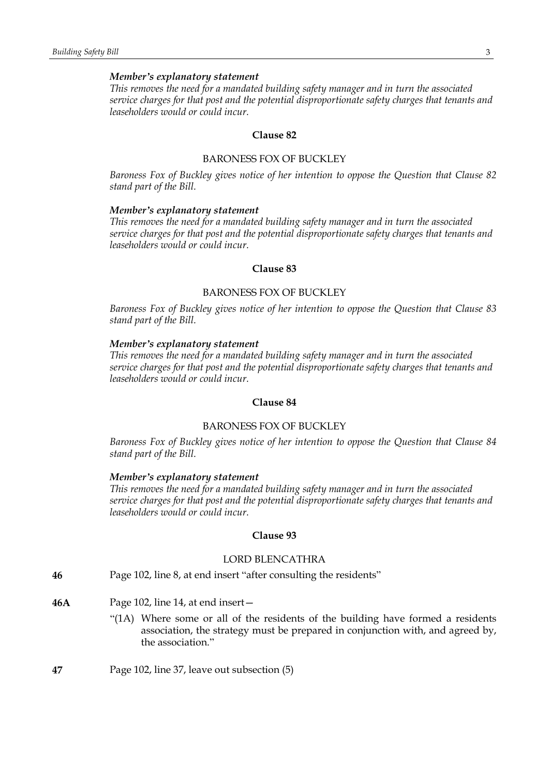## *Member's explanatory statement*

*This removes the need for a mandated building safety manager and in turn the associated service charges for that post and the potential disproportionate safety charges that tenants and leaseholders would or could incur.*

#### **Clause 82**

# BARONESS FOX OF BUCKLEY

*Baroness Fox of Buckley gives notice of her intention to oppose the Question that Clause 82 stand part of the Bill.*

#### *Member's explanatory statement*

*This removes the need for a mandated building safety manager and in turn the associated service charges for that post and the potential disproportionate safety charges that tenants and leaseholders would or could incur.*

## **Clause 83**

## BARONESS FOX OF BUCKLEY

*Baroness Fox of Buckley gives notice of her intention to oppose the Question that Clause 83 stand part of the Bill.*

# *Member's explanatory statement*

*This removes the need for a mandated building safety manager and in turn the associated service charges for that post and the potential disproportionate safety charges that tenants and leaseholders would or could incur.*

## **Clause 84**

# BARONESS FOX OF BUCKLEY

*Baroness Fox of Buckley gives notice of her intention to oppose the Question that Clause 84 stand part of the Bill.*

#### *Member's explanatory statement*

*This removes the need for a mandated building safety manager and in turn the associated service charges for that post and the potential disproportionate safety charges that tenants and leaseholders would or could incur.*

#### **Clause 93**

# LORD BLENCATHRA

- **46** Page 102, line 8, at end insert "after consulting the residents"
- **46A** Page 102, line 14, at end insert—
	- "(1A) Where some or all of the residents of the building have formed a residents association, the strategy must be prepared in conjunction with, and agreed by, the association."
- **47** Page 102, line 37, leave out subsection (5)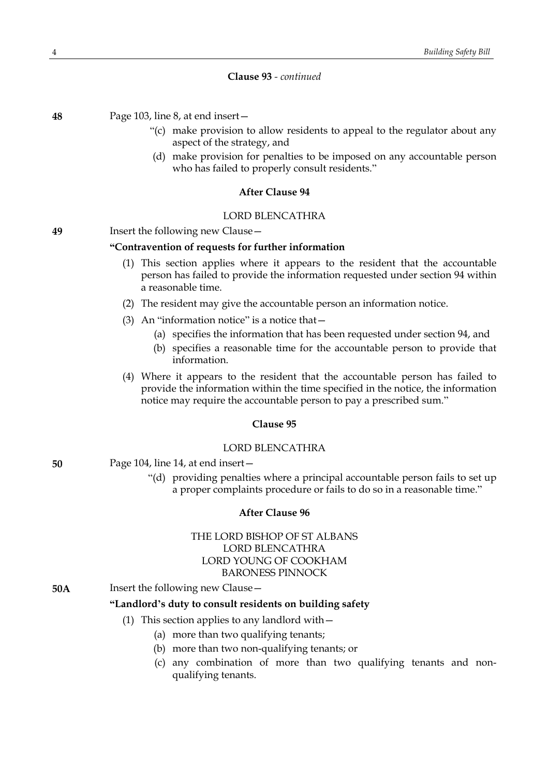# **Clause 93** *- continued*

**48** Page 103, line 8, at end insert—

- "(c) make provision to allow residents to appeal to the regulator about any aspect of the strategy, and
- (d) make provision for penalties to be imposed on any accountable person who has failed to properly consult residents."

# **After Clause 94**

## LORD BLENCATHRA

# **49** Insert the following new Clause—

## **"Contravention of requests for further information**

- (1) This section applies where it appears to the resident that the accountable person has failed to provide the information requested under section 94 within a reasonable time.
- (2) The resident may give the accountable person an information notice.
- (3) An "information notice" is a notice that—
	- (a) specifies the information that has been requested under section 94, and
	- (b) specifies a reasonable time for the accountable person to provide that information.
- (4) Where it appears to the resident that the accountable person has failed to provide the information within the time specified in the notice, the information notice may require the accountable person to pay a prescribed sum."

## **Clause 95**

## LORD BLENCATHRA

- **50** Page 104, line 14, at end insert—
	- "(d) providing penalties where a principal accountable person fails to set up a proper complaints procedure or fails to do so in a reasonable time."

#### **After Clause 96**

# THE LORD BISHOP OF ST ALBANS LORD BLENCATHRA LORD YOUNG OF COOKHAM BARONESS PINNOCK

**50A** Insert the following new Clause -

# **"Landlord's duty to consult residents on building safety**

# (1) This section applies to any landlord with—

- (a) more than two qualifying tenants;
- (b) more than two non-qualifying tenants; or
- (c) any combination of more than two qualifying tenants and nonqualifying tenants.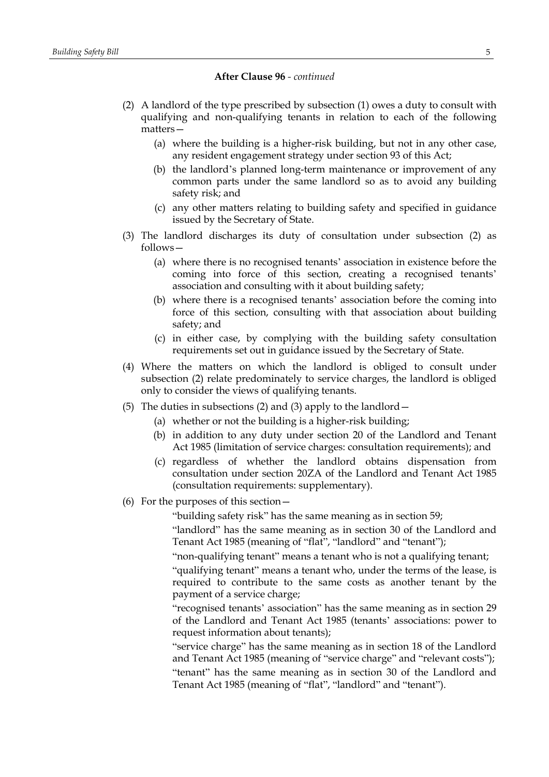## **After Clause 96** *- continued*

- (2) A landlord of the type prescribed by subsection (1) owes a duty to consult with qualifying and non-qualifying tenants in relation to each of the following matters—
	- (a) where the building is a higher-risk building, but not in any other case, any resident engagement strategy under section 93 of this Act;
	- (b) the landlord's planned long-term maintenance or improvement of any common parts under the same landlord so as to avoid any building safety risk; and
	- (c) any other matters relating to building safety and specified in guidance issued by the Secretary of State.
- (3) The landlord discharges its duty of consultation under subsection (2) as follows—
	- (a) where there is no recognised tenants' association in existence before the coming into force of this section, creating a recognised tenants' association and consulting with it about building safety;
	- (b) where there is a recognised tenants' association before the coming into force of this section, consulting with that association about building safety; and
	- (c) in either case, by complying with the building safety consultation requirements set out in guidance issued by the Secretary of State.
- (4) Where the matters on which the landlord is obliged to consult under subsection (2) relate predominately to service charges, the landlord is obliged only to consider the views of qualifying tenants.
- (5) The duties in subsections (2) and (3) apply to the landlord—
	- (a) whether or not the building is a higher-risk building;
	- (b) in addition to any duty under section 20 of the Landlord and Tenant Act 1985 (limitation of service charges: consultation requirements); and
	- (c) regardless of whether the landlord obtains dispensation from consultation under section 20ZA of the Landlord and Tenant Act 1985 (consultation requirements: supplementary).
- (6) For the purposes of this section—

"building safety risk" has the same meaning as in section 59;

"landlord" has the same meaning as in section 30 of the Landlord and Tenant Act 1985 (meaning of "flat", "landlord" and "tenant");

"non-qualifying tenant" means a tenant who is not a qualifying tenant;

"qualifying tenant" means a tenant who, under the terms of the lease, is required to contribute to the same costs as another tenant by the payment of a service charge;

"recognised tenants' association" has the same meaning as in section 29 of the Landlord and Tenant Act 1985 (tenants' associations: power to request information about tenants);

"service charge" has the same meaning as in section 18 of the Landlord and Tenant Act 1985 (meaning of "service charge" and "relevant costs"); "tenant" has the same meaning as in section 30 of the Landlord and Tenant Act 1985 (meaning of "flat", "landlord" and "tenant").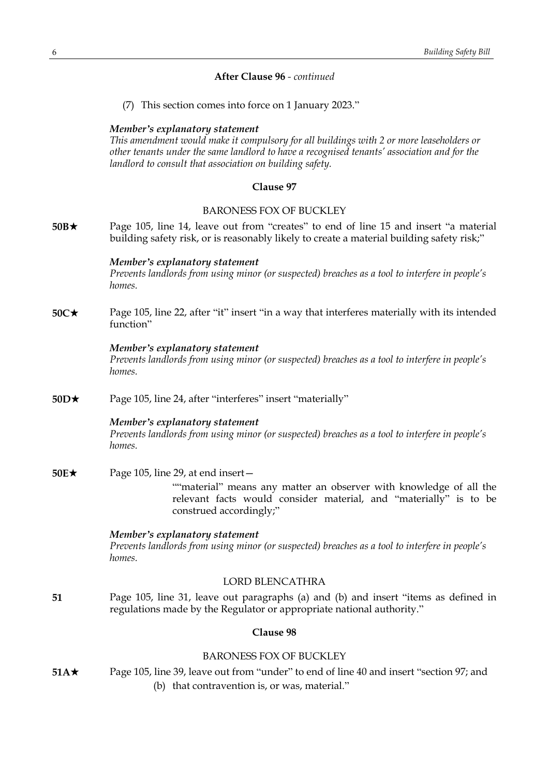# **After Clause 96** *- continued*

(7) This section comes into force on 1 January 2023."

## *Member's explanatory statement*

*This amendment would make it compulsory for all buildings with 2 or more leaseholders or other tenants under the same landlord to have a recognised tenants' association and for the landlord to consult that association on building safety.*

# **Clause 97**

## BARONESS FOX OF BUCKLEY

**50B**\* Page 105, line 14, leave out from "creates" to end of line 15 and insert "a material building safety risk, or is reasonably likely to create a material building safety risk;"

#### *Member's explanatory statement*

*Prevents landlords from using minor (or suspected) breaches as a tool to interfere in people's homes.*

**50C★** Page 105, line 22, after "it" insert "in a way that interferes materially with its intended function"

## *Member's explanatory statement*

*Prevents landlords from using minor (or suspected) breaches as a tool to interfere in people's homes.*

**50D**★ Page 105, line 24, after "interferes" insert "materially"

#### *Member's explanatory statement*

*Prevents landlords from using minor (or suspected) breaches as a tool to interfere in people's homes.*

**50E**★ Page 105, line 29, at end insert —

""material" means any matter an observer with knowledge of all the relevant facts would consider material, and "materially" is to be construed accordingly;"

## *Member's explanatory statement Prevents landlords from using minor (or suspected) breaches as a tool to interfere in people's homes.*

## LORD BLENCATHRA

**51** Page 105, line 31, leave out paragraphs (a) and (b) and insert "items as defined in regulations made by the Regulator or appropriate national authority."

# **Clause 98**

## BARONESS FOX OF BUCKLEY

**51A**\* Page 105, line 39, leave out from "under" to end of line 40 and insert "section 97; and (b) that contravention is, or was, material."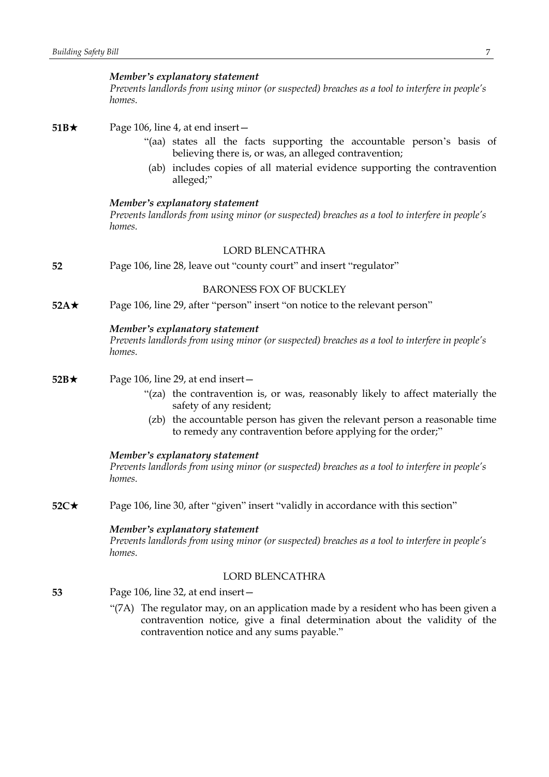#### *Member's explanatory statement*

*Prevents landlords from using minor (or suspected) breaches as a tool to interfere in people's homes.*

**51B** $\star$  Page 106, line 4, at end insert-

- "(aa) states all the facts supporting the accountable person's basis of believing there is, or was, an alleged contravention;
- (ab) includes copies of all material evidence supporting the contravention alleged;"

#### *Member's explanatory statement*

*Prevents landlords from using minor (or suspected) breaches as a tool to interfere in people's homes.*

# LORD BLENCATHRA

**52** Page 106, line 28, leave out "county court" and insert "regulator"

## BARONESS FOX OF BUCKLEY

**52A**\* Page 106, line 29, after "person" insert "on notice to the relevant person"

## *Member's explanatory statement*

*Prevents landlords from using minor (or suspected) breaches as a tool to interfere in people's homes.*

## **52B**★ Page 106, line 29, at end insert —

- "(za) the contravention is, or was, reasonably likely to affect materially the safety of any resident;
- (zb) the accountable person has given the relevant person a reasonable time to remedy any contravention before applying for the order;"

#### *Member's explanatory statement*

*Prevents landlords from using minor (or suspected) breaches as a tool to interfere in people's homes.*

**52C**★ Page 106, line 30, after "given" insert "validly in accordance with this section"

# *Member's explanatory statement*

*Prevents landlords from using minor (or suspected) breaches as a tool to interfere in people's homes.*

## LORD BLENCATHRA

- **53** Page 106, line 32, at end insert—
	- "(7A) The regulator may, on an application made by a resident who has been given a contravention notice, give a final determination about the validity of the contravention notice and any sums payable."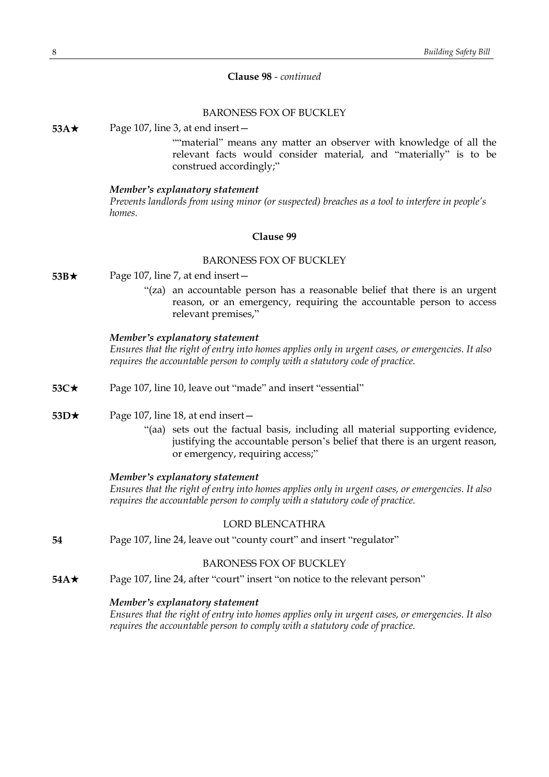# **Clause 98** *- continued*

# BARONESS FOX OF BUCKLEY

**53A**★ Page 107, line 3, at end insert —

""material" means any matter an observer with knowledge of all the relevant facts would consider material, and "materially" is to be construed accordingly;"

#### *Member's explanatory statement*

*Prevents landlords from using minor (or suspected) breaches as a tool to interfere in people's homes.*

## **Clause 99**

## BARONESS FOX OF BUCKLEY

- **53B**★ Page 107, line 7, at end insert
	- "(za) an accountable person has a reasonable belief that there is an urgent reason, or an emergency, requiring the accountable person to access relevant premises,"

# *Member's explanatory statement*

*Ensures that the right of entry into homes applies only in urgent cases, or emergencies. It also requires the accountable person to comply with a statutory code of practice.*

- **53C★** Page 107, line 10, leave out "made" and insert "essential"
- **53D**★ Page 107, line 18, at end insert
	- "(aa) sets out the factual basis, including all material supporting evidence, justifying the accountable person's belief that there is an urgent reason, or emergency, requiring access;"

#### *Member's explanatory statement*

*Ensures that the right of entry into homes applies only in urgent cases, or emergencies. It also requires the accountable person to comply with a statutory code of practice.*

#### LORD BLENCATHRA

**54** Page 107, line 24, leave out "county court" and insert "regulator"

#### BARONESS FOX OF BUCKLEY

**54A**★ Page 107, line 24, after "court" insert "on notice to the relevant person"

#### *Member's explanatory statement*

*Ensures that the right of entry into homes applies only in urgent cases, or emergencies. It also requires the accountable person to comply with a statutory code of practice.*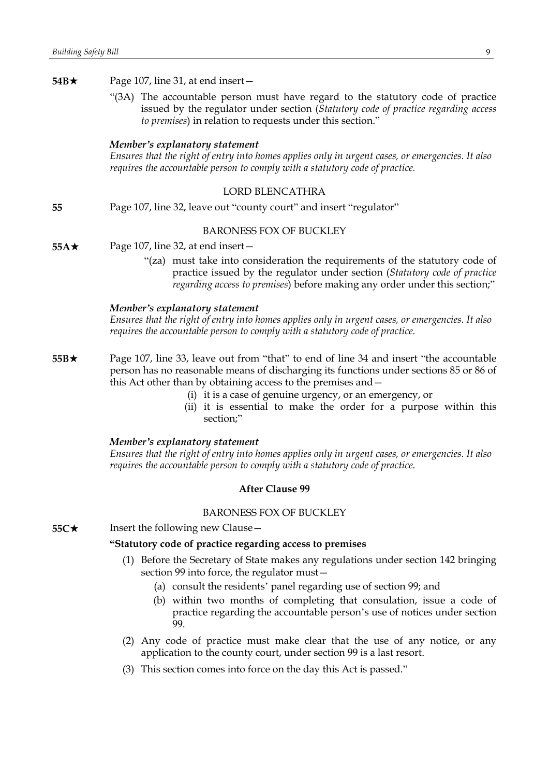| 54B $\star$ | Page 107, line 31, at end insert -                                                                                                                                                                                                                                                                                                                                                             |
|-------------|------------------------------------------------------------------------------------------------------------------------------------------------------------------------------------------------------------------------------------------------------------------------------------------------------------------------------------------------------------------------------------------------|
|             | "(3A) The accountable person must have regard to the statutory code of practice<br>issued by the regulator under section (Statutory code of practice regarding access<br>to premises) in relation to requests under this section."                                                                                                                                                             |
|             | Member's explanatory statement<br>Ensures that the right of entry into homes applies only in urgent cases, or emergencies. It also<br>requires the accountable person to comply with a statutory code of practice.                                                                                                                                                                             |
|             | <b>LORD BLENCATHRA</b>                                                                                                                                                                                                                                                                                                                                                                         |
| 55          | Page 107, line 32, leave out "county court" and insert "regulator"                                                                                                                                                                                                                                                                                                                             |
|             | <b>BARONESS FOX OF BUCKLEY</b>                                                                                                                                                                                                                                                                                                                                                                 |
| $55A\star$  | Page 107, line 32, at end insert-                                                                                                                                                                                                                                                                                                                                                              |
|             | "(za) must take into consideration the requirements of the statutory code of<br>practice issued by the regulator under section (Statutory code of practice<br>regarding access to premises) before making any order under this section;"                                                                                                                                                       |
|             | Member's explanatory statement<br>Ensures that the right of entry into homes applies only in urgent cases, or emergencies. It also<br>requires the accountable person to comply with a statutory code of practice.                                                                                                                                                                             |
| $55B\star$  | Page 107, line 33, leave out from "that" to end of line 34 and insert "the accountable<br>person has no reasonable means of discharging its functions under sections 85 or 86 of<br>this Act other than by obtaining access to the premises and -<br>(i) it is a case of genuine urgency, or an emergency, or<br>(ii) it is essential to make the order for a purpose within this<br>section;" |
|             | Member's explanatory statement<br>Ensures that the right of entry into homes applies only in urgent cases, or emergencies. It also<br>requires the accountable person to comply with a statutory code of practice.                                                                                                                                                                             |
|             | <b>After Clause 99</b>                                                                                                                                                                                                                                                                                                                                                                         |
|             | <b>BARONESS FOX OF BUCKLEY</b>                                                                                                                                                                                                                                                                                                                                                                 |
| $55C\star$  | Insert the following new Clause -                                                                                                                                                                                                                                                                                                                                                              |
|             | "Statutory code of practice regarding access to premises                                                                                                                                                                                                                                                                                                                                       |
|             | (1) Before the Secretary of State makes any regulations under section 142 bringing<br>section 99 into force, the regulator must-                                                                                                                                                                                                                                                               |
|             | (a) consult the residents' panel regarding use of section 99; and<br>(b) within two months of completing that consulation, issue a code of<br>practice regarding the accountable person's use of notices under section<br>99.                                                                                                                                                                  |
|             | (2) Any code of practice must make clear that the use of any notice, or any<br>application to the county court, under section 99 is a last resort.                                                                                                                                                                                                                                             |

(3) This section comes into force on the day this Act is passed."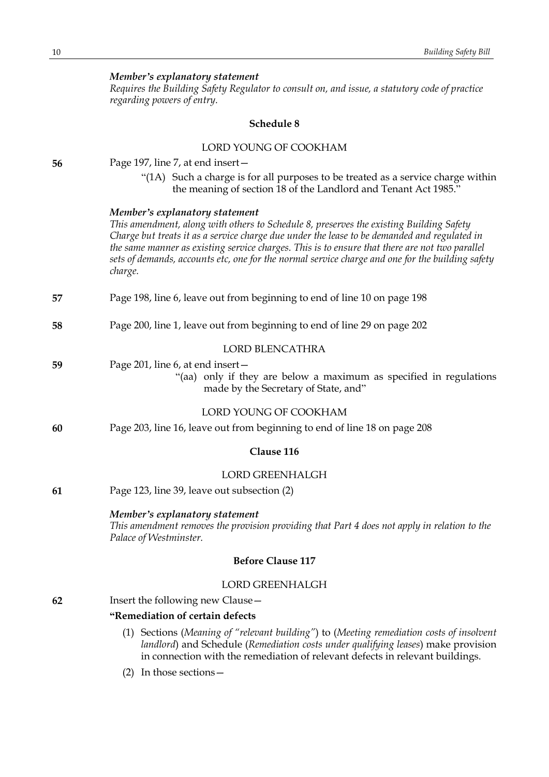| Member's explanatory statement                                                                |
|-----------------------------------------------------------------------------------------------|
| Requires the Building Safety Regulator to consult on, and issue, a statutory code of practice |
| regarding powers of entry.                                                                    |
|                                                                                               |
| Schedule 8                                                                                    |
|                                                                                               |
|                                                                                               |

|    | LORD YOUNG OF COOKHAM                                                                                                                                                                                                                                                                                                                                                                                                                      |
|----|--------------------------------------------------------------------------------------------------------------------------------------------------------------------------------------------------------------------------------------------------------------------------------------------------------------------------------------------------------------------------------------------------------------------------------------------|
| 56 | Page 197, line 7, at end insert -                                                                                                                                                                                                                                                                                                                                                                                                          |
|    | "(1A) Such a charge is for all purposes to be treated as a service charge within<br>the meaning of section 18 of the Landlord and Tenant Act 1985."                                                                                                                                                                                                                                                                                        |
|    | Member's explanatory statement<br>This amendment, along with others to Schedule 8, preserves the existing Building Safety<br>Charge but treats it as a service charge due under the lease to be demanded and regulated in<br>the same manner as existing service charges. This is to ensure that there are not two parallel<br>sets of demands, accounts etc, one for the normal service charge and one for the building safety<br>charge. |
| 57 | Page 198, line 6, leave out from beginning to end of line 10 on page 198                                                                                                                                                                                                                                                                                                                                                                   |
| 58 | Page 200, line 1, leave out from beginning to end of line 29 on page 202                                                                                                                                                                                                                                                                                                                                                                   |
|    | <b>LORD BLENCATHRA</b>                                                                                                                                                                                                                                                                                                                                                                                                                     |
| 59 | Page 201, line 6, at end insert-<br>"(aa) only if they are below a maximum as specified in regulations<br>made by the Secretary of State, and"                                                                                                                                                                                                                                                                                             |
|    | LORD YOUNG OF COOKHAM                                                                                                                                                                                                                                                                                                                                                                                                                      |
| 60 | Page 203, line 16, leave out from beginning to end of line 18 on page 208                                                                                                                                                                                                                                                                                                                                                                  |
|    | Clause 116                                                                                                                                                                                                                                                                                                                                                                                                                                 |
|    | <b>LORD GREENHALGH</b>                                                                                                                                                                                                                                                                                                                                                                                                                     |
| 61 | Page 123, line 39, leave out subsection (2)                                                                                                                                                                                                                                                                                                                                                                                                |
|    | Member's explanatory statement<br>This amendment removes the provision providing that Part 4 does not apply in relation to the<br>Palace of Westminster.                                                                                                                                                                                                                                                                                   |
|    | <b>Before Clause 117</b>                                                                                                                                                                                                                                                                                                                                                                                                                   |
|    | <b>LORD GREENHALGH</b>                                                                                                                                                                                                                                                                                                                                                                                                                     |
| 62 | Insert the following new Clause -                                                                                                                                                                                                                                                                                                                                                                                                          |
|    | "Remediation of certain defects                                                                                                                                                                                                                                                                                                                                                                                                            |
|    | (1) Sections (Meaning of "relevant building") to (Meeting remediation costs of insolvent<br>landlord) and Schedule (Remediation costs under qualifying leases) make provision<br>in connection with the remediation of relevant defects in relevant buildings.                                                                                                                                                                             |

(2) In those sections—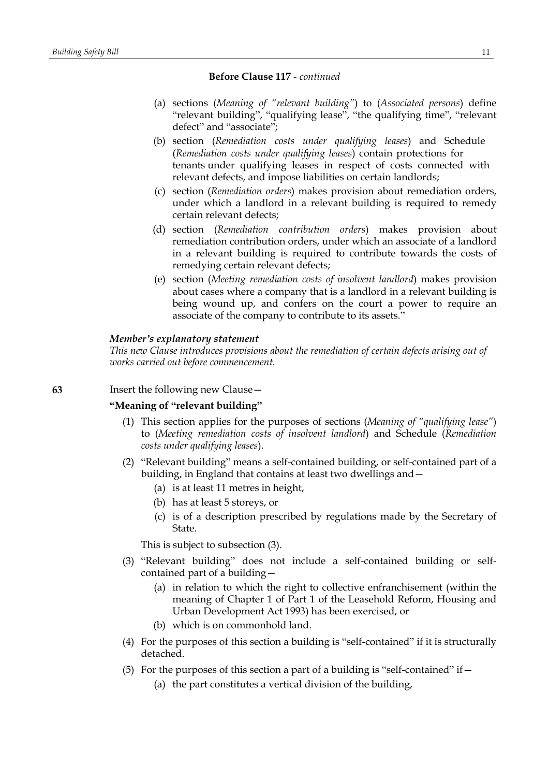- (a) sections (*Meaning of "relevant building"*) to (*Associated persons*) define "relevant building", "qualifying lease", "the qualifying time", "relevant defect" and "associate";
- (b) section (*Remediation costs under qualifying leases*) and Schedule (*Remediation costs under qualifying leases*) contain protections for tenants under qualifying leases in respect of costs connected with relevant defects, and impose liabilities on certain landlords;
- (c) section (*Remediation orders*) makes provision about remediation orders, under which a landlord in a relevant building is required to remedy certain relevant defects;
- (d) section (*Remediation contribution orders*) makes provision about remediation contribution orders, under which an associate of a landlord in a relevant building is required to contribute towards the costs of remedying certain relevant defects;
- (e) section (*Meeting remediation costs of insolvent landlord*) makes provision about cases where a company that is a landlord in a relevant building is being wound up, and confers on the court a power to require an associate of the company to contribute to its assets."

## *Member's explanatory statement*

*This new Clause introduces provisions about the remediation of certain defects arising out of works carried out before commencement.*

## **63** Insert the following new Clause—

## **"Meaning of "relevant building"**

- (1) This section applies for the purposes of sections (*Meaning of "qualifying lease"*) to (*Meeting remediation costs of insolvent landlord*) and Schedule (*Remediation costs under qualifying leases*).
- (2) "Relevant building" means a self-contained building, or self-contained part of a building, in England that contains at least two dwellings and—
	- (a) is at least 11 metres in height,
	- (b) has at least 5 storeys, or
	- (c) is of a description prescribed by regulations made by the Secretary of State.

This is subject to subsection (3).

- (3) "Relevant building" does not include a self-contained building or selfcontained part of a building—
	- (a) in relation to which the right to collective enfranchisement (within the meaning of Chapter 1 of Part 1 of the Leasehold Reform, Housing and Urban Development Act 1993) has been exercised, or
	- (b) which is on commonhold land.
- (4) For the purposes of this section a building is "self-contained" if it is structurally detached.
- (5) For the purposes of this section a part of a building is "self-contained" if  $-$ 
	- (a) the part constitutes a vertical division of the building,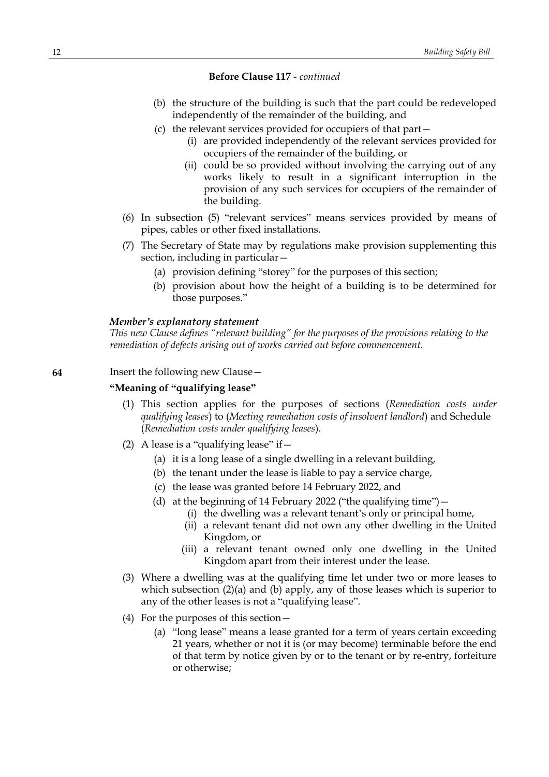- (b) the structure of the building is such that the part could be redeveloped independently of the remainder of the building, and
- (c) the relevant services provided for occupiers of that part—
	- (i) are provided independently of the relevant services provided for occupiers of the remainder of the building, or
	- (ii) could be so provided without involving the carrying out of any works likely to result in a significant interruption in the provision of any such services for occupiers of the remainder of the building.
- (6) In subsection (5) "relevant services" means services provided by means of pipes, cables or other fixed installations.
- (7) The Secretary of State may by regulations make provision supplementing this section, including in particular—
	- (a) provision defining "storey" for the purposes of this section;
	- (b) provision about how the height of a building is to be determined for those purposes."

#### *Member's explanatory statement*

*This new Clause defines "relevant building" for the purposes of the provisions relating to the remediation of defects arising out of works carried out before commencement.*

**64** Insert the following new Clause—

## **"Meaning of "qualifying lease"**

- (1) This section applies for the purposes of sections (*Remediation costs under qualifying leases*) to (*Meeting remediation costs of insolvent landlord*) and Schedule (*Remediation costs under qualifying leases*).
- (2) A lease is a "qualifying lease" if  $-$ 
	- (a) it is a long lease of a single dwelling in a relevant building,
	- (b) the tenant under the lease is liable to pay a service charge,
	- (c) the lease was granted before 14 February 2022, and
	- (d) at the beginning of 14 February 2022 ("the qualifying time")—
		- (i) the dwelling was a relevant tenant's only or principal home,
		- (ii) a relevant tenant did not own any other dwelling in the United Kingdom, or
		- (iii) a relevant tenant owned only one dwelling in the United Kingdom apart from their interest under the lease.
- (3) Where a dwelling was at the qualifying time let under two or more leases to which subsection (2)(a) and (b) apply, any of those leases which is superior to any of the other leases is not a "qualifying lease".
- (4) For the purposes of this section—
	- (a) "long lease" means a lease granted for a term of years certain exceeding 21 years, whether or not it is (or may become) terminable before the end of that term by notice given by or to the tenant or by re-entry, forfeiture or otherwise;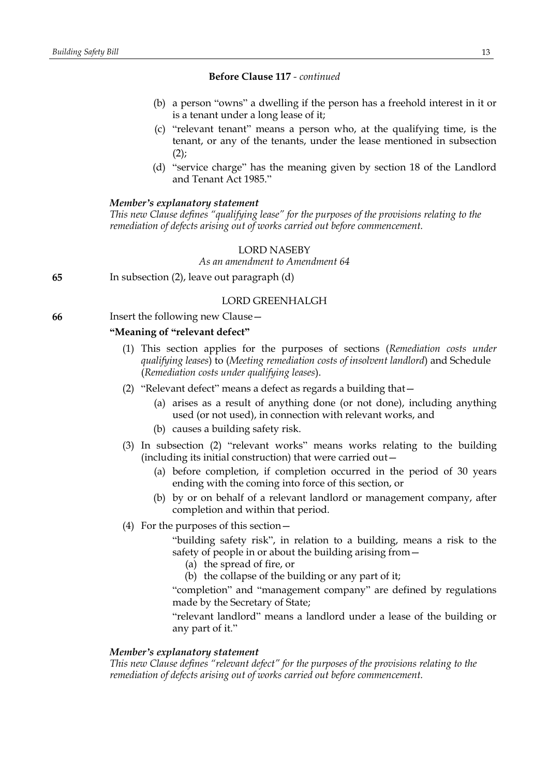- (b) a person "owns" a dwelling if the person has a freehold interest in it or is a tenant under a long lease of it;
- (c) "relevant tenant" means a person who, at the qualifying time, is the tenant, or any of the tenants, under the lease mentioned in subsection  $(2)$ ;
- (d) "service charge" has the meaning given by section 18 of the Landlord and Tenant Act 1985."

## *Member's explanatory statement*

*This new Clause defines "qualifying lease" for the purposes of the provisions relating to the remediation of defects arising out of works carried out before commencement.*

## LORD NASEBY

*As an amendment to Amendment 64*

**65** In subsection (2), leave out paragraph (d)

## LORD GREENHALGH

**66** Insert the following new Clause—

#### **"Meaning of "relevant defect"**

- (1) This section applies for the purposes of sections (*Remediation costs under qualifying leases*) to (*Meeting remediation costs of insolvent landlord*) and Schedule (*Remediation costs under qualifying leases*).
- (2) "Relevant defect" means a defect as regards a building that—
	- (a) arises as a result of anything done (or not done), including anything used (or not used), in connection with relevant works, and
	- (b) causes a building safety risk.
- (3) In subsection (2) "relevant works" means works relating to the building (including its initial construction) that were carried out—
	- (a) before completion, if completion occurred in the period of 30 years ending with the coming into force of this section, or
	- (b) by or on behalf of a relevant landlord or management company, after completion and within that period.
- (4) For the purposes of this section—

"building safety risk", in relation to a building, means a risk to the safety of people in or about the building arising from—

- (a) the spread of fire, or
- (b) the collapse of the building or any part of it;

"completion" and "management company" are defined by regulations made by the Secretary of State;

"relevant landlord" means a landlord under a lease of the building or any part of it."

## *Member's explanatory statement*

*This new Clause defines "relevant defect" for the purposes of the provisions relating to the remediation of defects arising out of works carried out before commencement.*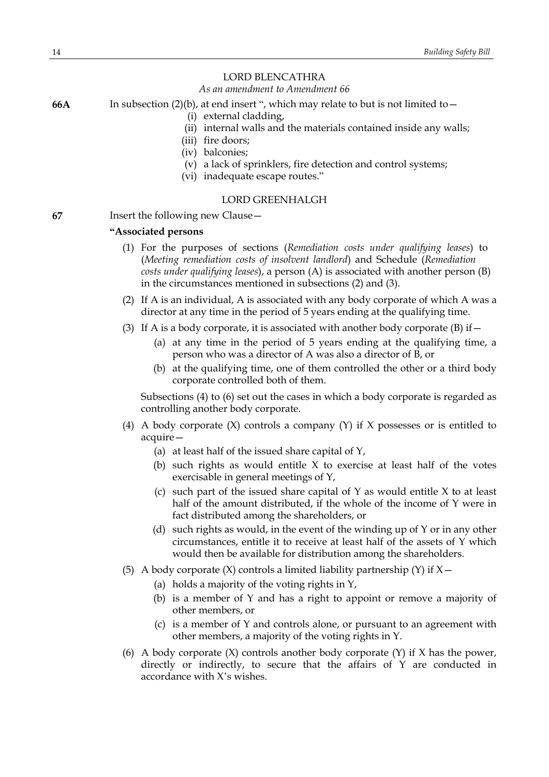# LORD BLENCATHRA

## *As an amendment to Amendment 66*

**66A** In subsection (2)(b), at end insert ", which may relate to but is not limited to—

- (i) external cladding,
- (ii) internal walls and the materials contained inside any walls;
- (iii) fire doors;
- (iv) balconies;
- (v) a lack of sprinklers, fire detection and control systems;
- (vi) inadequate escape routes."

## LORD GREENHALGH

**67** Insert the following new Clause—

# **"Associated persons**

- (1) For the purposes of sections (*Remediation costs under qualifying leases*) to (*Meeting remediation costs of insolvent landlord*) and Schedule (*Remediation costs under qualifying leases*), a person (A) is associated with another person (B) in the circumstances mentioned in subsections (2) and (3).
- (2) If A is an individual, A is associated with any body corporate of which A was a director at any time in the period of 5 years ending at the qualifying time.
- (3) If A is a body corporate, it is associated with another body corporate (B) if  $-$ 
	- (a) at any time in the period of 5 years ending at the qualifying time, a person who was a director of A was also a director of B, or
	- (b) at the qualifying time, one of them controlled the other or a third body corporate controlled both of them.

Subsections (4) to (6) set out the cases in which a body corporate is regarded as controlling another body corporate.

- (4) A body corporate  $(X)$  controls a company  $(Y)$  if X possesses or is entitled to acquire—
	- (a) at least half of the issued share capital of Y,
	- (b) such rights as would entitle  $X$  to exercise at least half of the votes exercisable in general meetings of Y,
	- (c) such part of the issued share capital of  $Y$  as would entitle  $X$  to at least half of the amount distributed, if the whole of the income of Y were in fact distributed among the shareholders, or
	- (d) such rights as would, in the event of the winding up of Y or in any other circumstances, entitle it to receive at least half of the assets of Y which would then be available for distribution among the shareholders.
- (5) A body corporate  $(X)$  controls a limited liability partnership  $(Y)$  if  $X$  -
	- (a) holds a majority of the voting rights in Y,
	- (b) is a member of Y and has a right to appoint or remove a majority of other members, or
	- (c) is a member of Y and controls alone, or pursuant to an agreement with other members, a majority of the voting rights in Y.
- (6) A body corporate  $(X)$  controls another body corporate  $(Y)$  if  $X$  has the power, directly or indirectly, to secure that the affairs of Y are conducted in accordance with X's wishes.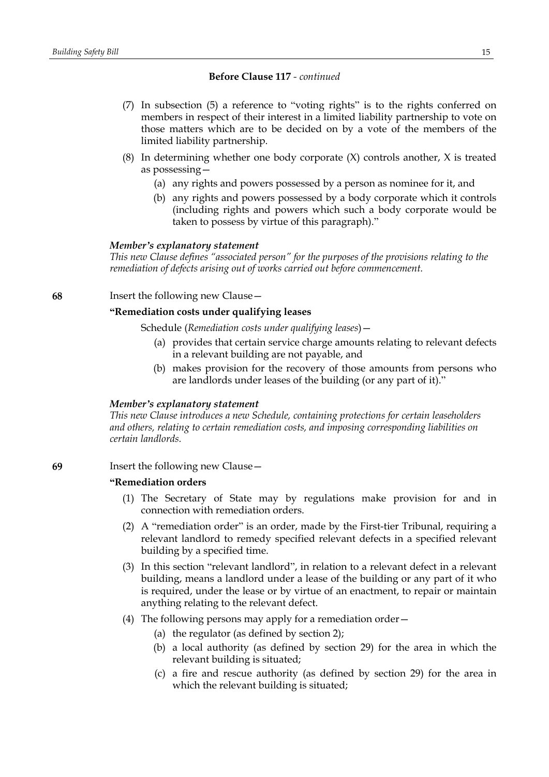- (7) In subsection (5) a reference to "voting rights" is to the rights conferred on members in respect of their interest in a limited liability partnership to vote on those matters which are to be decided on by a vote of the members of the limited liability partnership.
- (8) In determining whether one body corporate  $(X)$  controls another,  $X$  is treated as possessing—
	- (a) any rights and powers possessed by a person as nominee for it, and
	- (b) any rights and powers possessed by a body corporate which it controls (including rights and powers which such a body corporate would be taken to possess by virtue of this paragraph)."

#### *Member's explanatory statement*

*This new Clause defines "associated person" for the purposes of the provisions relating to the remediation of defects arising out of works carried out before commencement.*

## **68** Insert the following new Clause—

# **"Remediation costs under qualifying leases**

Schedule (*Remediation costs under qualifying leases*)—

- (a) provides that certain service charge amounts relating to relevant defects in a relevant building are not payable, and
- (b) makes provision for the recovery of those amounts from persons who are landlords under leases of the building (or any part of it)."

#### *Member's explanatory statement*

*This new Clause introduces a new Schedule, containing protections for certain leaseholders and others, relating to certain remediation costs, and imposing corresponding liabilities on certain landlords.*

**69** Insert the following new Clause—

# **"Remediation orders**

- (1) The Secretary of State may by regulations make provision for and in connection with remediation orders.
- (2) A "remediation order" is an order, made by the First-tier Tribunal, requiring a relevant landlord to remedy specified relevant defects in a specified relevant building by a specified time.
- (3) In this section "relevant landlord", in relation to a relevant defect in a relevant building, means a landlord under a lease of the building or any part of it who is required, under the lease or by virtue of an enactment, to repair or maintain anything relating to the relevant defect.
- (4) The following persons may apply for a remediation order—
	- (a) the regulator (as defined by section 2);
	- (b) a local authority (as defined by section 29) for the area in which the relevant building is situated;
	- (c) a fire and rescue authority (as defined by section 29) for the area in which the relevant building is situated;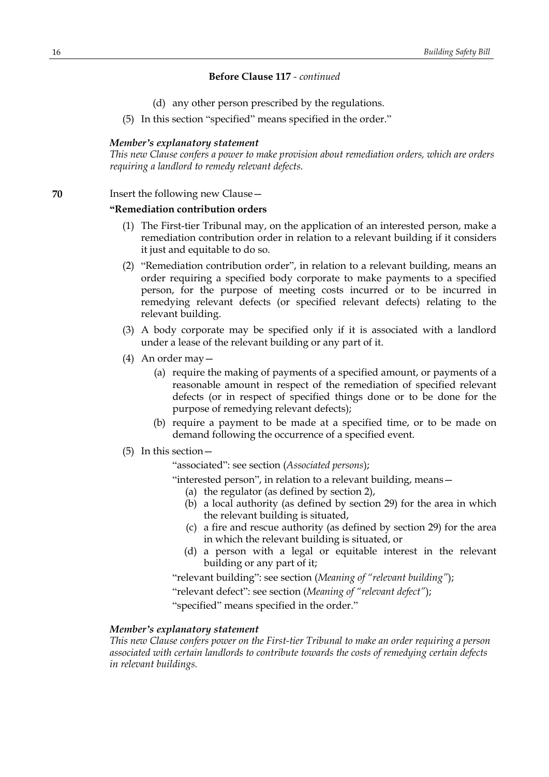- (d) any other person prescribed by the regulations.
- (5) In this section "specified" means specified in the order."

## *Member's explanatory statement*

*This new Clause confers a power to make provision about remediation orders, which are orders requiring a landlord to remedy relevant defects.*

## **70** Insert the following new Clause -

#### **"Remediation contribution orders**

- (1) The First-tier Tribunal may, on the application of an interested person, make a remediation contribution order in relation to a relevant building if it considers it just and equitable to do so.
- (2) "Remediation contribution order", in relation to a relevant building, means an order requiring a specified body corporate to make payments to a specified person, for the purpose of meeting costs incurred or to be incurred in remedying relevant defects (or specified relevant defects) relating to the relevant building.
- (3) A body corporate may be specified only if it is associated with a landlord under a lease of the relevant building or any part of it.
- (4) An order may—
	- (a) require the making of payments of a specified amount, or payments of a reasonable amount in respect of the remediation of specified relevant defects (or in respect of specified things done or to be done for the purpose of remedying relevant defects);
	- (b) require a payment to be made at a specified time, or to be made on demand following the occurrence of a specified event.
- (5) In this section—

"associated": see section (*Associated persons*);

"interested person", in relation to a relevant building, means—

- (a) the regulator (as defined by section 2),
- (b) a local authority (as defined by section 29) for the area in which the relevant building is situated,
- (c) a fire and rescue authority (as defined by section 29) for the area in which the relevant building is situated, or
- (d) a person with a legal or equitable interest in the relevant building or any part of it;

"relevant building": see section (*Meaning of "relevant building"*);

"relevant defect": see section (*Meaning of "relevant defect"*);

"specified" means specified in the order."

#### *Member's explanatory statement*

*This new Clause confers power on the First-tier Tribunal to make an order requiring a person associated with certain landlords to contribute towards the costs of remedying certain defects in relevant buildings.*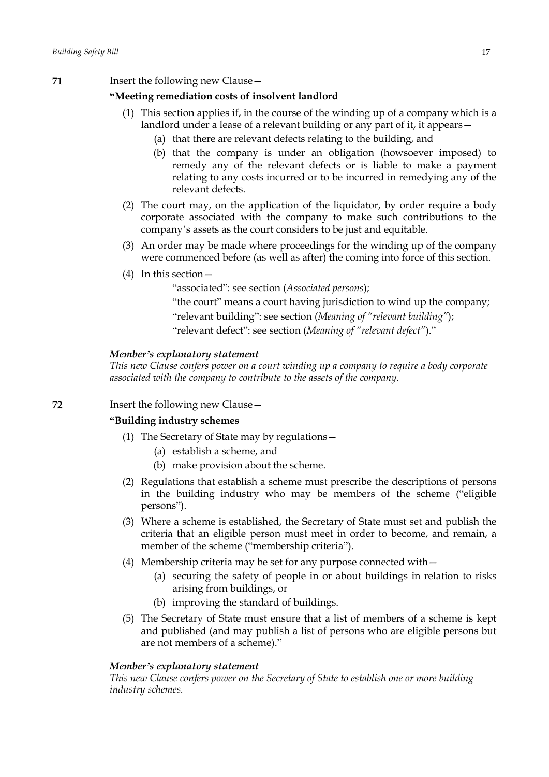**71** Insert the following new Clause—

# **"Meeting remediation costs of insolvent landlord**

- (1) This section applies if, in the course of the winding up of a company which is a landlord under a lease of a relevant building or any part of it, it appears—
	- (a) that there are relevant defects relating to the building, and
	- (b) that the company is under an obligation (howsoever imposed) to remedy any of the relevant defects or is liable to make a payment relating to any costs incurred or to be incurred in remedying any of the relevant defects.
- (2) The court may, on the application of the liquidator, by order require a body corporate associated with the company to make such contributions to the company's assets as the court considers to be just and equitable.
- (3) An order may be made where proceedings for the winding up of the company were commenced before (as well as after) the coming into force of this section.
- (4) In this section—

"associated": see section (*Associated persons*);

"the court" means a court having jurisdiction to wind up the company; "relevant building": see section (*Meaning of "relevant building"*); "relevant defect": see section (*Meaning of "relevant defect"*)."

#### *Member's explanatory statement*

*This new Clause confers power on a court winding up a company to require a body corporate associated with the company to contribute to the assets of the company.*

**72** Insert the following new Clause—

## **"Building industry schemes**

- (1) The Secretary of State may by regulations—
	- (a) establish a scheme, and
	- (b) make provision about the scheme.
- (2) Regulations that establish a scheme must prescribe the descriptions of persons in the building industry who may be members of the scheme ("eligible persons").
- (3) Where a scheme is established, the Secretary of State must set and publish the criteria that an eligible person must meet in order to become, and remain, a member of the scheme ("membership criteria").
- (4) Membership criteria may be set for any purpose connected with—
	- (a) securing the safety of people in or about buildings in relation to risks arising from buildings, or
	- (b) improving the standard of buildings.
- (5) The Secretary of State must ensure that a list of members of a scheme is kept and published (and may publish a list of persons who are eligible persons but are not members of a scheme)."

#### *Member's explanatory statement*

*This new Clause confers power on the Secretary of State to establish one or more building industry schemes.*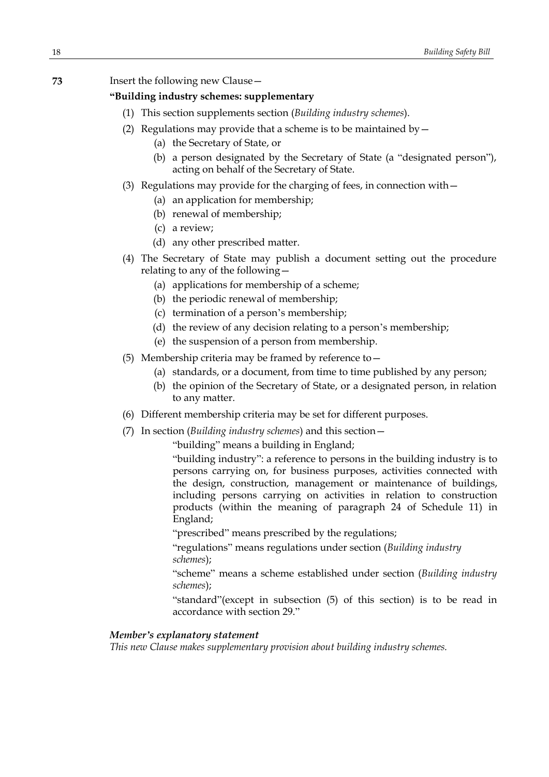## **73** Insert the following new Clause—

# **"Building industry schemes: supplementary**

- (1) This section supplements section (*Building industry schemes*).
- (2) Regulations may provide that a scheme is to be maintained by  $-$ 
	- (a) the Secretary of State, or
	- (b) a person designated by the Secretary of State (a "designated person"), acting on behalf of the Secretary of State.
- (3) Regulations may provide for the charging of fees, in connection with—
	- (a) an application for membership;
	- (b) renewal of membership;
	- (c) a review;
	- (d) any other prescribed matter.
- (4) The Secretary of State may publish a document setting out the procedure relating to any of the following—
	- (a) applications for membership of a scheme;
	- (b) the periodic renewal of membership;
	- (c) termination of a person's membership;
	- (d) the review of any decision relating to a person's membership;
	- (e) the suspension of a person from membership.
- (5) Membership criteria may be framed by reference to—
	- (a) standards, or a document, from time to time published by any person;
	- (b) the opinion of the Secretary of State, or a designated person, in relation to any matter.
- (6) Different membership criteria may be set for different purposes.
- (7) In section (*Building industry schemes*) and this section—

"building" means a building in England;

"building industry": a reference to persons in the building industry is to persons carrying on, for business purposes, activities connected with the design, construction, management or maintenance of buildings, including persons carrying on activities in relation to construction products (within the meaning of paragraph 24 of Schedule 11) in England;

"prescribed" means prescribed by the regulations;

"regulations" means regulations under section (*Building industry schemes*);

"scheme" means a scheme established under section (*Building industry schemes*);

"standard"(except in subsection (5) of this section) is to be read in accordance with section 29."

## *Member's explanatory statement*

*This new Clause makes supplementary provision about building industry schemes.*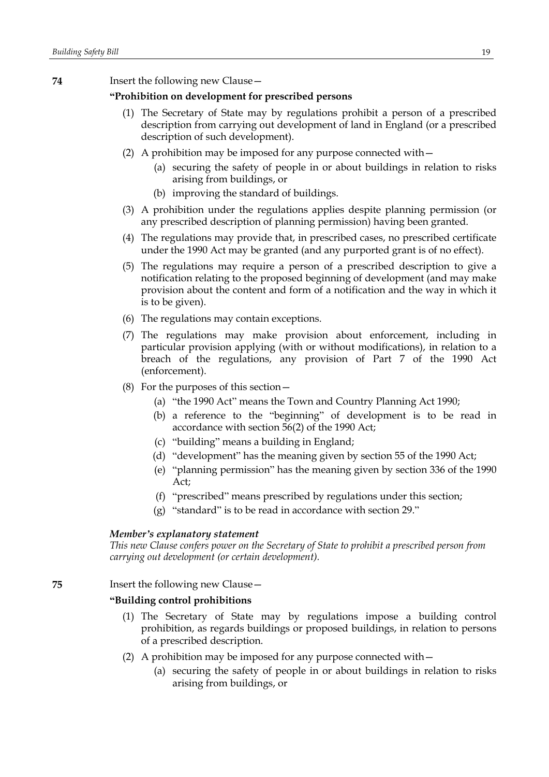**74** Insert the following new Clause—

# **"Prohibition on development for prescribed persons**

- (1) The Secretary of State may by regulations prohibit a person of a prescribed description from carrying out development of land in England (or a prescribed description of such development).
- (2) A prohibition may be imposed for any purpose connected with—
	- (a) securing the safety of people in or about buildings in relation to risks arising from buildings, or
	- (b) improving the standard of buildings.
- (3) A prohibition under the regulations applies despite planning permission (or any prescribed description of planning permission) having been granted.
- (4) The regulations may provide that, in prescribed cases, no prescribed certificate under the 1990 Act may be granted (and any purported grant is of no effect).
- (5) The regulations may require a person of a prescribed description to give a notification relating to the proposed beginning of development (and may make provision about the content and form of a notification and the way in which it is to be given).
- (6) The regulations may contain exceptions.
- (7) The regulations may make provision about enforcement, including in particular provision applying (with or without modifications), in relation to a breach of the regulations, any provision of Part 7 of the 1990 Act (enforcement).
- (8) For the purposes of this section—
	- (a) "the 1990 Act" means the Town and Country Planning Act 1990;
	- (b) a reference to the "beginning" of development is to be read in accordance with section 56(2) of the 1990 Act;
	- (c) "building" means a building in England;
	- (d) "development" has the meaning given by section 55 of the 1990 Act;
	- (e) "planning permission" has the meaning given by section 336 of the 1990 Act;
	- (f) "prescribed" means prescribed by regulations under this section;
	- (g) "standard" is to be read in accordance with section 29."

#### *Member's explanatory statement*

*This new Clause confers power on the Secretary of State to prohibit a prescribed person from carrying out development (or certain development).*

**75** Insert the following new Clause—

## **"Building control prohibitions**

- (1) The Secretary of State may by regulations impose a building control prohibition, as regards buildings or proposed buildings, in relation to persons of a prescribed description.
- (2) A prohibition may be imposed for any purpose connected with—
	- (a) securing the safety of people in or about buildings in relation to risks arising from buildings, or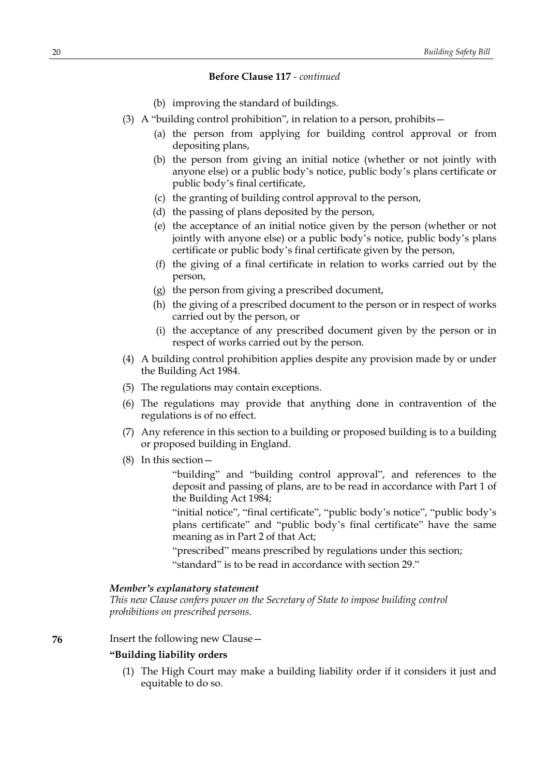- (b) improving the standard of buildings.
- (3) A "building control prohibition", in relation to a person, prohibits—
	- (a) the person from applying for building control approval or from depositing plans,
	- (b) the person from giving an initial notice (whether or not jointly with anyone else) or a public body's notice, public body's plans certificate or public body's final certificate,
	- (c) the granting of building control approval to the person,
	- (d) the passing of plans deposited by the person,
	- (e) the acceptance of an initial notice given by the person (whether or not jointly with anyone else) or a public body's notice, public body's plans certificate or public body's final certificate given by the person,
	- (f) the giving of a final certificate in relation to works carried out by the person,
	- (g) the person from giving a prescribed document,
	- (h) the giving of a prescribed document to the person or in respect of works carried out by the person, or
	- (i) the acceptance of any prescribed document given by the person or in respect of works carried out by the person.
- (4) A building control prohibition applies despite any provision made by or under the Building Act 1984.
- (5) The regulations may contain exceptions.
- (6) The regulations may provide that anything done in contravention of the regulations is of no effect.
- (7) Any reference in this section to a building or proposed building is to a building or proposed building in England.
- (8) In this section—

"building" and "building control approval", and references to the deposit and passing of plans, are to be read in accordance with Part 1 of the Building Act 1984;

"initial notice", "final certificate", "public body's notice", "public body's plans certificate" and "public body's final certificate" have the same meaning as in Part 2 of that Act;

"prescribed" means prescribed by regulations under this section; "standard" is to be read in accordance with section 29."

## *Member's explanatory statement*

*This new Clause confers power on the Secretary of State to impose building control prohibitions on prescribed persons.*

**76** Insert the following new Clause—

## **"Building liability orders**

(1) The High Court may make a building liability order if it considers it just and equitable to do so.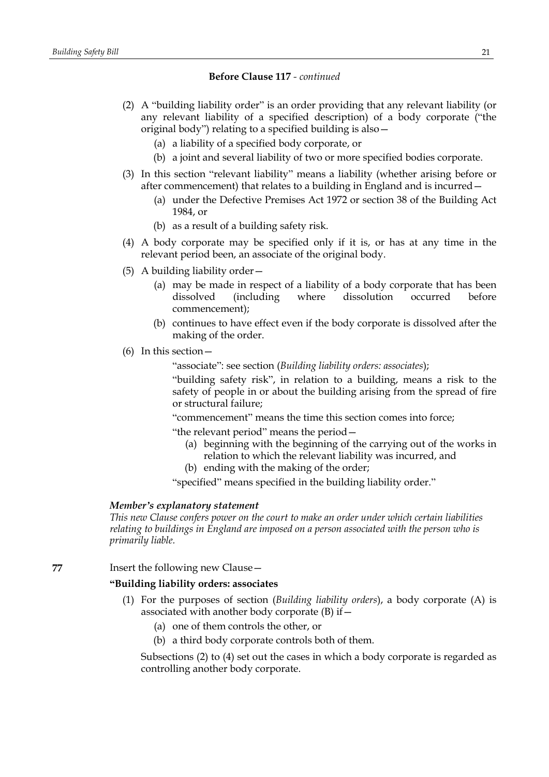- (2) A "building liability order" is an order providing that any relevant liability (or any relevant liability of a specified description) of a body corporate ("the original body") relating to a specified building is also—
	- (a) a liability of a specified body corporate, or
	- (b) a joint and several liability of two or more specified bodies corporate.
- (3) In this section "relevant liability" means a liability (whether arising before or after commencement) that relates to a building in England and is incurred—
	- (a) under the Defective Premises Act 1972 or section 38 of the Building Act 1984, or
	- (b) as a result of a building safety risk.
- (4) A body corporate may be specified only if it is, or has at any time in the relevant period been, an associate of the original body.
- (5) A building liability order—
	- (a) may be made in respect of a liability of a body corporate that has been dissolved (including where dissolution occurred before commencement);
	- (b) continues to have effect even if the body corporate is dissolved after the making of the order.
- (6) In this section—

"associate": see section (*Building liability orders: associates*);

"building safety risk", in relation to a building, means a risk to the safety of people in or about the building arising from the spread of fire or structural failure;

"commencement" means the time this section comes into force;

"the relevant period" means the period—

- (a) beginning with the beginning of the carrying out of the works in relation to which the relevant liability was incurred, and
- (b) ending with the making of the order;

"specified" means specified in the building liability order."

## *Member's explanatory statement*

*This new Clause confers power on the court to make an order under which certain liabilities relating to buildings in England are imposed on a person associated with the person who is primarily liable.*

**77** Insert the following new Clause—

# **"Building liability orders: associates**

- (1) For the purposes of section (*Building liability orders*), a body corporate (A) is associated with another body corporate (B) if—
	- (a) one of them controls the other, or
	- (b) a third body corporate controls both of them.

Subsections (2) to (4) set out the cases in which a body corporate is regarded as controlling another body corporate.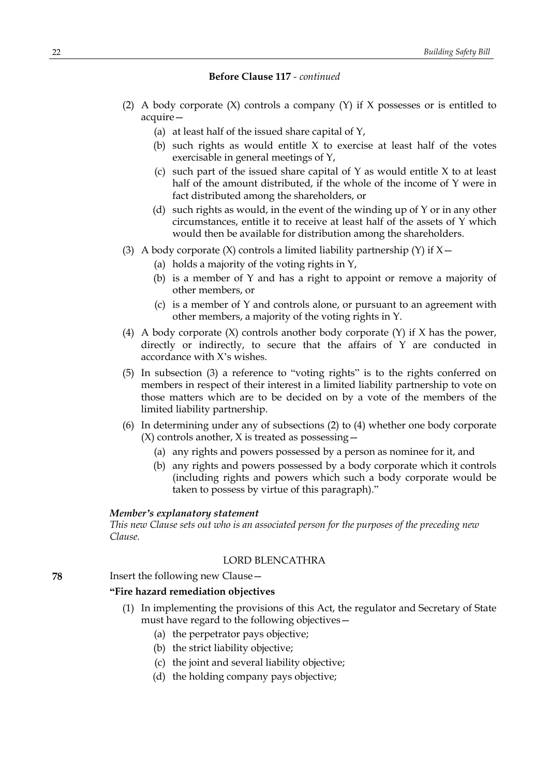- (2) A body corporate (X) controls a company (Y) if X possesses or is entitled to acquire—
	- (a) at least half of the issued share capital of Y,
	- (b) such rights as would entitle X to exercise at least half of the votes exercisable in general meetings of Y,
	- (c) such part of the issued share capital of  $Y$  as would entitle  $X$  to at least half of the amount distributed, if the whole of the income of Y were in fact distributed among the shareholders, or
	- (d) such rights as would, in the event of the winding up of Y or in any other circumstances, entitle it to receive at least half of the assets of Y which would then be available for distribution among the shareholders.
- (3) A body corporate  $(X)$  controls a limited liability partnership  $(Y)$  if  $X$  -
	- (a) holds a majority of the voting rights in Y,
	- (b) is a member of Y and has a right to appoint or remove a majority of other members, or
	- (c) is a member of Y and controls alone, or pursuant to an agreement with other members, a majority of the voting rights in Y.
- (4) A body corporate (X) controls another body corporate (Y) if X has the power, directly or indirectly, to secure that the affairs of Y are conducted in accordance with X's wishes.
- (5) In subsection (3) a reference to "voting rights" is to the rights conferred on members in respect of their interest in a limited liability partnership to vote on those matters which are to be decided on by a vote of the members of the limited liability partnership.
- (6) In determining under any of subsections (2) to (4) whether one body corporate  $(X)$  controls another, X is treated as possessing  $-$ 
	- (a) any rights and powers possessed by a person as nominee for it, and
	- (b) any rights and powers possessed by a body corporate which it controls (including rights and powers which such a body corporate would be taken to possess by virtue of this paragraph)."

## *Member's explanatory statement*

*This new Clause sets out who is an associated person for the purposes of the preceding new Clause.*

# LORD BLENCATHRA

**78** Insert the following new Clause—

# **"Fire hazard remediation objectives**

- (1) In implementing the provisions of this Act, the regulator and Secretary of State must have regard to the following objectives—
	- (a) the perpetrator pays objective;
	- (b) the strict liability objective;
	- (c) the joint and several liability objective;
	- (d) the holding company pays objective;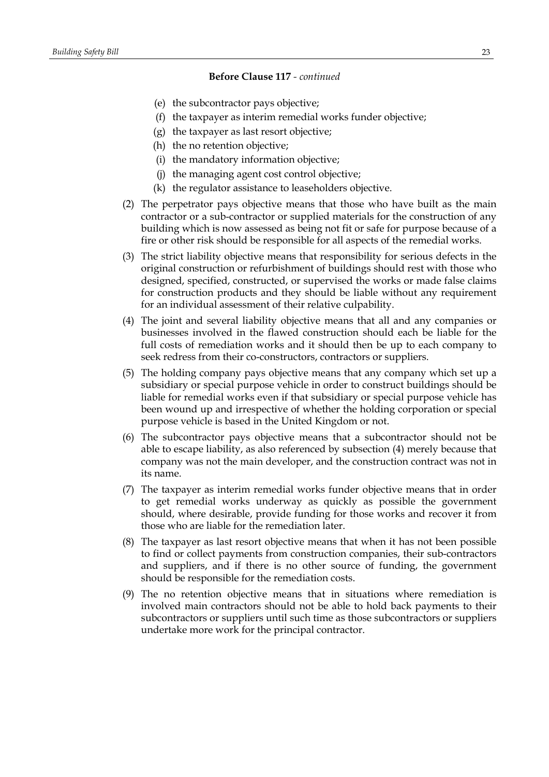- (e) the subcontractor pays objective;
- (f) the taxpayer as interim remedial works funder objective;
- (g) the taxpayer as last resort objective;
- (h) the no retention objective;
- (i) the mandatory information objective;
- (j) the managing agent cost control objective;
- (k) the regulator assistance to leaseholders objective.
- (2) The perpetrator pays objective means that those who have built as the main contractor or a sub-contractor or supplied materials for the construction of any building which is now assessed as being not fit or safe for purpose because of a fire or other risk should be responsible for all aspects of the remedial works.
- (3) The strict liability objective means that responsibility for serious defects in the original construction or refurbishment of buildings should rest with those who designed, specified, constructed, or supervised the works or made false claims for construction products and they should be liable without any requirement for an individual assessment of their relative culpability.
- (4) The joint and several liability objective means that all and any companies or businesses involved in the flawed construction should each be liable for the full costs of remediation works and it should then be up to each company to seek redress from their co-constructors, contractors or suppliers.
- (5) The holding company pays objective means that any company which set up a subsidiary or special purpose vehicle in order to construct buildings should be liable for remedial works even if that subsidiary or special purpose vehicle has been wound up and irrespective of whether the holding corporation or special purpose vehicle is based in the United Kingdom or not.
- (6) The subcontractor pays objective means that a subcontractor should not be able to escape liability, as also referenced by subsection (4) merely because that company was not the main developer, and the construction contract was not in its name.
- (7) The taxpayer as interim remedial works funder objective means that in order to get remedial works underway as quickly as possible the government should, where desirable, provide funding for those works and recover it from those who are liable for the remediation later.
- (8) The taxpayer as last resort objective means that when it has not been possible to find or collect payments from construction companies, their sub-contractors and suppliers, and if there is no other source of funding, the government should be responsible for the remediation costs.
- (9) The no retention objective means that in situations where remediation is involved main contractors should not be able to hold back payments to their subcontractors or suppliers until such time as those subcontractors or suppliers undertake more work for the principal contractor.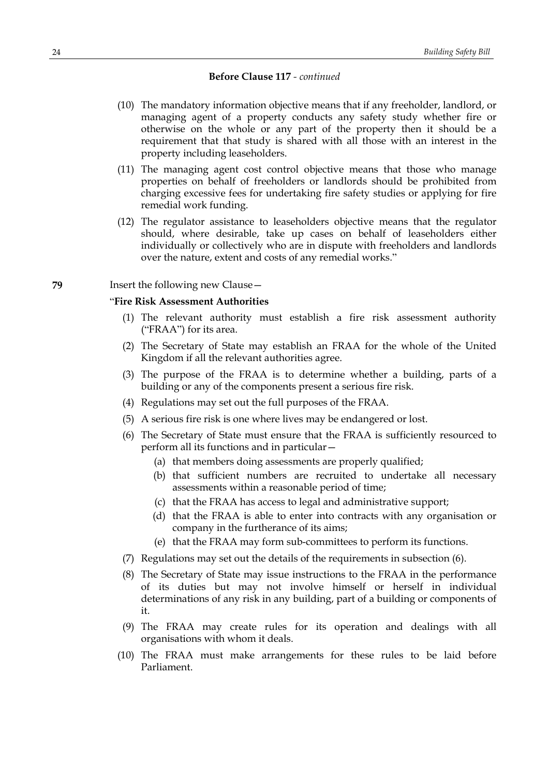- (10) The mandatory information objective means that if any freeholder, landlord, or managing agent of a property conducts any safety study whether fire or otherwise on the whole or any part of the property then it should be a requirement that that study is shared with all those with an interest in the property including leaseholders.
- (11) The managing agent cost control objective means that those who manage properties on behalf of freeholders or landlords should be prohibited from charging excessive fees for undertaking fire safety studies or applying for fire remedial work funding.
- (12) The regulator assistance to leaseholders objective means that the regulator should, where desirable, take up cases on behalf of leaseholders either individually or collectively who are in dispute with freeholders and landlords over the nature, extent and costs of any remedial works."

#### **79** Insert the following new Clause—

## "**Fire Risk Assessment Authorities**

- (1) The relevant authority must establish a fire risk assessment authority ("FRAA") for its area.
- (2) The Secretary of State may establish an FRAA for the whole of the United Kingdom if all the relevant authorities agree.
- (3) The purpose of the FRAA is to determine whether a building, parts of a building or any of the components present a serious fire risk.
- (4) Regulations may set out the full purposes of the FRAA.
- (5) A serious fire risk is one where lives may be endangered or lost.
- (6) The Secretary of State must ensure that the FRAA is sufficiently resourced to perform all its functions and in particular—
	- (a) that members doing assessments are properly qualified;
	- (b) that sufficient numbers are recruited to undertake all necessary assessments within a reasonable period of time;
	- (c) that the FRAA has access to legal and administrative support;
	- (d) that the FRAA is able to enter into contracts with any organisation or company in the furtherance of its aims;
	- (e) that the FRAA may form sub-committees to perform its functions.
- (7) Regulations may set out the details of the requirements in subsection (6).
- (8) The Secretary of State may issue instructions to the FRAA in the performance of its duties but may not involve himself or herself in individual determinations of any risk in any building, part of a building or components of it.
- (9) The FRAA may create rules for its operation and dealings with all organisations with whom it deals.
- (10) The FRAA must make arrangements for these rules to be laid before Parliament.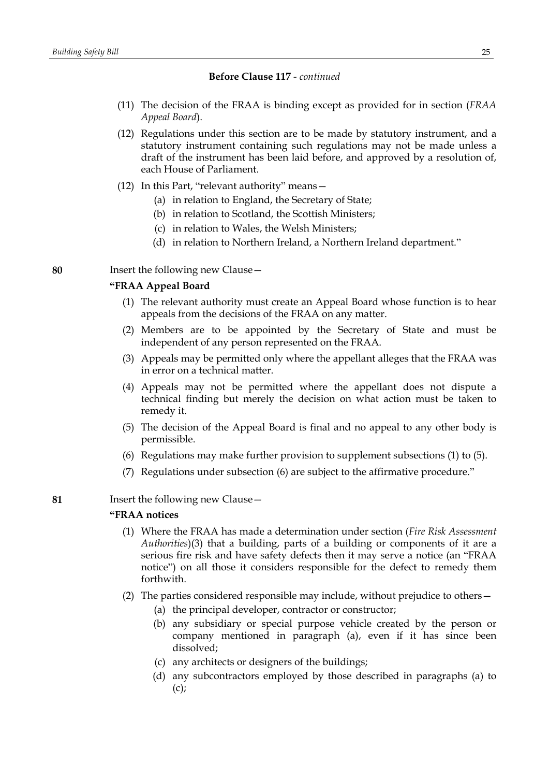- (11) The decision of the FRAA is binding except as provided for in section (*FRAA Appeal Board*).
- (12) Regulations under this section are to be made by statutory instrument, and a statutory instrument containing such regulations may not be made unless a draft of the instrument has been laid before, and approved by a resolution of, each House of Parliament.
- (12) In this Part, "relevant authority" means—
	- (a) in relation to England, the Secretary of State;
	- (b) in relation to Scotland, the Scottish Ministers;
	- (c) in relation to Wales, the Welsh Ministers;
	- (d) in relation to Northern Ireland, a Northern Ireland department."
- **80** Insert the following new Clause—

## **"FRAA Appeal Board**

- (1) The relevant authority must create an Appeal Board whose function is to hear appeals from the decisions of the FRAA on any matter.
- (2) Members are to be appointed by the Secretary of State and must be independent of any person represented on the FRAA.
- (3) Appeals may be permitted only where the appellant alleges that the FRAA was in error on a technical matter.
- (4) Appeals may not be permitted where the appellant does not dispute a technical finding but merely the decision on what action must be taken to remedy it.
- (5) The decision of the Appeal Board is final and no appeal to any other body is permissible.
- (6) Regulations may make further provision to supplement subsections (1) to (5).
- (7) Regulations under subsection (6) are subject to the affirmative procedure."
- **81** Insert the following new Clause—

## **"FRAA notices**

- (1) Where the FRAA has made a determination under section (*Fire Risk Assessment Authorities*)(3) that a building, parts of a building or components of it are a serious fire risk and have safety defects then it may serve a notice (an "FRAA notice") on all those it considers responsible for the defect to remedy them forthwith.
- (2) The parties considered responsible may include, without prejudice to others—
	- (a) the principal developer, contractor or constructor;
	- (b) any subsidiary or special purpose vehicle created by the person or company mentioned in paragraph (a), even if it has since been dissolved;
	- (c) any architects or designers of the buildings;
	- (d) any subcontractors employed by those described in paragraphs (a) to  $(c)$ ;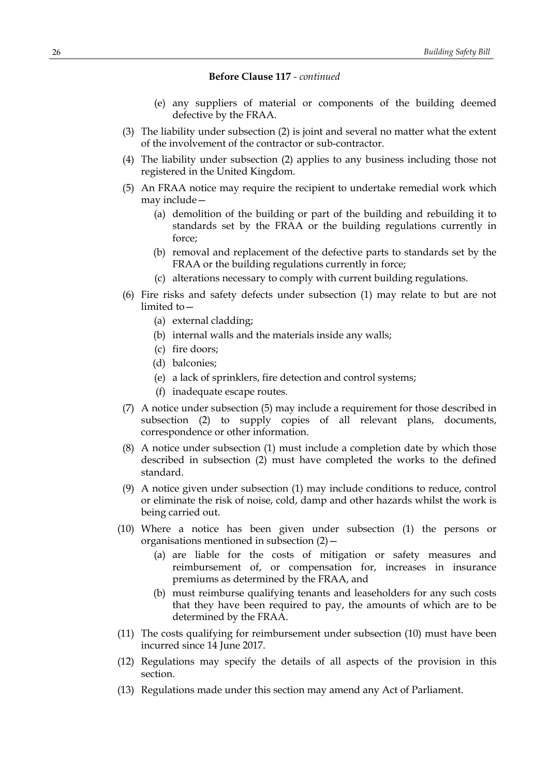- (e) any suppliers of material or components of the building deemed defective by the FRAA.
- (3) The liability under subsection (2) is joint and several no matter what the extent of the involvement of the contractor or sub-contractor.
- (4) The liability under subsection (2) applies to any business including those not registered in the United Kingdom.
- (5) An FRAA notice may require the recipient to undertake remedial work which may include—
	- (a) demolition of the building or part of the building and rebuilding it to standards set by the FRAA or the building regulations currently in force;
	- (b) removal and replacement of the defective parts to standards set by the FRAA or the building regulations currently in force;
	- (c) alterations necessary to comply with current building regulations.
- (6) Fire risks and safety defects under subsection (1) may relate to but are not limited to—
	- (a) external cladding;
	- (b) internal walls and the materials inside any walls;
	- (c) fire doors;
	- (d) balconies;
	- (e) a lack of sprinklers, fire detection and control systems;
	- (f) inadequate escape routes.
- (7) A notice under subsection (5) may include a requirement for those described in subsection (2) to supply copies of all relevant plans, documents, correspondence or other information.
- (8) A notice under subsection (1) must include a completion date by which those described in subsection (2) must have completed the works to the defined standard.
- (9) A notice given under subsection (1) may include conditions to reduce, control or eliminate the risk of noise, cold, damp and other hazards whilst the work is being carried out.
- (10) Where a notice has been given under subsection (1) the persons or organisations mentioned in subsection (2)—
	- (a) are liable for the costs of mitigation or safety measures and reimbursement of, or compensation for, increases in insurance premiums as determined by the FRAA, and
	- (b) must reimburse qualifying tenants and leaseholders for any such costs that they have been required to pay, the amounts of which are to be determined by the FRAA.
- (11) The costs qualifying for reimbursement under subsection (10) must have been incurred since 14 June 2017.
- (12) Regulations may specify the details of all aspects of the provision in this section.
- (13) Regulations made under this section may amend any Act of Parliament.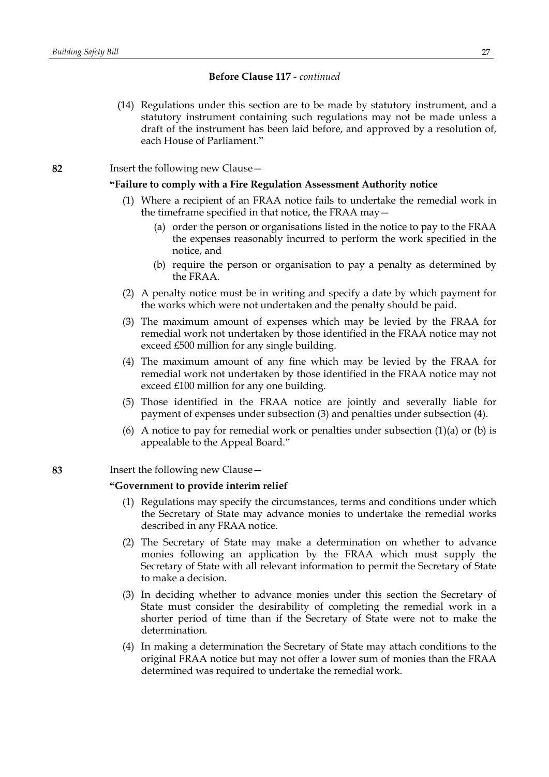(14) Regulations under this section are to be made by statutory instrument, and a statutory instrument containing such regulations may not be made unless a draft of the instrument has been laid before, and approved by a resolution of, each House of Parliament."

**82** Insert the following new Clause—

# **"Failure to comply with a Fire Regulation Assessment Authority notice**

- (1) Where a recipient of an FRAA notice fails to undertake the remedial work in the timeframe specified in that notice, the FRAA may—
	- (a) order the person or organisations listed in the notice to pay to the FRAA the expenses reasonably incurred to perform the work specified in the notice, and
	- (b) require the person or organisation to pay a penalty as determined by the FRAA.
- (2) A penalty notice must be in writing and specify a date by which payment for the works which were not undertaken and the penalty should be paid.
- (3) The maximum amount of expenses which may be levied by the FRAA for remedial work not undertaken by those identified in the FRAA notice may not exceed £500 million for any single building.
- (4) The maximum amount of any fine which may be levied by the FRAA for remedial work not undertaken by those identified in the FRAA notice may not exceed £100 million for any one building.
- (5) Those identified in the FRAA notice are jointly and severally liable for payment of expenses under subsection (3) and penalties under subsection (4).
- (6) A notice to pay for remedial work or penalties under subsection  $(1)(a)$  or  $(b)$  is appealable to the Appeal Board."

## **83** Insert the following new Clause—

## **"Government to provide interim relief**

- (1) Regulations may specify the circumstances, terms and conditions under which the Secretary of State may advance monies to undertake the remedial works described in any FRAA notice.
- (2) The Secretary of State may make a determination on whether to advance monies following an application by the FRAA which must supply the Secretary of State with all relevant information to permit the Secretary of State to make a decision.
- (3) In deciding whether to advance monies under this section the Secretary of State must consider the desirability of completing the remedial work in a shorter period of time than if the Secretary of State were not to make the determination.
- (4) In making a determination the Secretary of State may attach conditions to the original FRAA notice but may not offer a lower sum of monies than the FRAA determined was required to undertake the remedial work.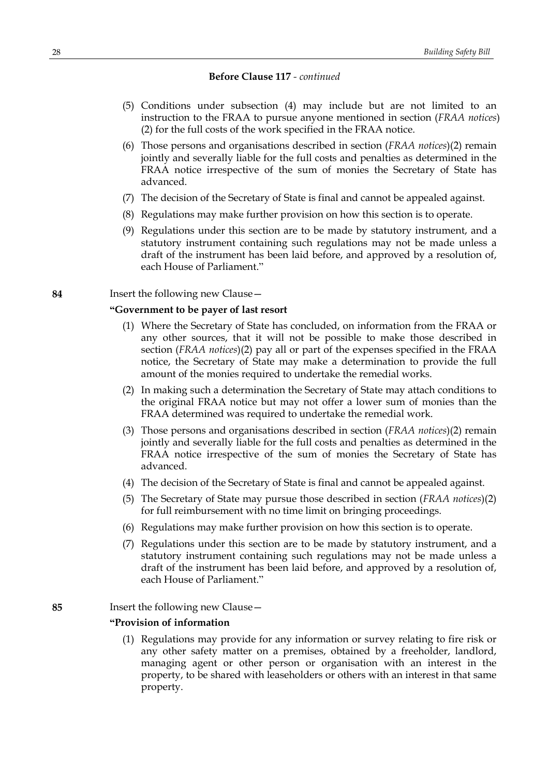- (5) Conditions under subsection (4) may include but are not limited to an instruction to the FRAA to pursue anyone mentioned in section (*FRAA notices*) (2) for the full costs of the work specified in the FRAA notice.
- (6) Those persons and organisations described in section (*FRAA notices*)(2) remain jointly and severally liable for the full costs and penalties as determined in the FRAA notice irrespective of the sum of monies the Secretary of State has advanced.
- (7) The decision of the Secretary of State is final and cannot be appealed against.
- (8) Regulations may make further provision on how this section is to operate.
- (9) Regulations under this section are to be made by statutory instrument, and a statutory instrument containing such regulations may not be made unless a draft of the instrument has been laid before, and approved by a resolution of, each House of Parliament."

#### **84** Insert the following new Clause—

## **"Government to be payer of last resort**

- (1) Where the Secretary of State has concluded, on information from the FRAA or any other sources, that it will not be possible to make those described in section (*FRAA notices*)(2) pay all or part of the expenses specified in the FRAA notice, the Secretary of State may make a determination to provide the full amount of the monies required to undertake the remedial works.
- (2) In making such a determination the Secretary of State may attach conditions to the original FRAA notice but may not offer a lower sum of monies than the FRAA determined was required to undertake the remedial work.
- (3) Those persons and organisations described in section (*FRAA notices*)(2) remain jointly and severally liable for the full costs and penalties as determined in the FRAA notice irrespective of the sum of monies the Secretary of State has advanced.
- (4) The decision of the Secretary of State is final and cannot be appealed against.
- (5) The Secretary of State may pursue those described in section (*FRAA notices*)(2) for full reimbursement with no time limit on bringing proceedings.
- (6) Regulations may make further provision on how this section is to operate.
- (7) Regulations under this section are to be made by statutory instrument, and a statutory instrument containing such regulations may not be made unless a draft of the instrument has been laid before, and approved by a resolution of, each House of Parliament."

## **85** Insert the following new Clause—

# **"Provision of information**

(1) Regulations may provide for any information or survey relating to fire risk or any other safety matter on a premises, obtained by a freeholder, landlord, managing agent or other person or organisation with an interest in the property, to be shared with leaseholders or others with an interest in that same property.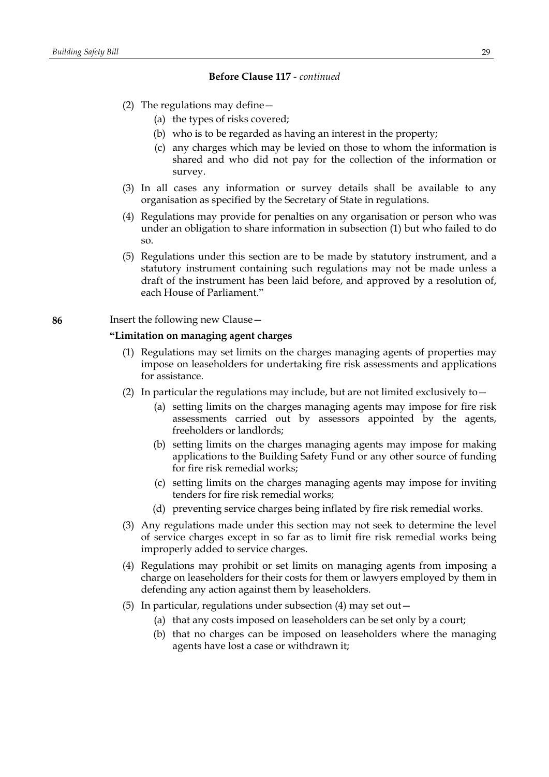- (2) The regulations may define—
	- (a) the types of risks covered;
	- (b) who is to be regarded as having an interest in the property;
	- (c) any charges which may be levied on those to whom the information is shared and who did not pay for the collection of the information or survey.
- (3) In all cases any information or survey details shall be available to any organisation as specified by the Secretary of State in regulations.
- (4) Regulations may provide for penalties on any organisation or person who was under an obligation to share information in subsection (1) but who failed to do so.
- (5) Regulations under this section are to be made by statutory instrument, and a statutory instrument containing such regulations may not be made unless a draft of the instrument has been laid before, and approved by a resolution of, each House of Parliament."

## **86** Insert the following new Clause—

## **"Limitation on managing agent charges**

- (1) Regulations may set limits on the charges managing agents of properties may impose on leaseholders for undertaking fire risk assessments and applications for assistance.
- (2) In particular the regulations may include, but are not limited exclusively to  $-$ 
	- (a) setting limits on the charges managing agents may impose for fire risk assessments carried out by assessors appointed by the agents, freeholders or landlords;
	- (b) setting limits on the charges managing agents may impose for making applications to the Building Safety Fund or any other source of funding for fire risk remedial works;
	- (c) setting limits on the charges managing agents may impose for inviting tenders for fire risk remedial works;
	- (d) preventing service charges being inflated by fire risk remedial works.
- (3) Any regulations made under this section may not seek to determine the level of service charges except in so far as to limit fire risk remedial works being improperly added to service charges.
- (4) Regulations may prohibit or set limits on managing agents from imposing a charge on leaseholders for their costs for them or lawyers employed by them in defending any action against them by leaseholders.
- (5) In particular, regulations under subsection (4) may set out—
	- (a) that any costs imposed on leaseholders can be set only by a court;
	- (b) that no charges can be imposed on leaseholders where the managing agents have lost a case or withdrawn it;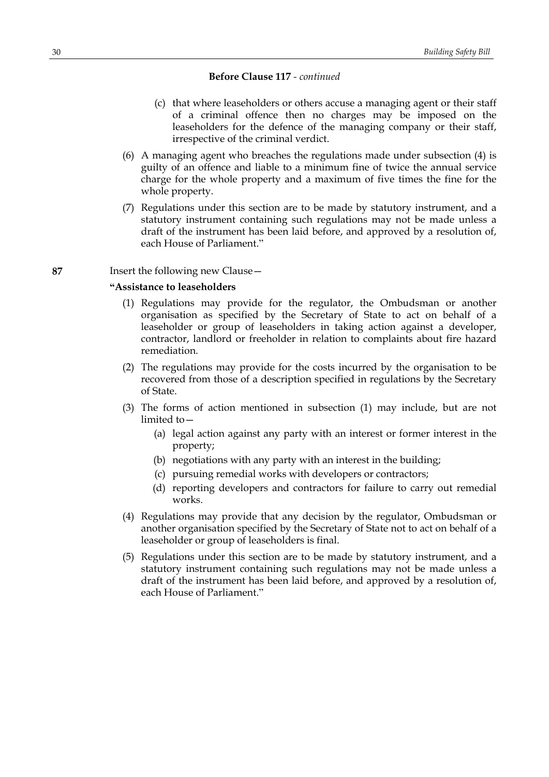- (c) that where leaseholders or others accuse a managing agent or their staff of a criminal offence then no charges may be imposed on the leaseholders for the defence of the managing company or their staff, irrespective of the criminal verdict.
- (6) A managing agent who breaches the regulations made under subsection (4) is guilty of an offence and liable to a minimum fine of twice the annual service charge for the whole property and a maximum of five times the fine for the whole property.
- (7) Regulations under this section are to be made by statutory instrument, and a statutory instrument containing such regulations may not be made unless a draft of the instrument has been laid before, and approved by a resolution of, each House of Parliament."

## **87** Insert the following new Clause—

# **"Assistance to leaseholders**

- (1) Regulations may provide for the regulator, the Ombudsman or another organisation as specified by the Secretary of State to act on behalf of a leaseholder or group of leaseholders in taking action against a developer, contractor, landlord or freeholder in relation to complaints about fire hazard remediation.
- (2) The regulations may provide for the costs incurred by the organisation to be recovered from those of a description specified in regulations by the Secretary of State.
- (3) The forms of action mentioned in subsection (1) may include, but are not limited to—
	- (a) legal action against any party with an interest or former interest in the property;
	- (b) negotiations with any party with an interest in the building;
	- (c) pursuing remedial works with developers or contractors;
	- (d) reporting developers and contractors for failure to carry out remedial works.
- (4) Regulations may provide that any decision by the regulator, Ombudsman or another organisation specified by the Secretary of State not to act on behalf of a leaseholder or group of leaseholders is final.
- (5) Regulations under this section are to be made by statutory instrument, and a statutory instrument containing such regulations may not be made unless a draft of the instrument has been laid before, and approved by a resolution of, each House of Parliament."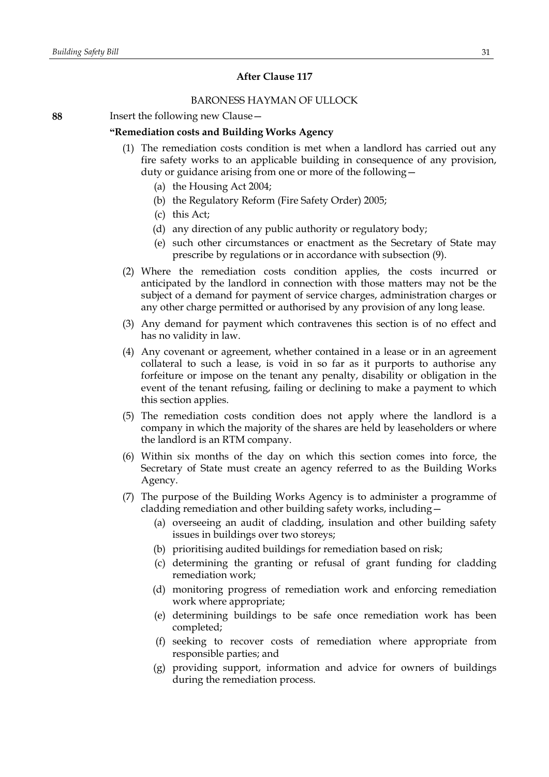## **After Clause 117**

## BARONESS HAYMAN OF ULLOCK

**88** Insert the following new Clause—

## **"Remediation costs and Building Works Agency**

- (1) The remediation costs condition is met when a landlord has carried out any fire safety works to an applicable building in consequence of any provision, duty or guidance arising from one or more of the following—
	- (a) the Housing Act 2004;
	- (b) the Regulatory Reform (Fire Safety Order) 2005;
	- (c) this Act;
	- (d) any direction of any public authority or regulatory body;
	- (e) such other circumstances or enactment as the Secretary of State may prescribe by regulations or in accordance with subsection (9).
- (2) Where the remediation costs condition applies, the costs incurred or anticipated by the landlord in connection with those matters may not be the subject of a demand for payment of service charges, administration charges or any other charge permitted or authorised by any provision of any long lease.
- (3) Any demand for payment which contravenes this section is of no effect and has no validity in law.
- (4) Any covenant or agreement, whether contained in a lease or in an agreement collateral to such a lease, is void in so far as it purports to authorise any forfeiture or impose on the tenant any penalty, disability or obligation in the event of the tenant refusing, failing or declining to make a payment to which this section applies.
- (5) The remediation costs condition does not apply where the landlord is a company in which the majority of the shares are held by leaseholders or where the landlord is an RTM company.
- (6) Within six months of the day on which this section comes into force, the Secretary of State must create an agency referred to as the Building Works Agency.
- (7) The purpose of the Building Works Agency is to administer a programme of cladding remediation and other building safety works, including—
	- (a) overseeing an audit of cladding, insulation and other building safety issues in buildings over two storeys;
	- (b) prioritising audited buildings for remediation based on risk;
	- (c) determining the granting or refusal of grant funding for cladding remediation work;
	- (d) monitoring progress of remediation work and enforcing remediation work where appropriate;
	- (e) determining buildings to be safe once remediation work has been completed;
	- (f) seeking to recover costs of remediation where appropriate from responsible parties; and
	- (g) providing support, information and advice for owners of buildings during the remediation process.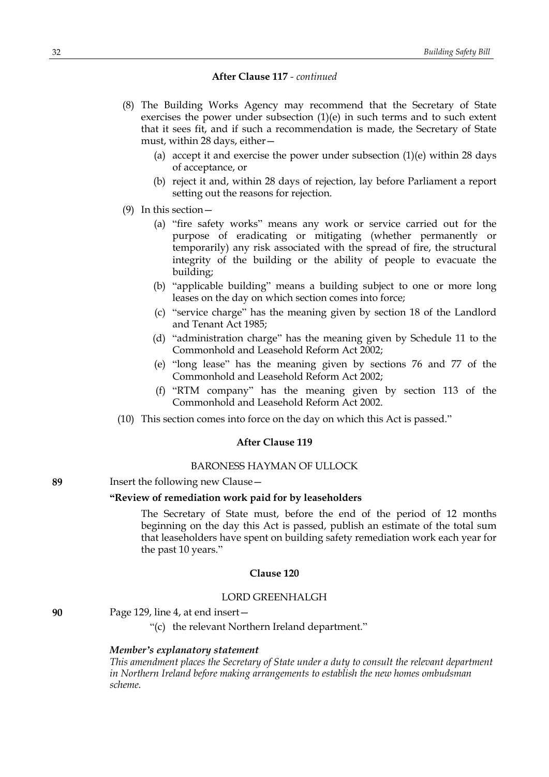#### **After Clause 117** *- continued*

- (8) The Building Works Agency may recommend that the Secretary of State exercises the power under subsection (1)(e) in such terms and to such extent that it sees fit, and if such a recommendation is made, the Secretary of State must, within 28 days, either—
	- (a) accept it and exercise the power under subsection  $(1)(e)$  within 28 days of acceptance, or
	- (b) reject it and, within 28 days of rejection, lay before Parliament a report setting out the reasons for rejection.
- (9) In this section—
	- (a) "fire safety works" means any work or service carried out for the purpose of eradicating or mitigating (whether permanently or temporarily) any risk associated with the spread of fire, the structural integrity of the building or the ability of people to evacuate the building;
	- (b) "applicable building" means a building subject to one or more long leases on the day on which section comes into force;
	- (c) "service charge" has the meaning given by section 18 of the Landlord and Tenant Act 1985;
	- (d) "administration charge" has the meaning given by Schedule 11 to the Commonhold and Leasehold Reform Act 2002;
	- (e) "long lease" has the meaning given by sections 76 and 77 of the Commonhold and Leasehold Reform Act 2002;
	- (f) "RTM company" has the meaning given by section 113 of the Commonhold and Leasehold Reform Act 2002.
- (10) This section comes into force on the day on which this Act is passed."

# **After Clause 119**

#### BARONESS HAYMAN OF ULLOCK

```
89 Insert the following new Clause—
```
## **"Review of remediation work paid for by leaseholders**

The Secretary of State must, before the end of the period of 12 months beginning on the day this Act is passed, publish an estimate of the total sum that leaseholders have spent on building safety remediation work each year for the past 10 years."

## **Clause 120**

#### LORD GREENHALGH

**90** Page 129, line 4, at end insert—

"(c) the relevant Northern Ireland department."

## *Member's explanatory statement*

*This amendment places the Secretary of State under a duty to consult the relevant department in Northern Ireland before making arrangements to establish the new homes ombudsman scheme.*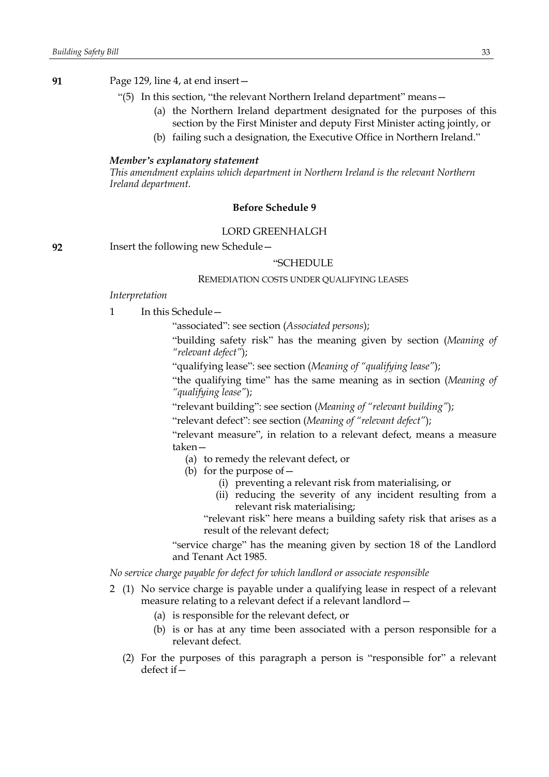**91** Page 129, line 4, at end insert—

- "(5) In this section, "the relevant Northern Ireland department" means—
	- (a) the Northern Ireland department designated for the purposes of this section by the First Minister and deputy First Minister acting jointly, or
	- (b) failing such a designation, the Executive Office in Northern Ireland."

#### *Member's explanatory statement*

*This amendment explains which department in Northern Ireland is the relevant Northern Ireland department.*

## **Before Schedule 9**

## LORD GREENHALGH

**92** Insert the following new Schedule—

## "SCHEDULE

# REMEDIATION COSTS UNDER QUALIFYING LEASES

#### *Interpretation*

1 In this Schedule—

"associated": see section (*Associated persons*);

"building safety risk" has the meaning given by section (*Meaning of "relevant defect"*);

"qualifying lease": see section (*Meaning of "qualifying lease"*);

"the qualifying time" has the same meaning as in section (*Meaning of "qualifying lease"*);

"relevant building": see section (*Meaning of "relevant building"*);

"relevant defect": see section (*Meaning of "relevant defect"*);

"relevant measure", in relation to a relevant defect, means a measure taken—

- (a) to remedy the relevant defect, or
- (b) for the purpose of  $-$ 
	- (i) preventing a relevant risk from materialising, or
	- (ii) reducing the severity of any incident resulting from a relevant risk materialising;

"relevant risk" here means a building safety risk that arises as a result of the relevant defect;

"service charge" has the meaning given by section 18 of the Landlord and Tenant Act 1985.

*No service charge payable for defect for which landlord or associate responsible*

- 2 (1) No service charge is payable under a qualifying lease in respect of a relevant measure relating to a relevant defect if a relevant landlord—
	- (a) is responsible for the relevant defect, or
	- (b) is or has at any time been associated with a person responsible for a relevant defect.
	- (2) For the purposes of this paragraph a person is "responsible for" a relevant defect if—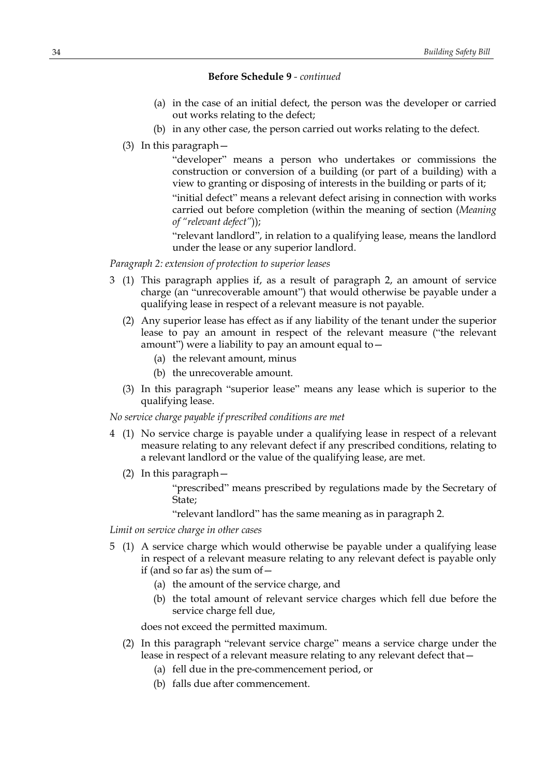# **Before Schedule 9** *- continued*

- (a) in the case of an initial defect, the person was the developer or carried out works relating to the defect;
- (b) in any other case, the person carried out works relating to the defect.
- (3) In this paragraph—

"developer" means a person who undertakes or commissions the construction or conversion of a building (or part of a building) with a view to granting or disposing of interests in the building or parts of it;

"initial defect" means a relevant defect arising in connection with works carried out before completion (within the meaning of section (*Meaning of "relevant defect"*));

"relevant landlord", in relation to a qualifying lease, means the landlord under the lease or any superior landlord.

*Paragraph 2: extension of protection to superior leases*

- 3 (1) This paragraph applies if, as a result of paragraph 2, an amount of service charge (an "unrecoverable amount") that would otherwise be payable under a qualifying lease in respect of a relevant measure is not payable.
	- (2) Any superior lease has effect as if any liability of the tenant under the superior lease to pay an amount in respect of the relevant measure ("the relevant amount") were a liability to pay an amount equal to  $-$ 
		- (a) the relevant amount, minus
		- (b) the unrecoverable amount.
	- (3) In this paragraph "superior lease" means any lease which is superior to the qualifying lease.

## *No service charge payable if prescribed conditions are met*

- 4 (1) No service charge is payable under a qualifying lease in respect of a relevant measure relating to any relevant defect if any prescribed conditions, relating to a relevant landlord or the value of the qualifying lease, are met.
	- (2) In this paragraph—

"prescribed" means prescribed by regulations made by the Secretary of State;

"relevant landlord" has the same meaning as in paragraph 2.

*Limit on service charge in other cases*

- 5 (1) A service charge which would otherwise be payable under a qualifying lease in respect of a relevant measure relating to any relevant defect is payable only if (and so far as) the sum of  $-$ 
	- (a) the amount of the service charge, and
	- (b) the total amount of relevant service charges which fell due before the service charge fell due,

does not exceed the permitted maximum.

- (2) In this paragraph "relevant service charge" means a service charge under the lease in respect of a relevant measure relating to any relevant defect that—
	- (a) fell due in the pre-commencement period, or
	- (b) falls due after commencement.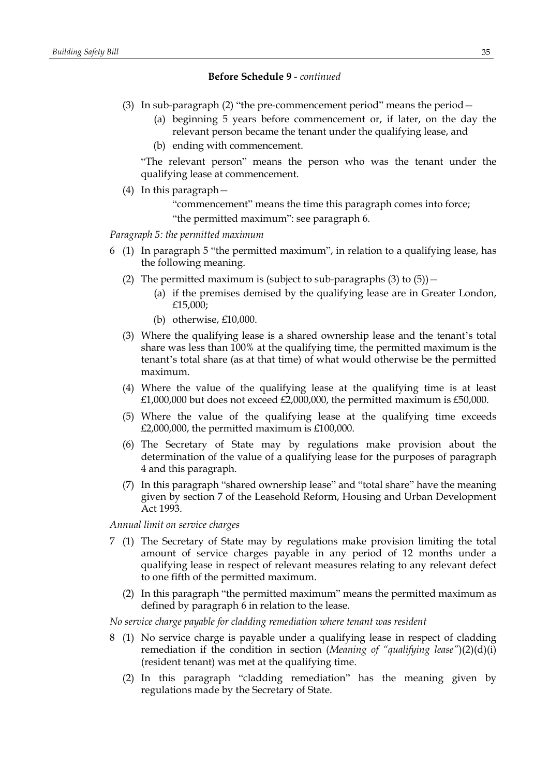# **Before Schedule 9** *- continued*

- (3) In sub-paragraph (2) "the pre-commencement period" means the period—
	- (a) beginning 5 years before commencement or, if later, on the day the relevant person became the tenant under the qualifying lease, and
	- (b) ending with commencement.

"The relevant person" means the person who was the tenant under the qualifying lease at commencement.

(4) In this paragraph—

"commencement" means the time this paragraph comes into force;

"the permitted maximum": see paragraph 6.

*Paragraph 5: the permitted maximum*

- 6 (1) In paragraph 5 "the permitted maximum", in relation to a qualifying lease, has the following meaning.
	- (2) The permitted maximum is (subject to sub-paragraphs  $(3)$  to  $(5)$ )
		- (a) if the premises demised by the qualifying lease are in Greater London, £15,000;
		- (b) otherwise, £10,000.
	- (3) Where the qualifying lease is a shared ownership lease and the tenant's total share was less than 100% at the qualifying time, the permitted maximum is the tenant's total share (as at that time) of what would otherwise be the permitted maximum.
	- (4) Where the value of the qualifying lease at the qualifying time is at least  $£1,000,000$  but does not exceed  $£2,000,000$ , the permitted maximum is  $£50,000$ .
	- (5) Where the value of the qualifying lease at the qualifying time exceeds £2,000,000, the permitted maximum is £100,000.
	- (6) The Secretary of State may by regulations make provision about the determination of the value of a qualifying lease for the purposes of paragraph 4 and this paragraph.
	- (7) In this paragraph "shared ownership lease" and "total share" have the meaning given by section 7 of the Leasehold Reform, Housing and Urban Development Act 1993.

*Annual limit on service charges*

- 7 (1) The Secretary of State may by regulations make provision limiting the total amount of service charges payable in any period of 12 months under a qualifying lease in respect of relevant measures relating to any relevant defect to one fifth of the permitted maximum.
	- (2) In this paragraph "the permitted maximum" means the permitted maximum as defined by paragraph 6 in relation to the lease.

*No service charge payable for cladding remediation where tenant was resident*

- 8 (1) No service charge is payable under a qualifying lease in respect of cladding remediation if the condition in section (*Meaning of "qualifying lease"*)(2)(d)(i) (resident tenant) was met at the qualifying time.
	- (2) In this paragraph "cladding remediation" has the meaning given by regulations made by the Secretary of State.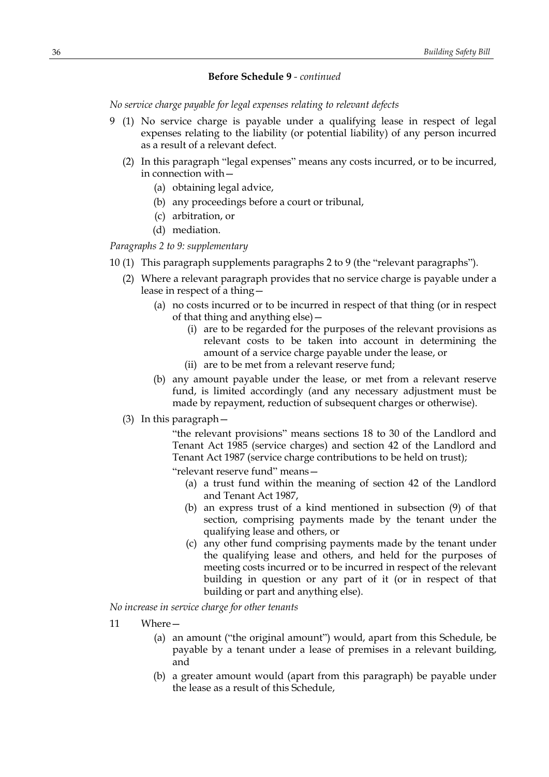## **Before Schedule 9** *- continued*

*No service charge payable for legal expenses relating to relevant defects*

- 9 (1) No service charge is payable under a qualifying lease in respect of legal expenses relating to the liability (or potential liability) of any person incurred as a result of a relevant defect.
	- (2) In this paragraph "legal expenses" means any costs incurred, or to be incurred, in connection with—
		- (a) obtaining legal advice,
		- (b) any proceedings before a court or tribunal,
		- (c) arbitration, or
		- (d) mediation.

*Paragraphs 2 to 9: supplementary*

- 10 (1) This paragraph supplements paragraphs 2 to 9 (the "relevant paragraphs").
	- (2) Where a relevant paragraph provides that no service charge is payable under a lease in respect of a thing—
		- (a) no costs incurred or to be incurred in respect of that thing (or in respect of that thing and anything else)—
			- (i) are to be regarded for the purposes of the relevant provisions as relevant costs to be taken into account in determining the amount of a service charge payable under the lease, or
			- (ii) are to be met from a relevant reserve fund;
		- (b) any amount payable under the lease, or met from a relevant reserve fund, is limited accordingly (and any necessary adjustment must be made by repayment, reduction of subsequent charges or otherwise).
	- (3) In this paragraph—

"the relevant provisions" means sections 18 to 30 of the Landlord and Tenant Act 1985 (service charges) and section 42 of the Landlord and Tenant Act 1987 (service charge contributions to be held on trust);

"relevant reserve fund" means—

- (a) a trust fund within the meaning of section 42 of the Landlord and Tenant Act 1987,
- (b) an express trust of a kind mentioned in subsection (9) of that section, comprising payments made by the tenant under the qualifying lease and others, or
- (c) any other fund comprising payments made by the tenant under the qualifying lease and others, and held for the purposes of meeting costs incurred or to be incurred in respect of the relevant building in question or any part of it (or in respect of that building or part and anything else).

*No increase in service charge for other tenants*

- 11 Where—
	- (a) an amount ("the original amount") would, apart from this Schedule, be payable by a tenant under a lease of premises in a relevant building, and
	- (b) a greater amount would (apart from this paragraph) be payable under the lease as a result of this Schedule,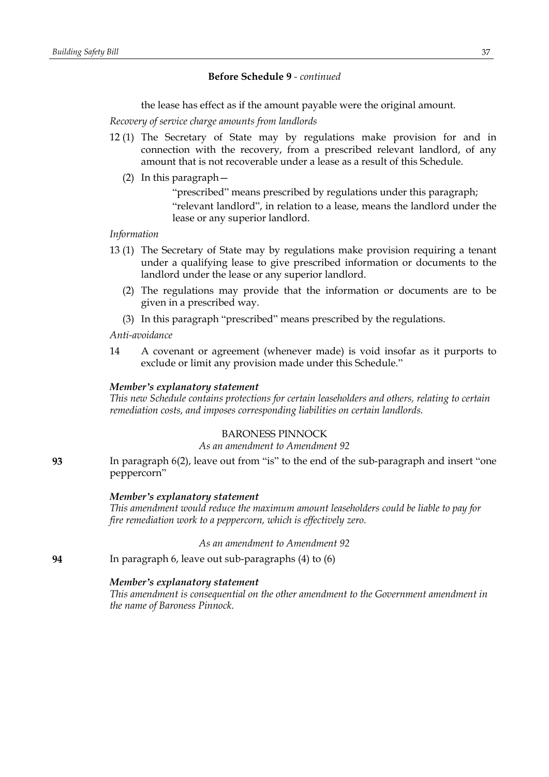# **Before Schedule 9** *- continued*

the lease has effect as if the amount payable were the original amount.

*Recovery of service charge amounts from landlords*

- 12 (1) The Secretary of State may by regulations make provision for and in connection with the recovery, from a prescribed relevant landlord, of any amount that is not recoverable under a lease as a result of this Schedule.
	- (2) In this paragraph—
		- "prescribed" means prescribed by regulations under this paragraph; "relevant landlord", in relation to a lease, means the landlord under the lease or any superior landlord.

# *Information*

- 13 (1) The Secretary of State may by regulations make provision requiring a tenant under a qualifying lease to give prescribed information or documents to the landlord under the lease or any superior landlord.
	- (2) The regulations may provide that the information or documents are to be given in a prescribed way.
	- (3) In this paragraph "prescribed" means prescribed by the regulations.

#### *Anti-avoidance*

14 A covenant or agreement (whenever made) is void insofar as it purports to exclude or limit any provision made under this Schedule."

### *Member's explanatory statement*

*This new Schedule contains protections for certain leaseholders and others, relating to certain remediation costs, and imposes corresponding liabilities on certain landlords.*

# BARONESS PINNOCK

# *As an amendment to Amendment 92*

**93** In paragraph 6(2), leave out from "is" to the end of the sub-paragraph and insert "one peppercorn"

#### *Member's explanatory statement*

*This amendment would reduce the maximum amount leaseholders could be liable to pay for fire remediation work to a peppercorn, which is effectively zero.*

*As an amendment to Amendment 92*

**94** In paragraph 6, leave out sub-paragraphs (4) to (6)

### *Member's explanatory statement*

*This amendment is consequential on the other amendment to the Government amendment in the name of Baroness Pinnock.*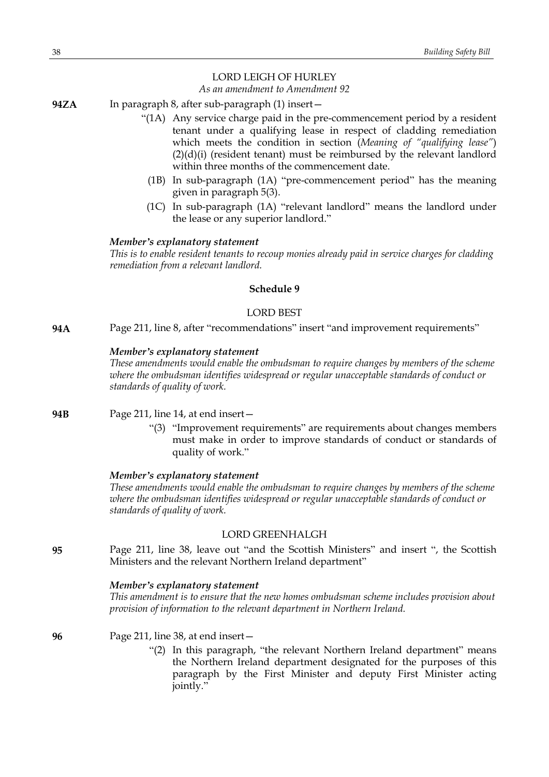# LORD LEIGH OF HURLEY

# *As an amendment to Amendment 92*

- **94ZA** In paragraph 8, after sub-paragraph (1) insert—
	- "(1A) Any service charge paid in the pre-commencement period by a resident tenant under a qualifying lease in respect of cladding remediation which meets the condition in section (*Meaning of "qualifying lease"*) (2)(d)(i) (resident tenant) must be reimbursed by the relevant landlord within three months of the commencement date.
		- (1B) In sub-paragraph (1A) "pre-commencement period" has the meaning given in paragraph 5(3).
		- (1C) In sub-paragraph (1A) "relevant landlord" means the landlord under the lease or any superior landlord."

### *Member's explanatory statement*

*This is to enable resident tenants to recoup monies already paid in service charges for cladding remediation from a relevant landlord.*

# **Schedule 9**

# LORD BEST

**94A** Page 211, line 8, after "recommendations" insert "and improvement requirements"

### *Member's explanatory statement*

*These amendments would enable the ombudsman to require changes by members of the scheme where the ombudsman identifies widespread or regular unacceptable standards of conduct or standards of quality of work.*

**94B** Page 211, line 14, at end insert—

"(3) "Improvement requirements" are requirements about changes members must make in order to improve standards of conduct or standards of quality of work."

#### *Member's explanatory statement*

*These amendments would enable the ombudsman to require changes by members of the scheme where the ombudsman identifies widespread or regular unacceptable standards of conduct or standards of quality of work.*

### LORD GREENHALGH

**95** Page 211, line 38, leave out "and the Scottish Ministers" and insert ", the Scottish Ministers and the relevant Northern Ireland department"

### *Member's explanatory statement*

*This amendment is to ensure that the new homes ombudsman scheme includes provision about provision of information to the relevant department in Northern Ireland.*

**96** Page 211, line 38, at end insert—

"(2) In this paragraph, "the relevant Northern Ireland department" means the Northern Ireland department designated for the purposes of this paragraph by the First Minister and deputy First Minister acting jointly."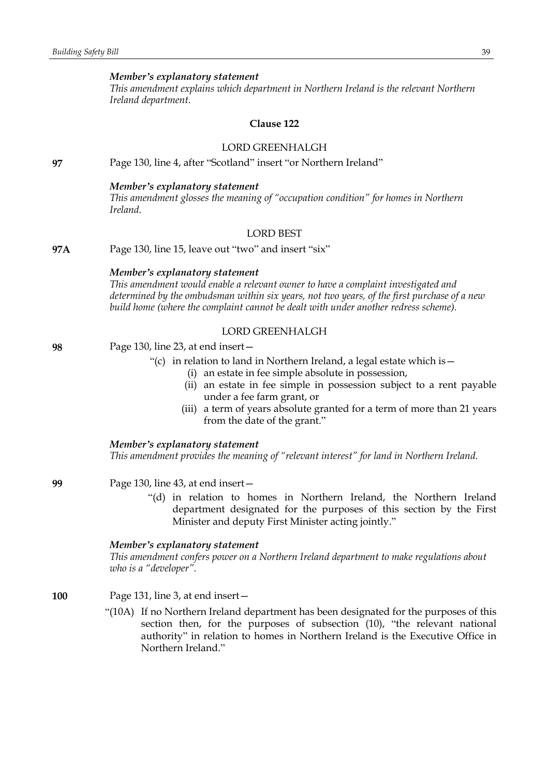### *Member's explanatory statement*

*This amendment explains which department in Northern Ireland is the relevant Northern Ireland department.*

### **Clause 122**

# LORD GREENHALGH

**97** Page 130, line 4, after "Scotland" insert "or Northern Ireland"

### *Member's explanatory statement*

*This amendment glosses the meaning of "occupation condition" for homes in Northern Ireland.*

# LORD BEST

**97A** Page 130, line 15, leave out "two" and insert "six"

### *Member's explanatory statement*

*This amendment would enable a relevant owner to have a complaint investigated and determined by the ombudsman within six years, not two years, of the first purchase of a new build home (where the complaint cannot be dealt with under another redress scheme).*

# LORD GREENHALGH

# **98** Page 130, line 23, at end insert—

- "(c) in relation to land in Northern Ireland, a legal estate which is  $-$ 
	- (i) an estate in fee simple absolute in possession,
	- (ii) an estate in fee simple in possession subject to a rent payable under a fee farm grant, or
	- (iii) a term of years absolute granted for a term of more than 21 years from the date of the grant."

#### *Member's explanatory statement*

*This amendment provides the meaning of "relevant interest" for land in Northern Ireland.*

### **99** Page 130, line 43, at end insert—

"(d) in relation to homes in Northern Ireland, the Northern Ireland department designated for the purposes of this section by the First Minister and deputy First Minister acting jointly."

### *Member's explanatory statement*

*This amendment confers power on a Northern Ireland department to make regulations about who is a "developer".*

- **100** Page 131, line 3, at end insert—
	- "(10A) If no Northern Ireland department has been designated for the purposes of this section then, for the purposes of subsection (10), "the relevant national authority" in relation to homes in Northern Ireland is the Executive Office in Northern Ireland."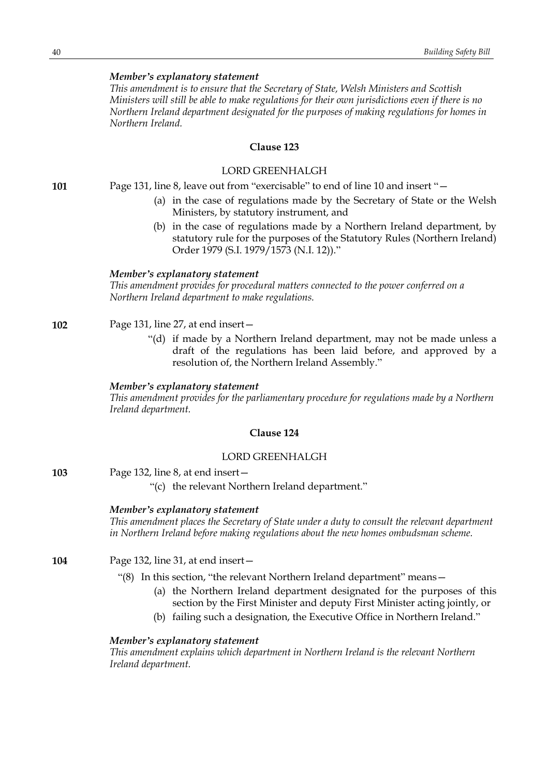### *Member's explanatory statement*

*This amendment is to ensure that the Secretary of State, Welsh Ministers and Scottish Ministers will still be able to make regulations for their own jurisdictions even if there is no Northern Ireland department designated for the purposes of making regulations for homes in Northern Ireland.*

# **Clause 123**

### LORD GREENHALGH

**101** Page 131, line 8, leave out from "exercisable" to end of line 10 and insert "—

- (a) in the case of regulations made by the Secretary of State or the Welsh Ministers, by statutory instrument, and
- (b) in the case of regulations made by a Northern Ireland department, by statutory rule for the purposes of the Statutory Rules (Northern Ireland) Order 1979 (S.I. 1979/1573 (N.I. 12))."

#### *Member's explanatory statement*

*This amendment provides for procedural matters connected to the power conferred on a Northern Ireland department to make regulations.*

### **102** Page 131, line 27, at end insert—

"(d) if made by a Northern Ireland department, may not be made unless a draft of the regulations has been laid before, and approved by a resolution of, the Northern Ireland Assembly."

### *Member's explanatory statement*

*This amendment provides for the parliamentary procedure for regulations made by a Northern Ireland department.*

### **Clause 124**

### LORD GREENHALGH

- **103** Page 132, line 8, at end insert—
	- "(c) the relevant Northern Ireland department."

### *Member's explanatory statement*

*This amendment places the Secretary of State under a duty to consult the relevant department in Northern Ireland before making regulations about the new homes ombudsman scheme.*

- **104** Page 132, line 31, at end insert—
	- "(8) In this section, "the relevant Northern Ireland department" means—
		- (a) the Northern Ireland department designated for the purposes of this section by the First Minister and deputy First Minister acting jointly, or
		- (b) failing such a designation, the Executive Office in Northern Ireland."

### *Member's explanatory statement*

*This amendment explains which department in Northern Ireland is the relevant Northern Ireland department.*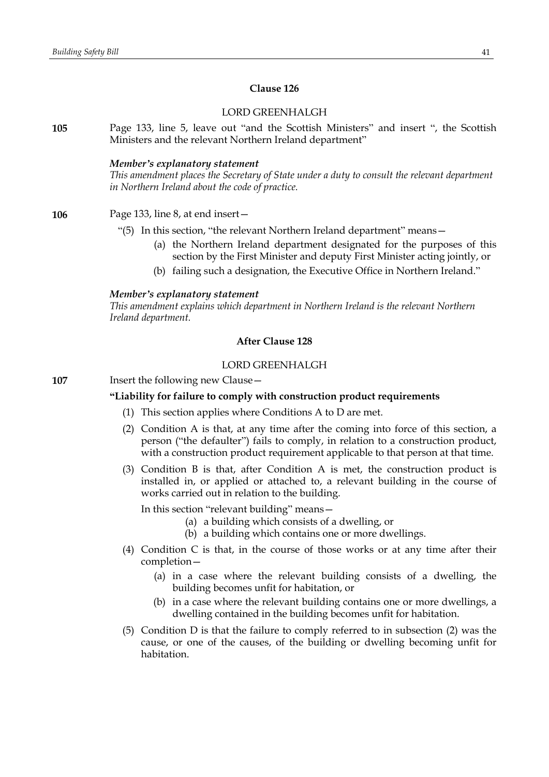# **Clause 126**

# LORD GREENHALGH

**105** Page 133, line 5, leave out "and the Scottish Ministers" and insert ", the Scottish Ministers and the relevant Northern Ireland department"

#### *Member's explanatory statement*

*This amendment places the Secretary of State under a duty to consult the relevant department in Northern Ireland about the code of practice.*

**106** Page 133, line 8, at end insert—

- "(5) In this section, "the relevant Northern Ireland department" means—
	- (a) the Northern Ireland department designated for the purposes of this section by the First Minister and deputy First Minister acting jointly, or
	- (b) failing such a designation, the Executive Office in Northern Ireland."

#### *Member's explanatory statement*

*This amendment explains which department in Northern Ireland is the relevant Northern Ireland department.*

# **After Clause 128**

# LORD GREENHALGH

**107** Insert the following new Clause—

### **"Liability for failure to comply with construction product requirements**

- (1) This section applies where Conditions A to D are met.
- (2) Condition A is that, at any time after the coming into force of this section, a person ("the defaulter") fails to comply, in relation to a construction product, with a construction product requirement applicable to that person at that time.
- (3) Condition B is that, after Condition A is met, the construction product is installed in, or applied or attached to, a relevant building in the course of works carried out in relation to the building.

In this section "relevant building" means—

- (a) a building which consists of a dwelling, or
- (b) a building which contains one or more dwellings.
- (4) Condition C is that, in the course of those works or at any time after their completion—
	- (a) in a case where the relevant building consists of a dwelling, the building becomes unfit for habitation, or
	- (b) in a case where the relevant building contains one or more dwellings, a dwelling contained in the building becomes unfit for habitation.
- (5) Condition D is that the failure to comply referred to in subsection (2) was the cause, or one of the causes, of the building or dwelling becoming unfit for habitation.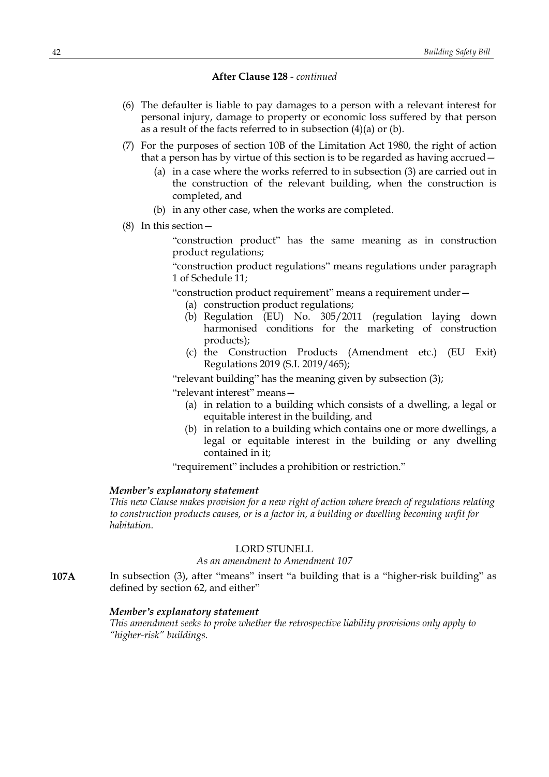- (6) The defaulter is liable to pay damages to a person with a relevant interest for personal injury, damage to property or economic loss suffered by that person as a result of the facts referred to in subsection (4)(a) or (b).
- (7) For the purposes of section 10B of the Limitation Act 1980, the right of action that a person has by virtue of this section is to be regarded as having accrued—
	- (a) in a case where the works referred to in subsection (3) are carried out in the construction of the relevant building, when the construction is completed, and
	- (b) in any other case, when the works are completed.
- (8) In this section—

"construction product" has the same meaning as in construction product regulations;

"construction product regulations" means regulations under paragraph 1 of Schedule 11;

"construction product requirement" means a requirement under—

- (a) construction product regulations;
- (b) Regulation (EU) No. 305/2011 (regulation laying down harmonised conditions for the marketing of construction products);
- (c) the Construction Products (Amendment etc.) (EU Exit) Regulations 2019 (S.I. 2019/465);

"relevant building" has the meaning given by subsection (3);

"relevant interest" means—

- (a) in relation to a building which consists of a dwelling, a legal or equitable interest in the building, and
- (b) in relation to a building which contains one or more dwellings, a legal or equitable interest in the building or any dwelling contained in it;

"requirement" includes a prohibition or restriction."

### *Member's explanatory statement*

*This new Clause makes provision for a new right of action where breach of regulations relating to construction products causes, or is a factor in, a building or dwelling becoming unfit for habitation.*

### LORD STUNELL

# *As an amendment to Amendment 107*

**107A** In subsection (3), after "means" insert "a building that is a "higher-risk building" as defined by section 62, and either"

# *Member's explanatory statement*

*This amendment seeks to probe whether the retrospective liability provisions only apply to "higher-risk" buildings.*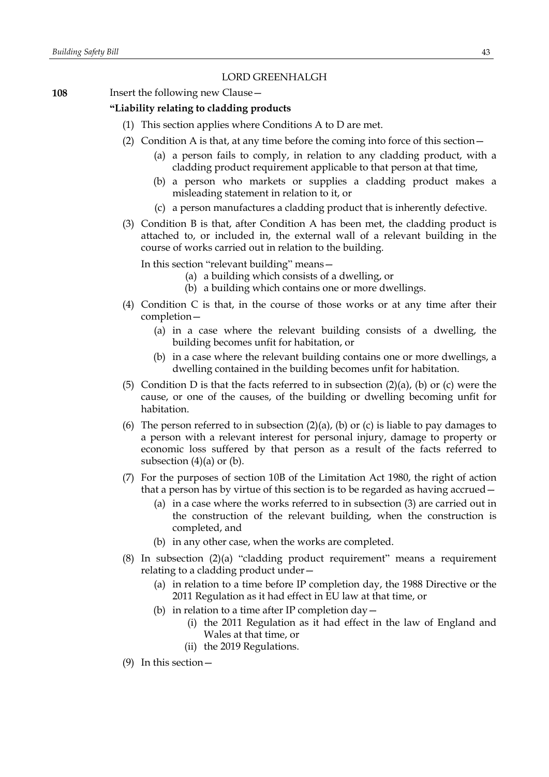# LORD GREENHALGH

**108** Insert the following new Clause –

# **"Liability relating to cladding products**

- (1) This section applies where Conditions A to D are met.
- (2) Condition A is that, at any time before the coming into force of this section—
	- (a) a person fails to comply, in relation to any cladding product, with a cladding product requirement applicable to that person at that time,
	- (b) a person who markets or supplies a cladding product makes a misleading statement in relation to it, or
	- (c) a person manufactures a cladding product that is inherently defective.
- (3) Condition B is that, after Condition A has been met, the cladding product is attached to, or included in, the external wall of a relevant building in the course of works carried out in relation to the building.

In this section "relevant building" means—

- (a) a building which consists of a dwelling, or
- (b) a building which contains one or more dwellings.
- (4) Condition C is that, in the course of those works or at any time after their completion—
	- (a) in a case where the relevant building consists of a dwelling, the building becomes unfit for habitation, or
	- (b) in a case where the relevant building contains one or more dwellings, a dwelling contained in the building becomes unfit for habitation.
- (5) Condition D is that the facts referred to in subsection  $(2)(a)$ , (b) or (c) were the cause, or one of the causes, of the building or dwelling becoming unfit for habitation.
- (6) The person referred to in subsection  $(2)(a)$ ,  $(b)$  or  $(c)$  is liable to pay damages to a person with a relevant interest for personal injury, damage to property or economic loss suffered by that person as a result of the facts referred to subsection  $(4)(a)$  or  $(b)$ .
- (7) For the purposes of section 10B of the Limitation Act 1980, the right of action that a person has by virtue of this section is to be regarded as having accrued—
	- (a) in a case where the works referred to in subsection (3) are carried out in the construction of the relevant building, when the construction is completed, and
	- (b) in any other case, when the works are completed.
- (8) In subsection (2)(a) "cladding product requirement" means a requirement relating to a cladding product under—
	- (a) in relation to a time before IP completion day, the 1988 Directive or the 2011 Regulation as it had effect in EU law at that time, or
	- (b) in relation to a time after IP completion day  $-$ 
		- (i) the 2011 Regulation as it had effect in the law of England and Wales at that time, or
		- (ii) the 2019 Regulations.
- (9) In this section—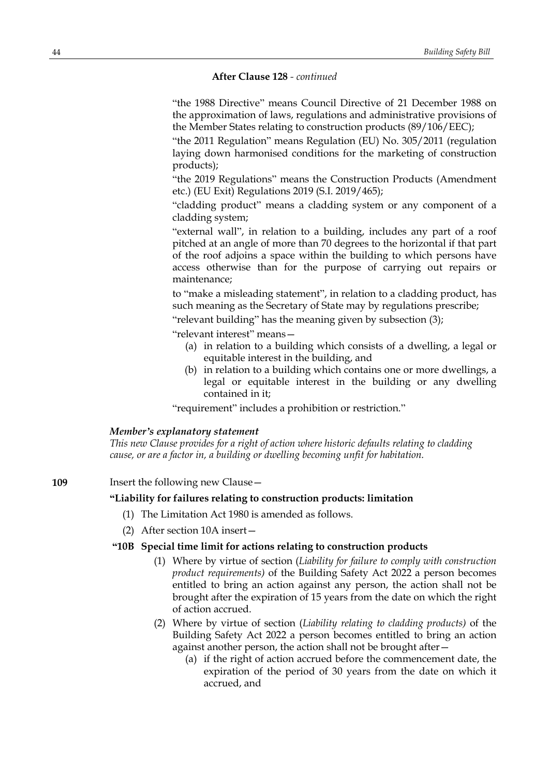"the 1988 Directive" means Council Directive of 21 December 1988 on the approximation of laws, regulations and administrative provisions of the Member States relating to construction products (89/106/EEC);

"the 2011 Regulation" means Regulation (EU) No. 305/2011 (regulation laying down harmonised conditions for the marketing of construction products);

"the 2019 Regulations" means the Construction Products (Amendment etc.) (EU Exit) Regulations 2019 (S.I. 2019/465);

"cladding product" means a cladding system or any component of a cladding system;

"external wall", in relation to a building, includes any part of a roof pitched at an angle of more than 70 degrees to the horizontal if that part of the roof adjoins a space within the building to which persons have access otherwise than for the purpose of carrying out repairs or maintenance;

to "make a misleading statement", in relation to a cladding product, has such meaning as the Secretary of State may by regulations prescribe;

"relevant building" has the meaning given by subsection (3);

"relevant interest" means—

- (a) in relation to a building which consists of a dwelling, a legal or equitable interest in the building, and
- (b) in relation to a building which contains one or more dwellings, a legal or equitable interest in the building or any dwelling contained in it;

"requirement" includes a prohibition or restriction."

### *Member's explanatory statement*

*This new Clause provides for a right of action where historic defaults relating to cladding cause, or are a factor in, a building or dwelling becoming unfit for habitation.*

**109** Insert the following new Clause -

# **"Liability for failures relating to construction products: limitation**

- (1) The Limitation Act 1980 is amended as follows.
- (2) After section 10A insert—

# **"10B Special time limit for actions relating to construction products**

- (1) Where by virtue of section (*Liability for failure to comply with construction product requirements)* of the Building Safety Act 2022 a person becomes entitled to bring an action against any person, the action shall not be brought after the expiration of 15 years from the date on which the right of action accrued.
- (2) Where by virtue of section (*Liability relating to cladding products)* of the Building Safety Act 2022 a person becomes entitled to bring an action against another person, the action shall not be brought after—
	- (a) if the right of action accrued before the commencement date, the expiration of the period of 30 years from the date on which it accrued, and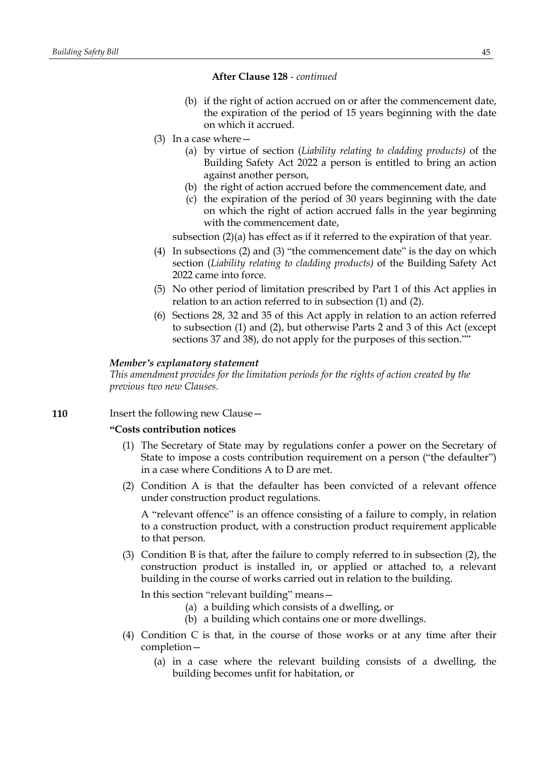- (b) if the right of action accrued on or after the commencement date, the expiration of the period of 15 years beginning with the date on which it accrued.
- (3) In a case where—
	- (a) by virtue of section (*Liability relating to cladding products)* of the Building Safety Act 2022 a person is entitled to bring an action against another person,
	- (b) the right of action accrued before the commencement date, and
	- (c) the expiration of the period of 30 years beginning with the date on which the right of action accrued falls in the year beginning with the commencement date,

subsection (2)(a) has effect as if it referred to the expiration of that year.

- (4) In subsections (2) and (3) "the commencement date" is the day on which section (*Liability relating to cladding products)* of the Building Safety Act 2022 came into force.
- (5) No other period of limitation prescribed by Part 1 of this Act applies in relation to an action referred to in subsection (1) and (2).
- (6) Sections 28, 32 and 35 of this Act apply in relation to an action referred to subsection (1) and (2), but otherwise Parts 2 and 3 of this Act (except sections 37 and 38), do not apply for the purposes of this section.""

### *Member's explanatory statement*

*This amendment provides for the limitation periods for the rights of action created by the previous two new Clauses.*

### **110** Insert the following new Clause –

# **"Costs contribution notices**

- (1) The Secretary of State may by regulations confer a power on the Secretary of State to impose a costs contribution requirement on a person ("the defaulter") in a case where Conditions A to D are met.
- (2) Condition A is that the defaulter has been convicted of a relevant offence under construction product regulations.

A "relevant offence" is an offence consisting of a failure to comply, in relation to a construction product, with a construction product requirement applicable to that person.

(3) Condition B is that, after the failure to comply referred to in subsection (2), the construction product is installed in, or applied or attached to, a relevant building in the course of works carried out in relation to the building.

In this section "relevant building" means—

- (a) a building which consists of a dwelling, or
- (b) a building which contains one or more dwellings.
- (4) Condition C is that, in the course of those works or at any time after their completion—
	- (a) in a case where the relevant building consists of a dwelling, the building becomes unfit for habitation, or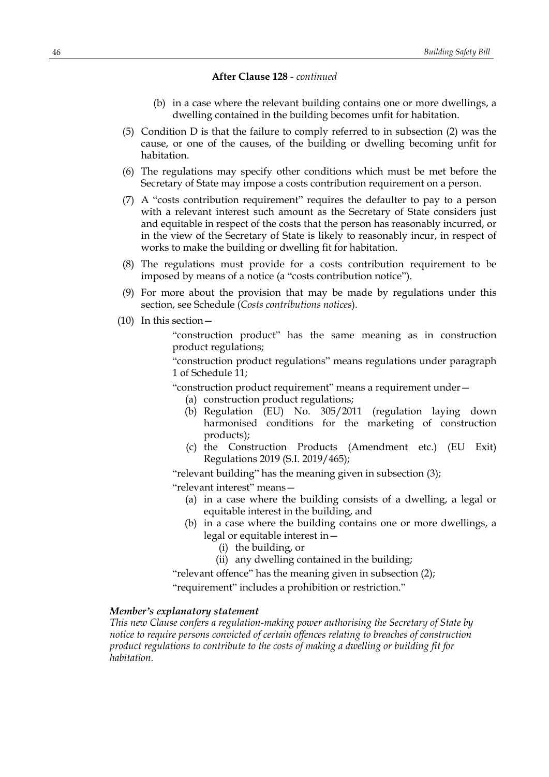- (b) in a case where the relevant building contains one or more dwellings, a dwelling contained in the building becomes unfit for habitation.
- (5) Condition D is that the failure to comply referred to in subsection (2) was the cause, or one of the causes, of the building or dwelling becoming unfit for habitation.
- (6) The regulations may specify other conditions which must be met before the Secretary of State may impose a costs contribution requirement on a person.
- (7) A "costs contribution requirement" requires the defaulter to pay to a person with a relevant interest such amount as the Secretary of State considers just and equitable in respect of the costs that the person has reasonably incurred, or in the view of the Secretary of State is likely to reasonably incur, in respect of works to make the building or dwelling fit for habitation.
- (8) The regulations must provide for a costs contribution requirement to be imposed by means of a notice (a "costs contribution notice").
- (9) For more about the provision that may be made by regulations under this section, see Schedule (*Costs contributions notices*).
- (10) In this section—

"construction product" has the same meaning as in construction product regulations;

"construction product regulations" means regulations under paragraph 1 of Schedule 11;

"construction product requirement" means a requirement under—

(a) construction product regulations;

- (b) Regulation (EU) No. 305/2011 (regulation laying down harmonised conditions for the marketing of construction products);
- (c) the Construction Products (Amendment etc.) (EU Exit) Regulations 2019 (S.I. 2019/465);

"relevant building" has the meaning given in subsection (3);

"relevant interest" means—

- (a) in a case where the building consists of a dwelling, a legal or equitable interest in the building, and
- (b) in a case where the building contains one or more dwellings, a legal or equitable interest in—
	- (i) the building, or
	- (ii) any dwelling contained in the building;

"relevant offence" has the meaning given in subsection (2);

"requirement" includes a prohibition or restriction."

# *Member's explanatory statement*

*This new Clause confers a regulation-making power authorising the Secretary of State by notice to require persons convicted of certain offences relating to breaches of construction product regulations to contribute to the costs of making a dwelling or building fit for habitation.*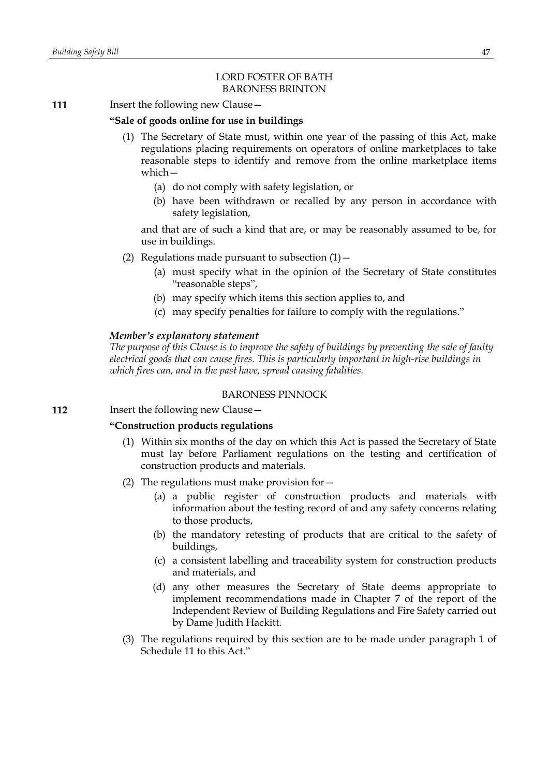# LORD FOSTER OF BATH BARONESS BRINTON

# **111** Insert the following new Clause -

# **"Sale of goods online for use in buildings**

- (1) The Secretary of State must, within one year of the passing of this Act, make regulations placing requirements on operators of online marketplaces to take reasonable steps to identify and remove from the online marketplace items which—
	- (a) do not comply with safety legislation, or
	- (b) have been withdrawn or recalled by any person in accordance with safety legislation,

and that are of such a kind that are, or may be reasonably assumed to be, for use in buildings.

- (2) Regulations made pursuant to subsection  $(1)$  -
	- (a) must specify what in the opinion of the Secretary of State constitutes "reasonable steps",
	- (b) may specify which items this section applies to, and
	- (c) may specify penalties for failure to comply with the regulations."

### *Member's explanatory statement*

*The purpose of this Clause is to improve the safety of buildings by preventing the sale of faulty electrical goods that can cause fires. This is particularly important in high-rise buildings in which fires can, and in the past have, spread causing fatalities.*

# BARONESS PINNOCK

**112** Insert the following new Clause -

### **"Construction products regulations**

- (1) Within six months of the day on which this Act is passed the Secretary of State must lay before Parliament regulations on the testing and certification of construction products and materials.
- (2) The regulations must make provision for—
	- (a) a public register of construction products and materials with information about the testing record of and any safety concerns relating to those products,
	- (b) the mandatory retesting of products that are critical to the safety of buildings,
	- (c) a consistent labelling and traceability system for construction products and materials, and
	- (d) any other measures the Secretary of State deems appropriate to implement recommendations made in Chapter 7 of the report of the Independent Review of Building Regulations and Fire Safety carried out by Dame Judith Hackitt.
- (3) The regulations required by this section are to be made under paragraph 1 of Schedule 11 to this Act."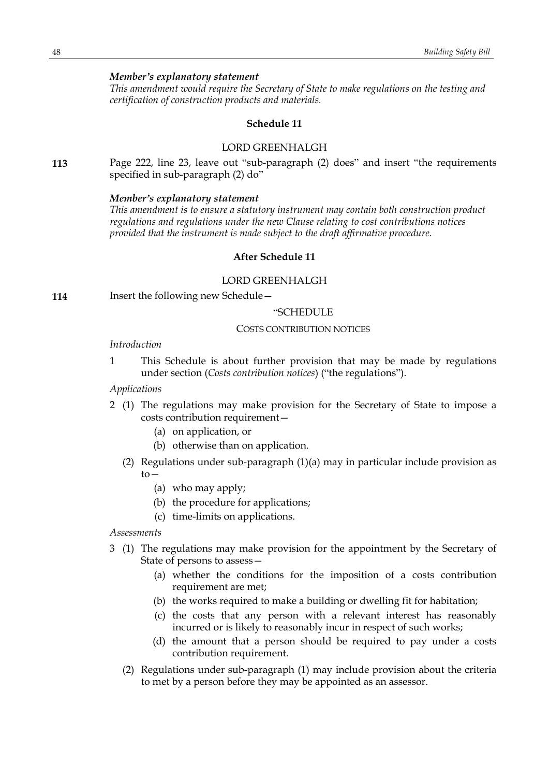### *Member's explanatory statement*

*This amendment would require the Secretary of State to make regulations on the testing and certification of construction products and materials.*

### **Schedule 11**

# LORD GREENHALGH

**113** Page 222, line 23, leave out "sub-paragraph (2) does" and insert "the requirements specified in sub-paragraph (2) do"

#### *Member's explanatory statement*

*This amendment is to ensure a statutory instrument may contain both construction product regulations and regulations under the new Clause relating to cost contributions notices provided that the instrument is made subject to the draft affirmative procedure.*

# **After Schedule 11**

# LORD GREENHALGH

**114** Insert the following new Schedule—

### "SCHEDULE

### COSTS CONTRIBUTION NOTICES

### *Introduction*

1 This Schedule is about further provision that may be made by regulations under section (*Costs contribution notices*) ("the regulations").

# *Applications*

- 2 (1) The regulations may make provision for the Secretary of State to impose a costs contribution requirement—
	- (a) on application, or
	- (b) otherwise than on application.
	- (2) Regulations under sub-paragraph (1)(a) may in particular include provision as  $to-$ 
		- (a) who may apply;
		- (b) the procedure for applications;
		- (c) time-limits on applications.

*Assessments*

- 3 (1) The regulations may make provision for the appointment by the Secretary of State of persons to assess—
	- (a) whether the conditions for the imposition of a costs contribution requirement are met;
	- (b) the works required to make a building or dwelling fit for habitation;
	- (c) the costs that any person with a relevant interest has reasonably incurred or is likely to reasonably incur in respect of such works;
	- (d) the amount that a person should be required to pay under a costs contribution requirement.
	- (2) Regulations under sub-paragraph (1) may include provision about the criteria to met by a person before they may be appointed as an assessor.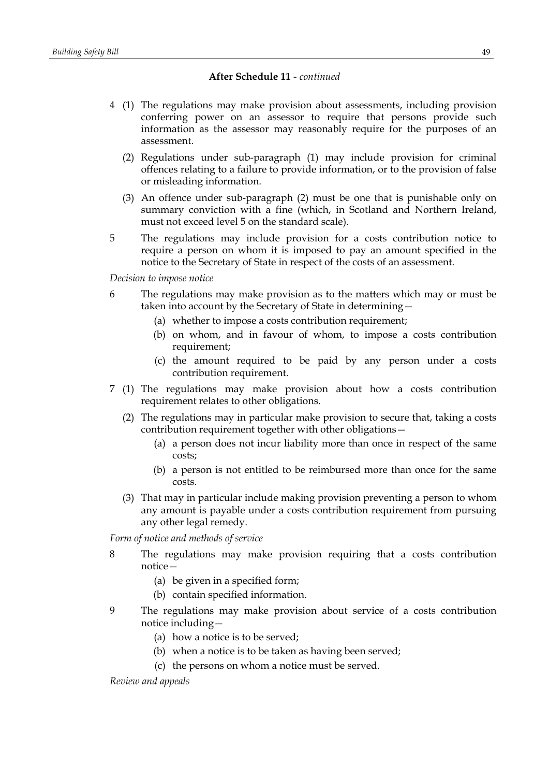- 4 (1) The regulations may make provision about assessments, including provision conferring power on an assessor to require that persons provide such information as the assessor may reasonably require for the purposes of an assessment.
	- (2) Regulations under sub-paragraph (1) may include provision for criminal offences relating to a failure to provide information, or to the provision of false or misleading information.
	- (3) An offence under sub-paragraph (2) must be one that is punishable only on summary conviction with a fine (which, in Scotland and Northern Ireland, must not exceed level 5 on the standard scale).
- 5 The regulations may include provision for a costs contribution notice to require a person on whom it is imposed to pay an amount specified in the notice to the Secretary of State in respect of the costs of an assessment.

*Decision to impose notice*

- 6 The regulations may make provision as to the matters which may or must be taken into account by the Secretary of State in determining—
	- (a) whether to impose a costs contribution requirement;
	- (b) on whom, and in favour of whom, to impose a costs contribution requirement;
	- (c) the amount required to be paid by any person under a costs contribution requirement.
- 7 (1) The regulations may make provision about how a costs contribution requirement relates to other obligations.
	- (2) The regulations may in particular make provision to secure that, taking a costs contribution requirement together with other obligations—
		- (a) a person does not incur liability more than once in respect of the same costs;
		- (b) a person is not entitled to be reimbursed more than once for the same costs.
	- (3) That may in particular include making provision preventing a person to whom any amount is payable under a costs contribution requirement from pursuing any other legal remedy.

*Form of notice and methods of service*

- 8 The regulations may make provision requiring that a costs contribution notice—
	- (a) be given in a specified form;
	- (b) contain specified information.
- 9 The regulations may make provision about service of a costs contribution notice including—
	- (a) how a notice is to be served;
	- (b) when a notice is to be taken as having been served;
	- (c) the persons on whom a notice must be served.

*Review and appeals*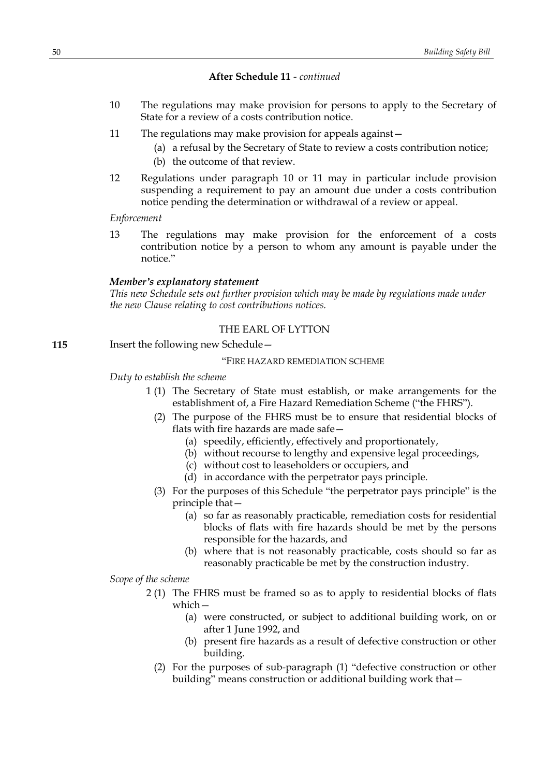- 10 The regulations may make provision for persons to apply to the Secretary of State for a review of a costs contribution notice.
- 11 The regulations may make provision for appeals against—
	- (a) a refusal by the Secretary of State to review a costs contribution notice;
	- (b) the outcome of that review.
- 12 Regulations under paragraph 10 or 11 may in particular include provision suspending a requirement to pay an amount due under a costs contribution notice pending the determination or withdrawal of a review or appeal.

*Enforcement*

13 The regulations may make provision for the enforcement of a costs contribution notice by a person to whom any amount is payable under the notice."

### *Member's explanatory statement*

*This new Schedule sets out further provision which may be made by regulations made under the new Clause relating to cost contributions notices.*

# THE EARL OF LYTTON

**115** Insert the following new Schedule -

# "FIRE HAZARD REMEDIATION SCHEME

### *Duty to establish the scheme*

- 1 (1) The Secretary of State must establish, or make arrangements for the establishment of, a Fire Hazard Remediation Scheme ("the FHRS").
- (2) The purpose of the FHRS must be to ensure that residential blocks of flats with fire hazards are made safe—
	- (a) speedily, efficiently, effectively and proportionately,
	- (b) without recourse to lengthy and expensive legal proceedings,
	- (c) without cost to leaseholders or occupiers, and
	- (d) in accordance with the perpetrator pays principle.
- (3) For the purposes of this Schedule "the perpetrator pays principle" is the principle that—
	- (a) so far as reasonably practicable, remediation costs for residential blocks of flats with fire hazards should be met by the persons responsible for the hazards, and
	- (b) where that is not reasonably practicable, costs should so far as reasonably practicable be met by the construction industry.

*Scope of the scheme*

- 2 (1) The FHRS must be framed so as to apply to residential blocks of flats which—
	- (a) were constructed, or subject to additional building work, on or after 1 June 1992, and
	- (b) present fire hazards as a result of defective construction or other building.
	- (2) For the purposes of sub-paragraph (1) "defective construction or other building" means construction or additional building work that—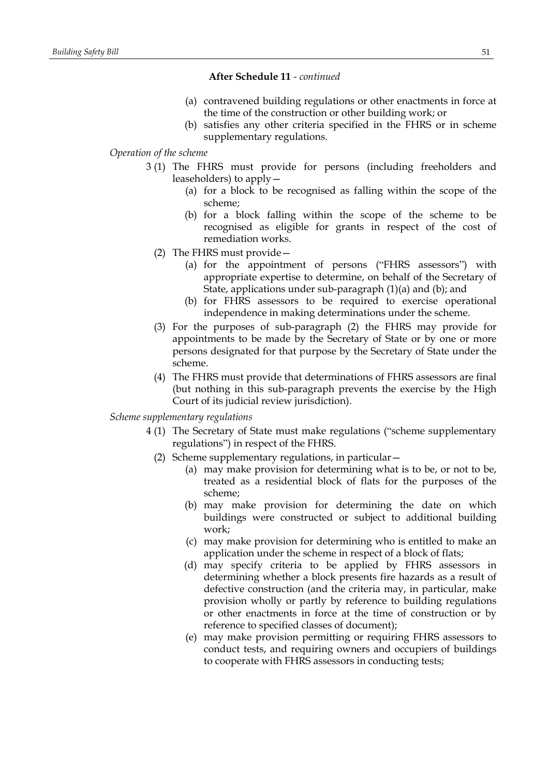- (a) contravened building regulations or other enactments in force at the time of the construction or other building work; or
- (b) satisfies any other criteria specified in the FHRS or in scheme supplementary regulations.

# *Operation of the scheme*

- 3 (1) The FHRS must provide for persons (including freeholders and leaseholders) to apply—
	- (a) for a block to be recognised as falling within the scope of the scheme;
	- (b) for a block falling within the scope of the scheme to be recognised as eligible for grants in respect of the cost of remediation works.
	- (2) The FHRS must provide—
		- (a) for the appointment of persons ("FHRS assessors") with appropriate expertise to determine, on behalf of the Secretary of State, applications under sub-paragraph (1)(a) and (b); and
		- (b) for FHRS assessors to be required to exercise operational independence in making determinations under the scheme.
	- (3) For the purposes of sub-paragraph (2) the FHRS may provide for appointments to be made by the Secretary of State or by one or more persons designated for that purpose by the Secretary of State under the scheme.
	- (4) The FHRS must provide that determinations of FHRS assessors are final (but nothing in this sub-paragraph prevents the exercise by the High Court of its judicial review jurisdiction).

# *Scheme supplementary regulations*

- 4 (1) The Secretary of State must make regulations ("scheme supplementary regulations") in respect of the FHRS.
	- (2) Scheme supplementary regulations, in particular—
		- (a) may make provision for determining what is to be, or not to be, treated as a residential block of flats for the purposes of the scheme;
		- (b) may make provision for determining the date on which buildings were constructed or subject to additional building work;
		- (c) may make provision for determining who is entitled to make an application under the scheme in respect of a block of flats;
		- (d) may specify criteria to be applied by FHRS assessors in determining whether a block presents fire hazards as a result of defective construction (and the criteria may, in particular, make provision wholly or partly by reference to building regulations or other enactments in force at the time of construction or by reference to specified classes of document);
		- (e) may make provision permitting or requiring FHRS assessors to conduct tests, and requiring owners and occupiers of buildings to cooperate with FHRS assessors in conducting tests;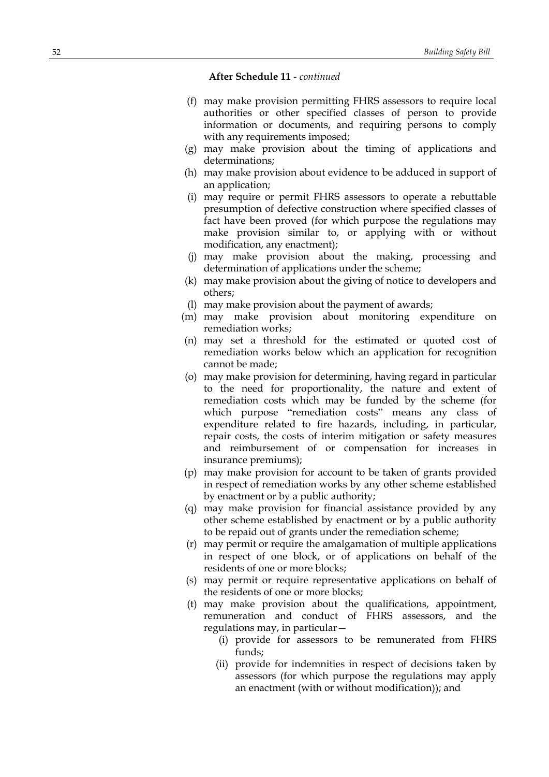- (f) may make provision permitting FHRS assessors to require local authorities or other specified classes of person to provide information or documents, and requiring persons to comply with any requirements imposed;
- (g) may make provision about the timing of applications and determinations;
- (h) may make provision about evidence to be adduced in support of an application;
- (i) may require or permit FHRS assessors to operate a rebuttable presumption of defective construction where specified classes of fact have been proved (for which purpose the regulations may make provision similar to, or applying with or without modification, any enactment);
- (j) may make provision about the making, processing and determination of applications under the scheme;
- (k) may make provision about the giving of notice to developers and others;
- (l) may make provision about the payment of awards;
- (m) may make provision about monitoring expenditure on remediation works;
- (n) may set a threshold for the estimated or quoted cost of remediation works below which an application for recognition cannot be made;
- (o) may make provision for determining, having regard in particular to the need for proportionality, the nature and extent of remediation costs which may be funded by the scheme (for which purpose "remediation costs" means any class of expenditure related to fire hazards, including, in particular, repair costs, the costs of interim mitigation or safety measures and reimbursement of or compensation for increases in insurance premiums);
- (p) may make provision for account to be taken of grants provided in respect of remediation works by any other scheme established by enactment or by a public authority;
- (q) may make provision for financial assistance provided by any other scheme established by enactment or by a public authority to be repaid out of grants under the remediation scheme;
- (r) may permit or require the amalgamation of multiple applications in respect of one block, or of applications on behalf of the residents of one or more blocks;
- (s) may permit or require representative applications on behalf of the residents of one or more blocks;
- (t) may make provision about the qualifications, appointment, remuneration and conduct of FHRS assessors, and the regulations may, in particular—
	- (i) provide for assessors to be remunerated from FHRS funds;
	- (ii) provide for indemnities in respect of decisions taken by assessors (for which purpose the regulations may apply an enactment (with or without modification)); and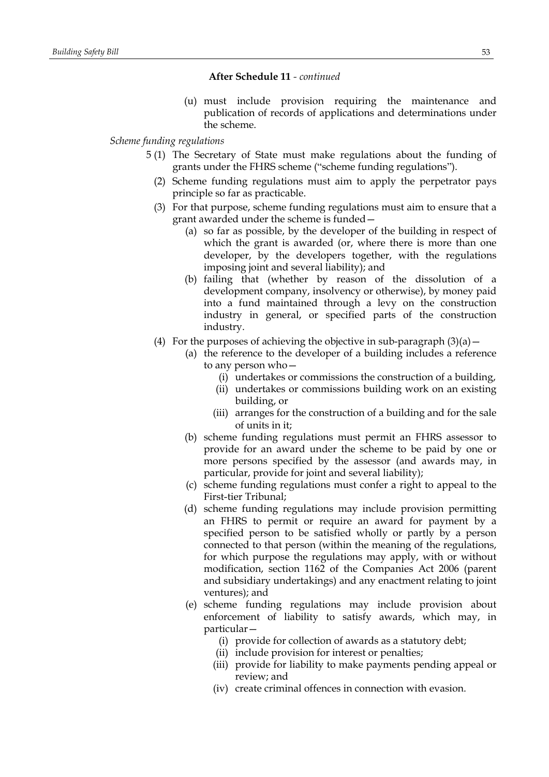(u) must include provision requiring the maintenance and publication of records of applications and determinations under the scheme.

# *Scheme funding regulations*

- 5 (1) The Secretary of State must make regulations about the funding of grants under the FHRS scheme ("scheme funding regulations").
	- (2) Scheme funding regulations must aim to apply the perpetrator pays principle so far as practicable.
	- (3) For that purpose, scheme funding regulations must aim to ensure that a grant awarded under the scheme is funded—
		- (a) so far as possible, by the developer of the building in respect of which the grant is awarded (or, where there is more than one developer, by the developers together, with the regulations imposing joint and several liability); and
		- (b) failing that (whether by reason of the dissolution of a development company, insolvency or otherwise), by money paid into a fund maintained through a levy on the construction industry in general, or specified parts of the construction industry.
	- (4) For the purposes of achieving the objective in sub-paragraph  $(3)(a)$ 
		- (a) the reference to the developer of a building includes a reference to any person who—
			- (i) undertakes or commissions the construction of a building,
			- (ii) undertakes or commissions building work on an existing building, or
			- (iii) arranges for the construction of a building and for the sale of units in it;
		- (b) scheme funding regulations must permit an FHRS assessor to provide for an award under the scheme to be paid by one or more persons specified by the assessor (and awards may, in particular, provide for joint and several liability);
		- (c) scheme funding regulations must confer a right to appeal to the First-tier Tribunal;
		- (d) scheme funding regulations may include provision permitting an FHRS to permit or require an award for payment by a specified person to be satisfied wholly or partly by a person connected to that person (within the meaning of the regulations, for which purpose the regulations may apply, with or without modification, section 1162 of the Companies Act 2006 (parent and subsidiary undertakings) and any enactment relating to joint ventures); and
		- (e) scheme funding regulations may include provision about enforcement of liability to satisfy awards, which may, in particular—
			- (i) provide for collection of awards as a statutory debt;
			- (ii) include provision for interest or penalties;
			- (iii) provide for liability to make payments pending appeal or review; and
			- (iv) create criminal offences in connection with evasion.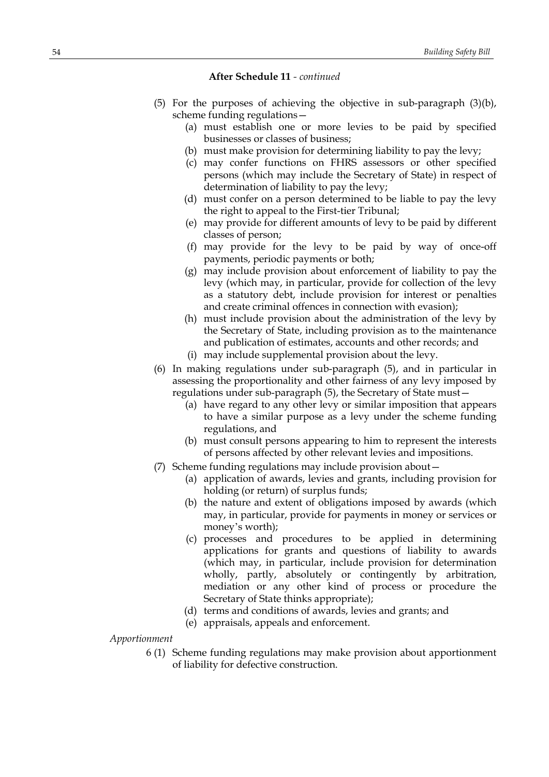- (5) For the purposes of achieving the objective in sub-paragraph (3)(b), scheme funding regulations—
	- (a) must establish one or more levies to be paid by specified businesses or classes of business;
	- (b) must make provision for determining liability to pay the levy;
	- (c) may confer functions on FHRS assessors or other specified persons (which may include the Secretary of State) in respect of determination of liability to pay the levy;
	- (d) must confer on a person determined to be liable to pay the levy the right to appeal to the First-tier Tribunal;
	- (e) may provide for different amounts of levy to be paid by different classes of person;
	- (f) may provide for the levy to be paid by way of once-off payments, periodic payments or both;
	- (g) may include provision about enforcement of liability to pay the levy (which may, in particular, provide for collection of the levy as a statutory debt, include provision for interest or penalties and create criminal offences in connection with evasion);
	- (h) must include provision about the administration of the levy by the Secretary of State, including provision as to the maintenance and publication of estimates, accounts and other records; and
	- (i) may include supplemental provision about the levy.
- (6) In making regulations under sub-paragraph (5), and in particular in assessing the proportionality and other fairness of any levy imposed by regulations under sub-paragraph (5), the Secretary of State must—
	- (a) have regard to any other levy or similar imposition that appears to have a similar purpose as a levy under the scheme funding regulations, and
	- (b) must consult persons appearing to him to represent the interests of persons affected by other relevant levies and impositions.
- (7) Scheme funding regulations may include provision about—
	- (a) application of awards, levies and grants, including provision for holding (or return) of surplus funds;
	- (b) the nature and extent of obligations imposed by awards (which may, in particular, provide for payments in money or services or money's worth);
	- (c) processes and procedures to be applied in determining applications for grants and questions of liability to awards (which may, in particular, include provision for determination wholly, partly, absolutely or contingently by arbitration, mediation or any other kind of process or procedure the Secretary of State thinks appropriate);
	- (d) terms and conditions of awards, levies and grants; and
	- (e) appraisals, appeals and enforcement.

*Apportionment*

6 (1) Scheme funding regulations may make provision about apportionment of liability for defective construction.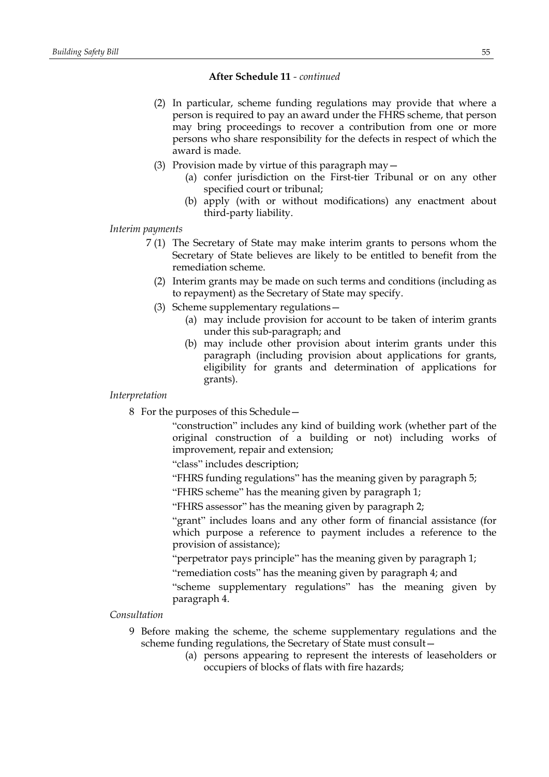- (2) In particular, scheme funding regulations may provide that where a person is required to pay an award under the FHRS scheme, that person may bring proceedings to recover a contribution from one or more persons who share responsibility for the defects in respect of which the award is made.
- (3) Provision made by virtue of this paragraph may—
	- (a) confer jurisdiction on the First-tier Tribunal or on any other specified court or tribunal;
	- (b) apply (with or without modifications) any enactment about third-party liability.

# *Interim payments*

- 7 (1) The Secretary of State may make interim grants to persons whom the Secretary of State believes are likely to be entitled to benefit from the remediation scheme.
	- (2) Interim grants may be made on such terms and conditions (including as to repayment) as the Secretary of State may specify.
	- (3) Scheme supplementary regulations—
		- (a) may include provision for account to be taken of interim grants under this sub-paragraph; and
		- (b) may include other provision about interim grants under this paragraph (including provision about applications for grants, eligibility for grants and determination of applications for grants).

#### *Interpretation*

8 For the purposes of this Schedule—

"construction" includes any kind of building work (whether part of the original construction of a building or not) including works of improvement, repair and extension;

"class" includes description;

- "FHRS funding regulations" has the meaning given by paragraph 5;
- "FHRS scheme" has the meaning given by paragraph 1;

"FHRS assessor" has the meaning given by paragraph 2;

"grant" includes loans and any other form of financial assistance (for which purpose a reference to payment includes a reference to the provision of assistance);

"perpetrator pays principle" has the meaning given by paragraph 1;

"remediation costs" has the meaning given by paragraph 4; and

"scheme supplementary regulations" has the meaning given by paragraph 4.

# *Consultation*

- 9 Before making the scheme, the scheme supplementary regulations and the scheme funding regulations, the Secretary of State must consult—
	- (a) persons appearing to represent the interests of leaseholders or occupiers of blocks of flats with fire hazards;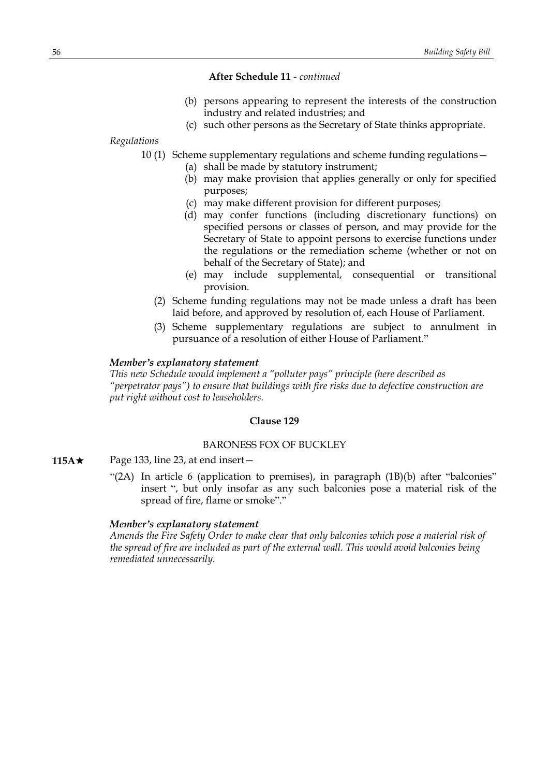- (b) persons appearing to represent the interests of the construction industry and related industries; and
- (c) such other persons as the Secretary of State thinks appropriate.

*Regulations*

- 10 (1) Scheme supplementary regulations and scheme funding regulations—
	- (a) shall be made by statutory instrument;
	- (b) may make provision that applies generally or only for specified purposes;
	- (c) may make different provision for different purposes;
	- (d) may confer functions (including discretionary functions) on specified persons or classes of person, and may provide for the Secretary of State to appoint persons to exercise functions under the regulations or the remediation scheme (whether or not on behalf of the Secretary of State); and
	- (e) may include supplemental, consequential or transitional provision.
	- (2) Scheme funding regulations may not be made unless a draft has been laid before, and approved by resolution of, each House of Parliament.
	- (3) Scheme supplementary regulations are subject to annulment in pursuance of a resolution of either House of Parliament."

### *Member's explanatory statement*

*This new Schedule would implement a "polluter pays" principle (here described as "perpetrator pays") to ensure that buildings with fire risks due to defective construction are put right without cost to leaseholders.*

# **Clause 129**

# BARONESS FOX OF BUCKLEY

- **115A**★ Page 133, line 23, at end insert
	- "(2A) In article 6 (application to premises), in paragraph (1B)(b) after "balconies" insert ", but only insofar as any such balconies pose a material risk of the spread of fire, flame or smoke"."

### *Member's explanatory statement*

*Amends the Fire Safety Order to make clear that only balconies which pose a material risk of the spread of fire are included as part of the external wall. This would avoid balconies being remediated unnecessarily.*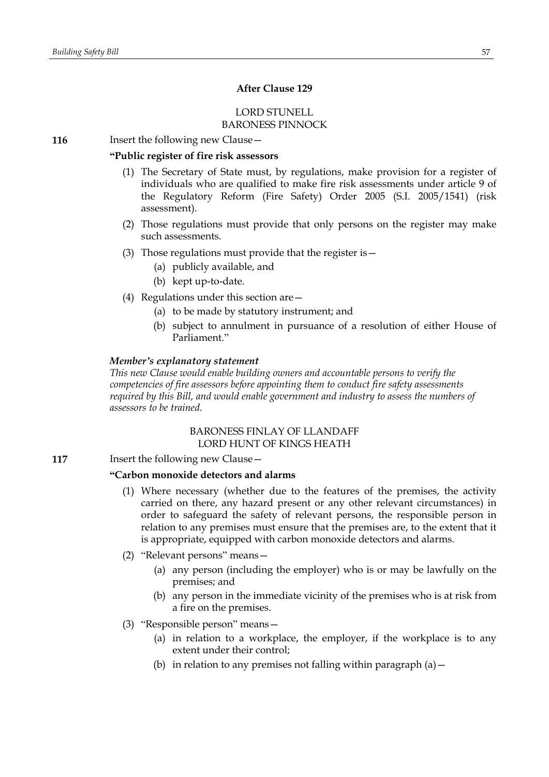# **After Clause 129**

# LORD STUNELL BARONESS PINNOCK

**116** Insert the following new Clause -

# **"Public register of fire risk assessors**

- (1) The Secretary of State must, by regulations, make provision for a register of individuals who are qualified to make fire risk assessments under article 9 of the Regulatory Reform (Fire Safety) Order 2005 (S.I. 2005/1541) (risk assessment).
- (2) Those regulations must provide that only persons on the register may make such assessments.
- (3) Those regulations must provide that the register is—
	- (a) publicly available, and
	- (b) kept up-to-date.
- (4) Regulations under this section are—
	- (a) to be made by statutory instrument; and
	- (b) subject to annulment in pursuance of a resolution of either House of Parliament."

### *Member's explanatory statement*

*This new Clause would enable building owners and accountable persons to verify the competencies of fire assessors before appointing them to conduct fire safety assessments required by this Bill, and would enable government and industry to assess the numbers of assessors to be trained.*

# BARONESS FINLAY OF LLANDAFF LORD HUNT OF KINGS HEATH

**117** Insert the following new Clause -

# **"Carbon monoxide detectors and alarms**

- (1) Where necessary (whether due to the features of the premises, the activity carried on there, any hazard present or any other relevant circumstances) in order to safeguard the safety of relevant persons, the responsible person in relation to any premises must ensure that the premises are, to the extent that it is appropriate, equipped with carbon monoxide detectors and alarms.
- (2) "Relevant persons" means—
	- (a) any person (including the employer) who is or may be lawfully on the premises; and
	- (b) any person in the immediate vicinity of the premises who is at risk from a fire on the premises.
- (3) "Responsible person" means—
	- (a) in relation to a workplace, the employer, if the workplace is to any extent under their control;
	- (b) in relation to any premises not falling within paragraph  $(a)$  -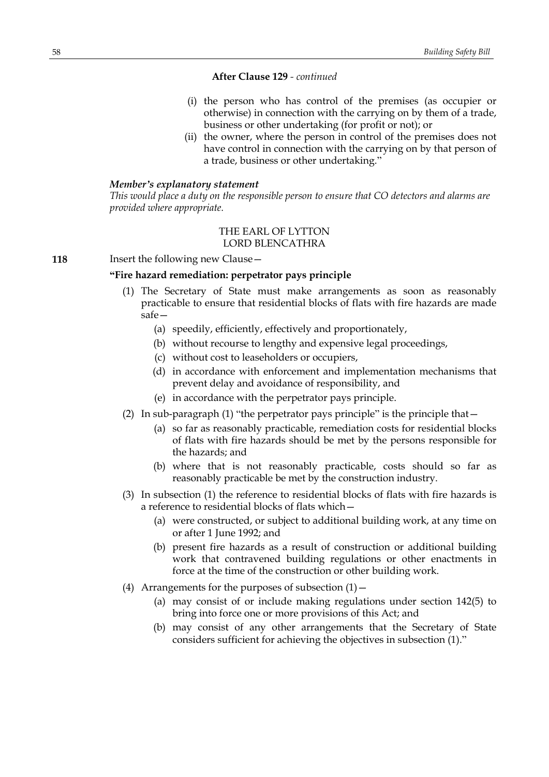- (i) the person who has control of the premises (as occupier or otherwise) in connection with the carrying on by them of a trade, business or other undertaking (for profit or not); or
- (ii) the owner, where the person in control of the premises does not have control in connection with the carrying on by that person of a trade, business or other undertaking."

### *Member's explanatory statement*

*This would place a duty on the responsible person to ensure that CO detectors and alarms are provided where appropriate.*

# THE EARL OF LYTTON LORD BLENCATHRA

**118** Insert the following new Clause -

# **"Fire hazard remediation: perpetrator pays principle**

- (1) The Secretary of State must make arrangements as soon as reasonably practicable to ensure that residential blocks of flats with fire hazards are made  $s$ afe $-$ 
	- (a) speedily, efficiently, effectively and proportionately,
	- (b) without recourse to lengthy and expensive legal proceedings,
	- (c) without cost to leaseholders or occupiers,
	- (d) in accordance with enforcement and implementation mechanisms that prevent delay and avoidance of responsibility, and
	- (e) in accordance with the perpetrator pays principle.
- (2) In sub-paragraph (1) "the perpetrator pays principle" is the principle that—
	- (a) so far as reasonably practicable, remediation costs for residential blocks of flats with fire hazards should be met by the persons responsible for the hazards; and
	- (b) where that is not reasonably practicable, costs should so far as reasonably practicable be met by the construction industry.
- (3) In subsection (1) the reference to residential blocks of flats with fire hazards is a reference to residential blocks of flats which—
	- (a) were constructed, or subject to additional building work, at any time on or after 1 June 1992; and
	- (b) present fire hazards as a result of construction or additional building work that contravened building regulations or other enactments in force at the time of the construction or other building work.
- (4) Arrangements for the purposes of subsection  $(1)$  -
	- (a) may consist of or include making regulations under section 142(5) to bring into force one or more provisions of this Act; and
	- (b) may consist of any other arrangements that the Secretary of State considers sufficient for achieving the objectives in subsection (1)."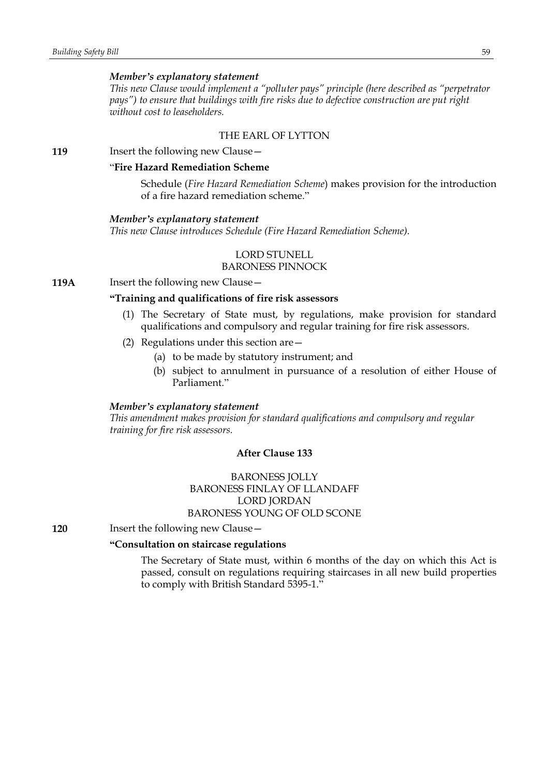### *Member's explanatory statement*

*This new Clause would implement a "polluter pays" principle (here described as "perpetrator pays") to ensure that buildings with fire risks due to defective construction are put right without cost to leaseholders.*

# THE EARL OF LYTTON

**119** Insert the following new Clause -

# "**Fire Hazard Remediation Scheme**

Schedule (*Fire Hazard Remediation Scheme*) makes provision for the introduction of a fire hazard remediation scheme."

#### *Member's explanatory statement*

*This new Clause introduces Schedule (Fire Hazard Remediation Scheme).*

# LORD STUNELL

# BARONESS PINNOCK

**119A** Insert the following new Clause -

# **"Training and qualifications of fire risk assessors**

- (1) The Secretary of State must, by regulations, make provision for standard qualifications and compulsory and regular training for fire risk assessors.
- (2) Regulations under this section are—
	- (a) to be made by statutory instrument; and
	- (b) subject to annulment in pursuance of a resolution of either House of Parliament."

#### *Member's explanatory statement*

*This amendment makes provision for standard qualifications and compulsory and regular training for fire risk assessors.*

### **After Clause 133**

# BARONESS JOLLY BARONESS FINLAY OF LLANDAFF LORD JORDAN BARONESS YOUNG OF OLD SCONE

**120** Insert the following new Clause -

# **"Consultation on staircase regulations**

The Secretary of State must, within 6 months of the day on which this Act is passed, consult on regulations requiring staircases in all new build properties to comply with British Standard 5395-1."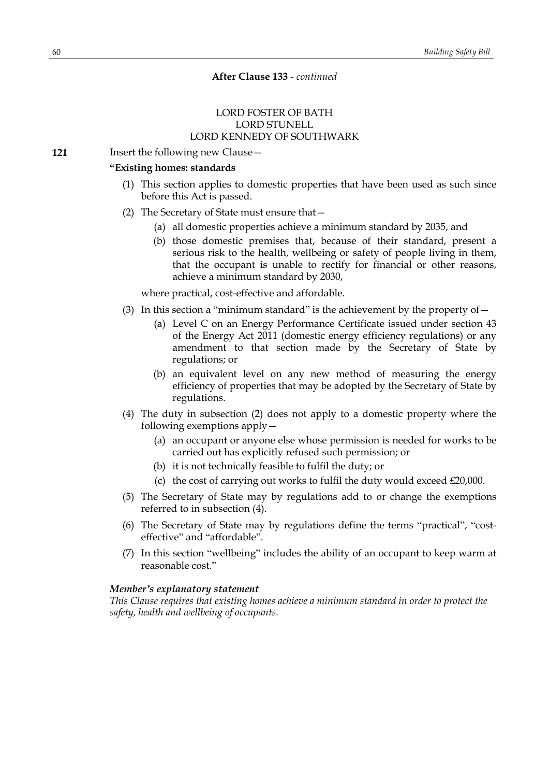# LORD FOSTER OF BATH LORD STUNELL LORD KENNEDY OF SOUTHWARK

**121** Insert the following new Clause –

### **"Existing homes: standards**

- (1) This section applies to domestic properties that have been used as such since before this Act is passed.
- (2) The Secretary of State must ensure that—
	- (a) all domestic properties achieve a minimum standard by 2035, and
	- (b) those domestic premises that, because of their standard, present a serious risk to the health, wellbeing or safety of people living in them, that the occupant is unable to rectify for financial or other reasons, achieve a minimum standard by 2030,

where practical, cost-effective and affordable.

- (3) In this section a "minimum standard" is the achievement by the property of  $-$ 
	- (a) Level C on an Energy Performance Certificate issued under section 43 of the Energy Act 2011 (domestic energy efficiency regulations) or any amendment to that section made by the Secretary of State by regulations; or
	- (b) an equivalent level on any new method of measuring the energy efficiency of properties that may be adopted by the Secretary of State by regulations.
- (4) The duty in subsection (2) does not apply to a domestic property where the following exemptions apply—
	- (a) an occupant or anyone else whose permission is needed for works to be carried out has explicitly refused such permission; or
	- (b) it is not technically feasible to fulfil the duty; or
	- (c) the cost of carrying out works to fulfil the duty would exceed  $£20,000$ .
- (5) The Secretary of State may by regulations add to or change the exemptions referred to in subsection (4).
- (6) The Secretary of State may by regulations define the terms "practical", "costeffective" and "affordable".
- (7) In this section "wellbeing" includes the ability of an occupant to keep warm at reasonable cost."

### *Member's explanatory statement*

*This Clause requires that existing homes achieve a minimum standard in order to protect the safety, health and wellbeing of occupants.*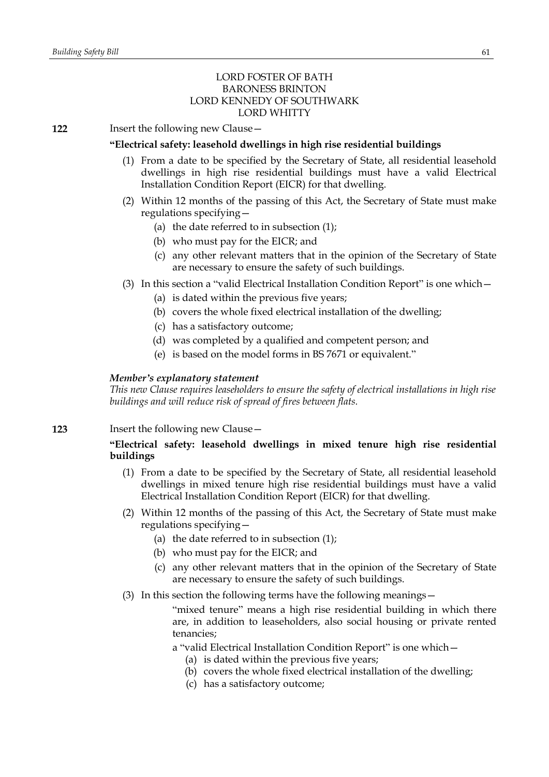# LORD FOSTER OF BATH BARONESS BRINTON LORD KENNEDY OF SOUTHWARK LORD WHITTY

**122** Insert the following new Clause—

# **"Electrical safety: leasehold dwellings in high rise residential buildings**

- (1) From a date to be specified by the Secretary of State, all residential leasehold dwellings in high rise residential buildings must have a valid Electrical Installation Condition Report (EICR) for that dwelling.
- (2) Within 12 months of the passing of this Act, the Secretary of State must make regulations specifying—
	- (a) the date referred to in subsection (1);
	- (b) who must pay for the EICR; and
	- (c) any other relevant matters that in the opinion of the Secretary of State are necessary to ensure the safety of such buildings.
- (3) In this section a "valid Electrical Installation Condition Report" is one which—
	- (a) is dated within the previous five years;
	- (b) covers the whole fixed electrical installation of the dwelling;
	- (c) has a satisfactory outcome;
	- (d) was completed by a qualified and competent person; and
	- (e) is based on the model forms in BS 7671 or equivalent."

### *Member's explanatory statement*

*This new Clause requires leaseholders to ensure the safety of electrical installations in high rise buildings and will reduce risk of spread of fires between flats.*

# **123** Insert the following new Clause—

# **"Electrical safety: leasehold dwellings in mixed tenure high rise residential buildings**

- (1) From a date to be specified by the Secretary of State, all residential leasehold dwellings in mixed tenure high rise residential buildings must have a valid Electrical Installation Condition Report (EICR) for that dwelling.
- (2) Within 12 months of the passing of this Act, the Secretary of State must make regulations specifying—
	- (a) the date referred to in subsection (1);
	- (b) who must pay for the EICR; and
	- (c) any other relevant matters that in the opinion of the Secretary of State are necessary to ensure the safety of such buildings.
- (3) In this section the following terms have the following meanings—

"mixed tenure" means a high rise residential building in which there are, in addition to leaseholders, also social housing or private rented tenancies;

a "valid Electrical Installation Condition Report" is one which—

- (a) is dated within the previous five years;
- (b) covers the whole fixed electrical installation of the dwelling;
- (c) has a satisfactory outcome;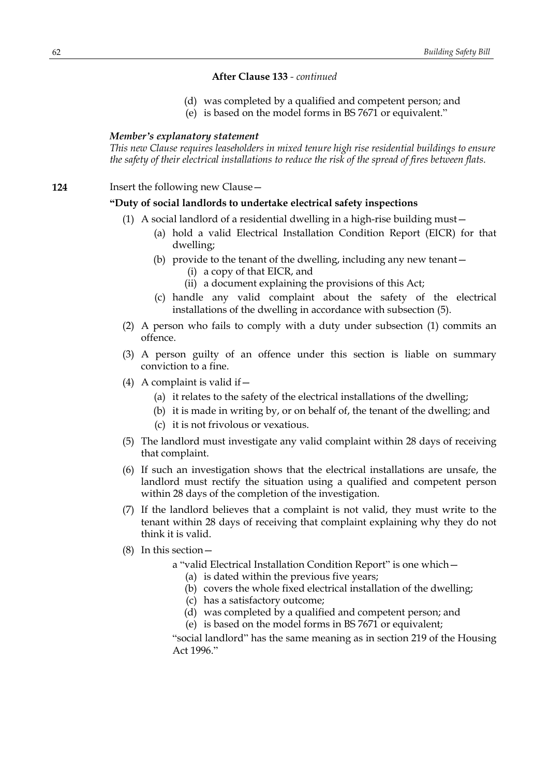- (d) was completed by a qualified and competent person; and
- (e) is based on the model forms in BS 7671 or equivalent."

### *Member's explanatory statement*

*This new Clause requires leaseholders in mixed tenure high rise residential buildings to ensure the safety of their electrical installations to reduce the risk of the spread of fires between flats.*

**124** Insert the following new Clause -

### **"Duty of social landlords to undertake electrical safety inspections**

- (1) A social landlord of a residential dwelling in a high-rise building must—
	- (a) hold a valid Electrical Installation Condition Report (EICR) for that dwelling;
	- (b) provide to the tenant of the dwelling, including any new tenant—
		- (i) a copy of that EICR, and
		- (ii) a document explaining the provisions of this Act;
	- (c) handle any valid complaint about the safety of the electrical installations of the dwelling in accordance with subsection (5).
- (2) A person who fails to comply with a duty under subsection (1) commits an offence.
- (3) A person guilty of an offence under this section is liable on summary conviction to a fine.
- (4) A complaint is valid if  $-$ 
	- (a) it relates to the safety of the electrical installations of the dwelling;
	- (b) it is made in writing by, or on behalf of, the tenant of the dwelling; and
	- (c) it is not frivolous or vexatious.
- (5) The landlord must investigate any valid complaint within 28 days of receiving that complaint.
- (6) If such an investigation shows that the electrical installations are unsafe, the landlord must rectify the situation using a qualified and competent person within 28 days of the completion of the investigation.
- (7) If the landlord believes that a complaint is not valid, they must write to the tenant within 28 days of receiving that complaint explaining why they do not think it is valid.
- (8) In this section
	- a "valid Electrical Installation Condition Report" is one which—
		- (a) is dated within the previous five years;
		- (b) covers the whole fixed electrical installation of the dwelling;
		- (c) has a satisfactory outcome;
		- (d) was completed by a qualified and competent person; and
		- (e) is based on the model forms in BS 7671 or equivalent;

"social landlord" has the same meaning as in section 219 of the Housing Act 1996."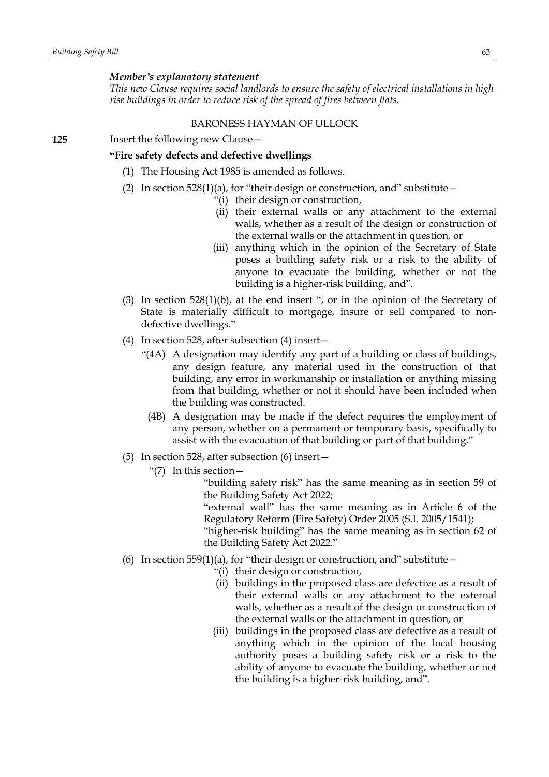### *Member's explanatory statement*

*This new Clause requires social landlords to ensure the safety of electrical installations in high rise buildings in order to reduce risk of the spread of fires between flats.*

### BARONESS HAYMAN OF ULLOCK

**125** Insert the following new Clause—

# **"Fire safety defects and defective dwellings**

- (1) The Housing Act 1985 is amended as follows.
- (2) In section  $528(1)(a)$ , for "their design or construction, and" substitute
	- "(i) their design or construction,
	- (ii) their external walls or any attachment to the external walls, whether as a result of the design or construction of the external walls or the attachment in question, or
	- (iii) anything which in the opinion of the Secretary of State poses a building safety risk or a risk to the ability of anyone to evacuate the building, whether or not the building is a higher-risk building, and".
- (3) In section  $528(1)(b)$ , at the end insert ", or in the opinion of the Secretary of State is materially difficult to mortgage, insure or sell compared to nondefective dwellings."
- (4) In section 528, after subsection (4) insert—
	- "(4A) A designation may identify any part of a building or class of buildings, any design feature, any material used in the construction of that building, any error in workmanship or installation or anything missing from that building, whether or not it should have been included when the building was constructed.
		- (4B) A designation may be made if the defect requires the employment of any person, whether on a permanent or temporary basis, specifically to assist with the evacuation of that building or part of that building."
- (5) In section 528, after subsection (6) insert—
	- "(7) In this section—

"building safety risk" has the same meaning as in section 59 of the Building Safety Act 2022;

"external wall" has the same meaning as in Article 6 of the Regulatory Reform (Fire Safety) Order 2005 (S.I. 2005/1541);

"higher-risk building" has the same meaning as in section 62 of the Building Safety Act 2022."

- (6) In section 559(1)(a), for "their design or construction, and" substitute  $-$ 
	- "(i) their design or construction,
	- (ii) buildings in the proposed class are defective as a result of their external walls or any attachment to the external walls, whether as a result of the design or construction of the external walls or the attachment in question, or
	- (iii) buildings in the proposed class are defective as a result of anything which in the opinion of the local housing authority poses a building safety risk or a risk to the ability of anyone to evacuate the building, whether or not the building is a higher-risk building, and".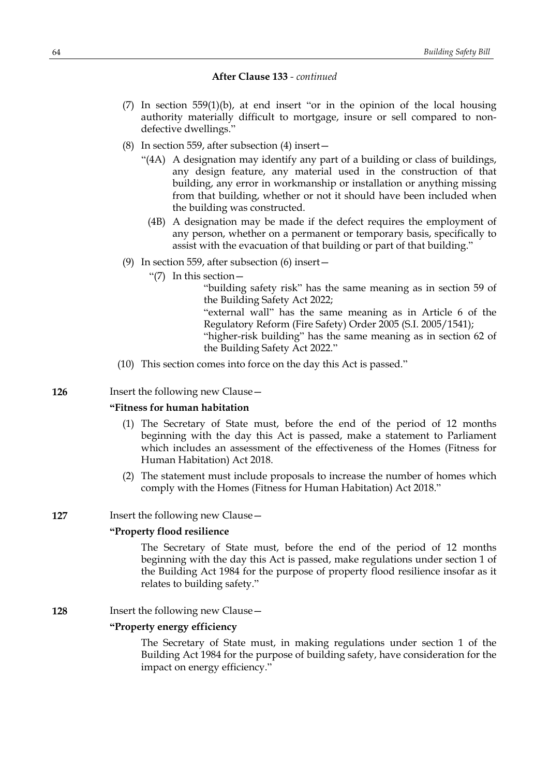- (7) In section 559(1)(b), at end insert "or in the opinion of the local housing authority materially difficult to mortgage, insure or sell compared to nondefective dwellings."
- (8) In section 559, after subsection (4) insert—
	- "(4A) A designation may identify any part of a building or class of buildings, any design feature, any material used in the construction of that building, any error in workmanship or installation or anything missing from that building, whether or not it should have been included when the building was constructed.
		- (4B) A designation may be made if the defect requires the employment of any person, whether on a permanent or temporary basis, specifically to assist with the evacuation of that building or part of that building."
- (9) In section 559, after subsection (6) insert—
	- "(7) In this section—

"building safety risk" has the same meaning as in section 59 of the Building Safety Act 2022; "external wall" has the same meaning as in Article 6 of the Regulatory Reform (Fire Safety) Order 2005 (S.I. 2005/1541); "higher-risk building" has the same meaning as in section 62 of the Building Safety Act 2022."

(10) This section comes into force on the day this Act is passed."

# **126** Insert the following new Clause –

# **"Fitness for human habitation**

- (1) The Secretary of State must, before the end of the period of 12 months beginning with the day this Act is passed, make a statement to Parliament which includes an assessment of the effectiveness of the Homes (Fitness for Human Habitation) Act 2018.
- (2) The statement must include proposals to increase the number of homes which comply with the Homes (Fitness for Human Habitation) Act 2018."

### **127** Insert the following new Clause –

# **"Property flood resilience**

The Secretary of State must, before the end of the period of 12 months beginning with the day this Act is passed, make regulations under section 1 of the Building Act 1984 for the purpose of property flood resilience insofar as it relates to building safety."

**128** Insert the following new Clause –

### **"Property energy efficiency**

The Secretary of State must, in making regulations under section 1 of the Building Act 1984 for the purpose of building safety, have consideration for the impact on energy efficiency."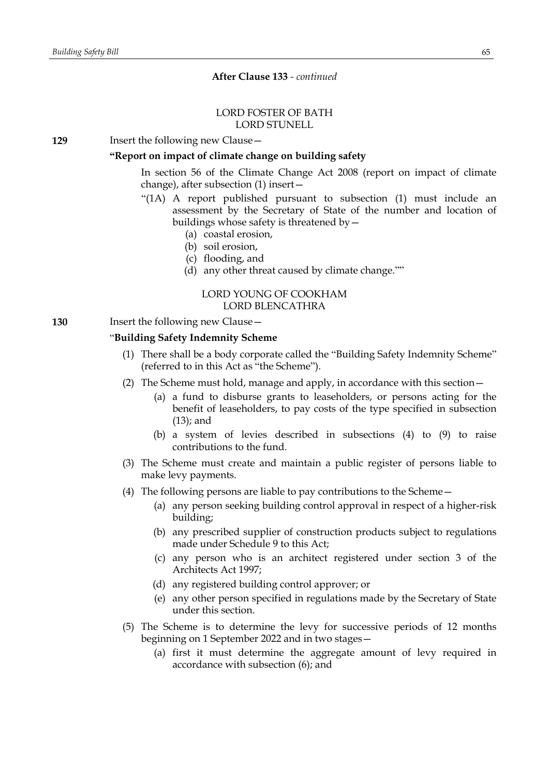### LORD FOSTER OF BATH LORD STUNELL

**129** Insert the following new Clause—

### **"Report on impact of climate change on building safety**

In section 56 of the Climate Change Act 2008 (report on impact of climate change), after subsection (1) insert—

- "(1A) A report published pursuant to subsection (1) must include an assessment by the Secretary of State of the number and location of buildings whose safety is threatened by—
	- (a) coastal erosion,
	- (b) soil erosion,
	- (c) flooding, and
	- (d) any other threat caused by climate change.""

# LORD YOUNG OF COOKHAM LORD BLENCATHRA

# **130** Insert the following new Clause—

# "**Building Safety Indemnity Scheme**

- (1) There shall be a body corporate called the "Building Safety Indemnity Scheme" (referred to in this Act as "the Scheme").
- (2) The Scheme must hold, manage and apply, in accordance with this section—
	- (a) a fund to disburse grants to leaseholders, or persons acting for the benefit of leaseholders, to pay costs of the type specified in subsection (13); and
	- (b) a system of levies described in subsections (4) to (9) to raise contributions to the fund.
- (3) The Scheme must create and maintain a public register of persons liable to make levy payments.
- (4) The following persons are liable to pay contributions to the Scheme—
	- (a) any person seeking building control approval in respect of a higher-risk building;
	- (b) any prescribed supplier of construction products subject to regulations made under Schedule 9 to this Act;
	- (c) any person who is an architect registered under section 3 of the Architects Act 1997;
	- (d) any registered building control approver; or
	- (e) any other person specified in regulations made by the Secretary of State under this section.
- (5) The Scheme is to determine the levy for successive periods of 12 months beginning on 1 September 2022 and in two stages—
	- (a) first it must determine the aggregate amount of levy required in accordance with subsection (6); and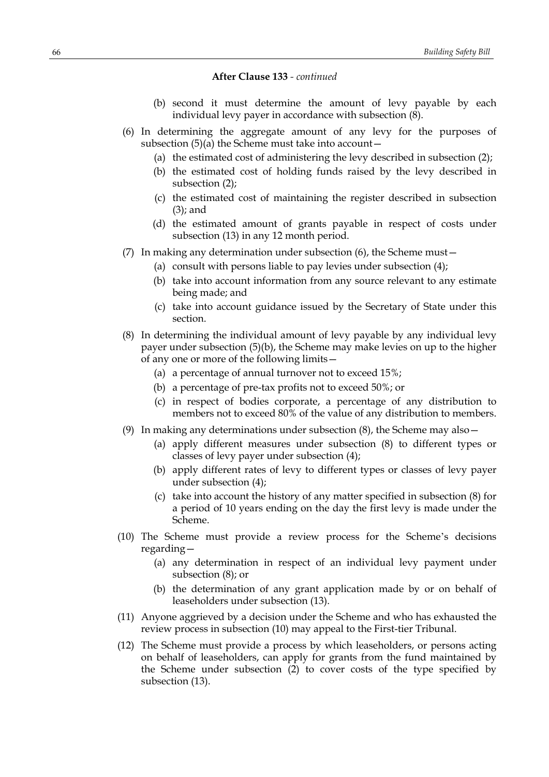- (b) second it must determine the amount of levy payable by each individual levy payer in accordance with subsection (8).
- (6) In determining the aggregate amount of any levy for the purposes of subsection  $(5)(a)$  the Scheme must take into account  $-$ 
	- (a) the estimated cost of administering the levy described in subsection (2);
	- (b) the estimated cost of holding funds raised by the levy described in subsection (2);
	- (c) the estimated cost of maintaining the register described in subsection (3); and
	- (d) the estimated amount of grants payable in respect of costs under subsection (13) in any 12 month period.
- (7) In making any determination under subsection (6), the Scheme must—
	- (a) consult with persons liable to pay levies under subsection (4);
	- (b) take into account information from any source relevant to any estimate being made; and
	- (c) take into account guidance issued by the Secretary of State under this section.
- (8) In determining the individual amount of levy payable by any individual levy payer under subsection (5)(b), the Scheme may make levies on up to the higher of any one or more of the following limits—
	- (a) a percentage of annual turnover not to exceed 15%;
	- (b) a percentage of pre-tax profits not to exceed 50%; or
	- (c) in respect of bodies corporate, a percentage of any distribution to members not to exceed 80% of the value of any distribution to members.
- (9) In making any determinations under subsection (8), the Scheme may also—
	- (a) apply different measures under subsection (8) to different types or classes of levy payer under subsection (4);
	- (b) apply different rates of levy to different types or classes of levy payer under subsection (4);
	- (c) take into account the history of any matter specified in subsection (8) for a period of 10 years ending on the day the first levy is made under the Scheme.
- (10) The Scheme must provide a review process for the Scheme's decisions regarding—
	- (a) any determination in respect of an individual levy payment under subsection (8); or
	- (b) the determination of any grant application made by or on behalf of leaseholders under subsection (13).
- (11) Anyone aggrieved by a decision under the Scheme and who has exhausted the review process in subsection (10) may appeal to the First-tier Tribunal.
- (12) The Scheme must provide a process by which leaseholders, or persons acting on behalf of leaseholders, can apply for grants from the fund maintained by the Scheme under subsection (2) to cover costs of the type specified by subsection (13).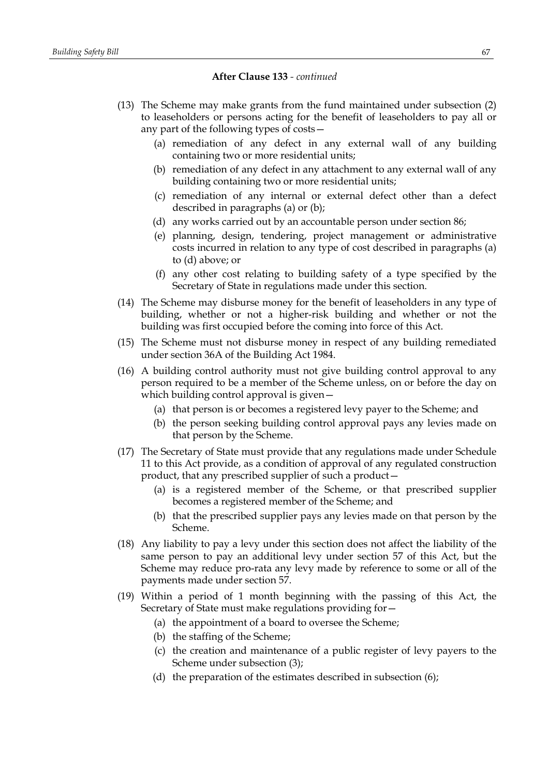- (13) The Scheme may make grants from the fund maintained under subsection (2) to leaseholders or persons acting for the benefit of leaseholders to pay all or any part of the following types of costs—
	- (a) remediation of any defect in any external wall of any building containing two or more residential units;
	- (b) remediation of any defect in any attachment to any external wall of any building containing two or more residential units;
	- (c) remediation of any internal or external defect other than a defect described in paragraphs (a) or (b);
	- (d) any works carried out by an accountable person under section 86;
	- (e) planning, design, tendering, project management or administrative costs incurred in relation to any type of cost described in paragraphs (a) to (d) above; or
	- (f) any other cost relating to building safety of a type specified by the Secretary of State in regulations made under this section.
- (14) The Scheme may disburse money for the benefit of leaseholders in any type of building, whether or not a higher-risk building and whether or not the building was first occupied before the coming into force of this Act.
- (15) The Scheme must not disburse money in respect of any building remediated under section 36A of the Building Act 1984.
- (16) A building control authority must not give building control approval to any person required to be a member of the Scheme unless, on or before the day on which building control approval is given—
	- (a) that person is or becomes a registered levy payer to the Scheme; and
	- (b) the person seeking building control approval pays any levies made on that person by the Scheme.
- (17) The Secretary of State must provide that any regulations made under Schedule 11 to this Act provide, as a condition of approval of any regulated construction product, that any prescribed supplier of such a product—
	- (a) is a registered member of the Scheme, or that prescribed supplier becomes a registered member of the Scheme; and
	- (b) that the prescribed supplier pays any levies made on that person by the Scheme.
- (18) Any liability to pay a levy under this section does not affect the liability of the same person to pay an additional levy under section 57 of this Act, but the Scheme may reduce pro-rata any levy made by reference to some or all of the payments made under section 57.
- (19) Within a period of 1 month beginning with the passing of this Act, the Secretary of State must make regulations providing for—
	- (a) the appointment of a board to oversee the Scheme;
	- (b) the staffing of the Scheme;
	- (c) the creation and maintenance of a public register of levy payers to the Scheme under subsection (3);
	- (d) the preparation of the estimates described in subsection (6);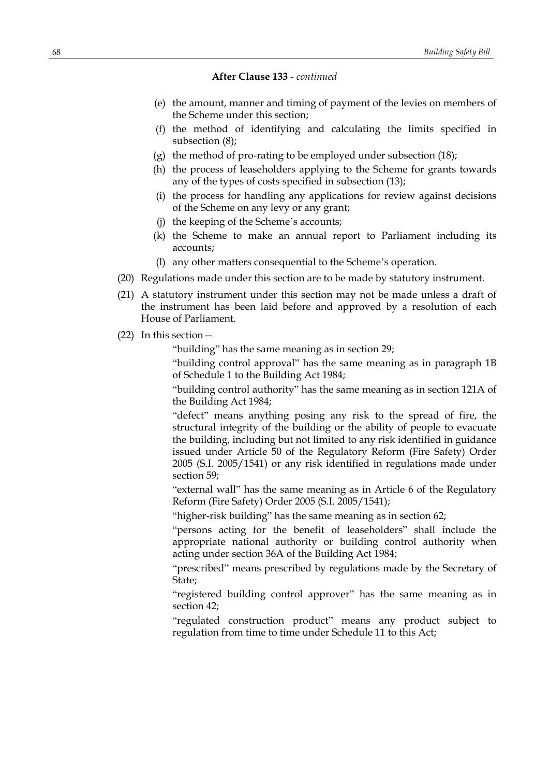- (e) the amount, manner and timing of payment of the levies on members of the Scheme under this section;
- (f) the method of identifying and calculating the limits specified in subsection (8);
- (g) the method of pro-rating to be employed under subsection (18);
- (h) the process of leaseholders applying to the Scheme for grants towards any of the types of costs specified in subsection (13);
- (i) the process for handling any applications for review against decisions of the Scheme on any levy or any grant;
- (j) the keeping of the Scheme's accounts;
- (k) the Scheme to make an annual report to Parliament including its accounts;
- (l) any other matters consequential to the Scheme's operation.
- (20) Regulations made under this section are to be made by statutory instrument.
- (21) A statutory instrument under this section may not be made unless a draft of the instrument has been laid before and approved by a resolution of each House of Parliament.
- (22) In this section—

"building" has the same meaning as in section 29;

"building control approval" has the same meaning as in paragraph 1B of Schedule 1 to the Building Act 1984;

"building control authority" has the same meaning as in section 121A of the Building Act 1984;

"defect" means anything posing any risk to the spread of fire, the structural integrity of the building or the ability of people to evacuate the building, including but not limited to any risk identified in guidance issued under Article 50 of the Regulatory Reform (Fire Safety) Order 2005 (S.I. 2005/1541) or any risk identified in regulations made under section 59;

"external wall" has the same meaning as in Article 6 of the Regulatory Reform (Fire Safety) Order 2005 (S.I. 2005/1541);

"higher-risk building" has the same meaning as in section 62;

"persons acting for the benefit of leaseholders" shall include the appropriate national authority or building control authority when acting under section 36A of the Building Act 1984;

"prescribed" means prescribed by regulations made by the Secretary of State;

"registered building control approver" has the same meaning as in section 42;

"regulated construction product" means any product subject to regulation from time to time under Schedule 11 to this Act;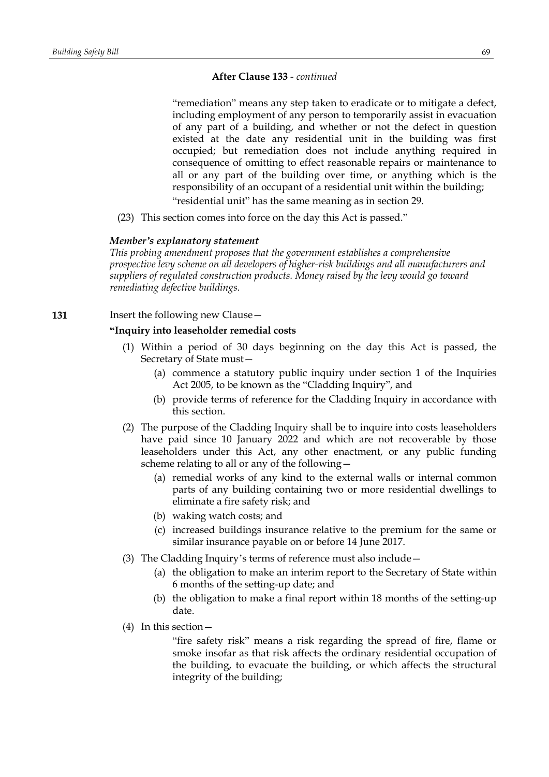"remediation" means any step taken to eradicate or to mitigate a defect, including employment of any person to temporarily assist in evacuation of any part of a building, and whether or not the defect in question existed at the date any residential unit in the building was first occupied; but remediation does not include anything required in consequence of omitting to effect reasonable repairs or maintenance to all or any part of the building over time, or anything which is the responsibility of an occupant of a residential unit within the building; "residential unit" has the same meaning as in section 29.

(23) This section comes into force on the day this Act is passed."

# *Member's explanatory statement*

*This probing amendment proposes that the government establishes a comprehensive prospective levy scheme on all developers of higher-risk buildings and all manufacturers and suppliers of regulated construction products. Money raised by the levy would go toward remediating defective buildings.*

**131** Insert the following new Clause—

# **"Inquiry into leaseholder remedial costs**

- (1) Within a period of 30 days beginning on the day this Act is passed, the Secretary of State must—
	- (a) commence a statutory public inquiry under section 1 of the Inquiries Act 2005, to be known as the "Cladding Inquiry", and
	- (b) provide terms of reference for the Cladding Inquiry in accordance with this section.
- (2) The purpose of the Cladding Inquiry shall be to inquire into costs leaseholders have paid since 10 January 2022 and which are not recoverable by those leaseholders under this Act, any other enactment, or any public funding scheme relating to all or any of the following—
	- (a) remedial works of any kind to the external walls or internal common parts of any building containing two or more residential dwellings to eliminate a fire safety risk; and
	- (b) waking watch costs; and
	- (c) increased buildings insurance relative to the premium for the same or similar insurance payable on or before 14 June 2017.
- (3) The Cladding Inquiry's terms of reference must also include—
	- (a) the obligation to make an interim report to the Secretary of State within 6 months of the setting-up date; and
	- (b) the obligation to make a final report within 18 months of the setting-up date.
- (4) In this section—

"fire safety risk" means a risk regarding the spread of fire, flame or smoke insofar as that risk affects the ordinary residential occupation of the building, to evacuate the building, or which affects the structural integrity of the building;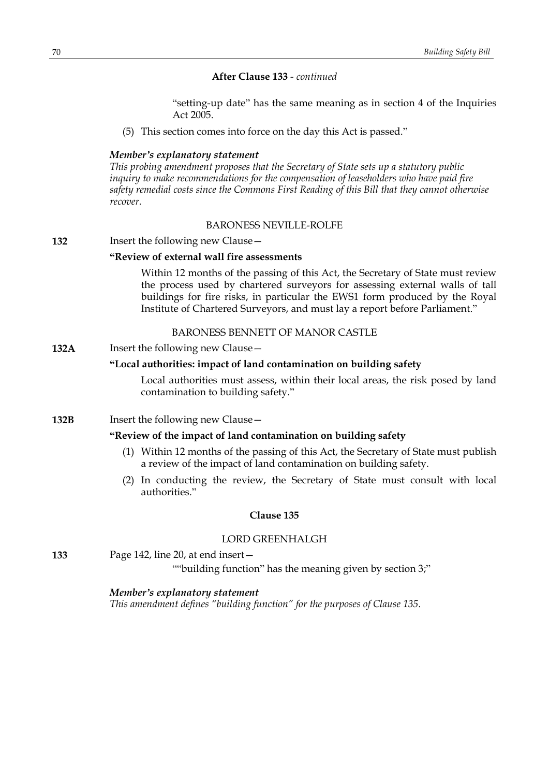"setting-up date" has the same meaning as in section 4 of the Inquiries Act 2005.

(5) This section comes into force on the day this Act is passed."

### *Member's explanatory statement*

*This probing amendment proposes that the Secretary of State sets up a statutory public inquiry to make recommendations for the compensation of leaseholders who have paid fire safety remedial costs since the Commons First Reading of this Bill that they cannot otherwise recover.*

# BARONESS NEVILLE-ROLFE

# **132** Insert the following new Clause—

### **"Review of external wall fire assessments**

Within 12 months of the passing of this Act, the Secretary of State must review the process used by chartered surveyors for assessing external walls of tall buildings for fire risks, in particular the EWS1 form produced by the Royal Institute of Chartered Surveyors, and must lay a report before Parliament."

### BARONESS BENNETT OF MANOR CASTLE

### **132A** Insert the following new Clause -

#### **"Local authorities: impact of land contamination on building safety**

Local authorities must assess, within their local areas, the risk posed by land contamination to building safety."

**132B** Insert the following new Clause -

# **"Review of the impact of land contamination on building safety**

- (1) Within 12 months of the passing of this Act, the Secretary of State must publish a review of the impact of land contamination on building safety.
- (2) In conducting the review, the Secretary of State must consult with local authorities."

#### **Clause 135**

### LORD GREENHALGH

**133** Page 142, line 20, at end insert—

""building function" has the meaning given by section 3;"

### *Member's explanatory statement*

*This amendment defines "building function" for the purposes of Clause 135.*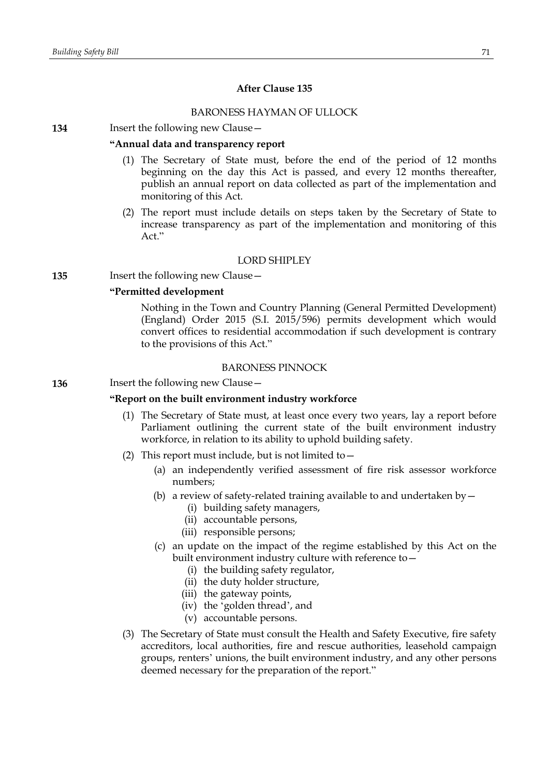# **After Clause 135**

# BARONESS HAYMAN OF ULLOCK

### **134** Insert the following new Clause—

# **"Annual data and transparency report**

- (1) The Secretary of State must, before the end of the period of 12 months beginning on the day this Act is passed, and every 12 months thereafter, publish an annual report on data collected as part of the implementation and monitoring of this Act.
- (2) The report must include details on steps taken by the Secretary of State to increase transparency as part of the implementation and monitoring of this Act."

# LORD SHIPLEY

**135** Insert the following new Clause—

# **"Permitted development**

Nothing in the Town and Country Planning (General Permitted Development) (England) Order 2015 (S.I. 2015/596) permits development which would convert offices to residential accommodation if such development is contrary to the provisions of this Act."

### BARONESS PINNOCK

**136** Insert the following new Clause—

# **"Report on the built environment industry workforce**

- (1) The Secretary of State must, at least once every two years, lay a report before Parliament outlining the current state of the built environment industry workforce, in relation to its ability to uphold building safety.
- (2) This report must include, but is not limited to  $-$ 
	- (a) an independently verified assessment of fire risk assessor workforce numbers;
	- (b) a review of safety-related training available to and undertaken by  $-$ 
		- (i) building safety managers,
		- (ii) accountable persons,
		- (iii) responsible persons;
	- (c) an update on the impact of the regime established by this Act on the built environment industry culture with reference to—
		- (i) the building safety regulator,
		- (ii) the duty holder structure,
		- (iii) the gateway points,
		- (iv) the 'golden thread', and
		- (v) accountable persons.
- (3) The Secretary of State must consult the Health and Safety Executive, fire safety accreditors, local authorities, fire and rescue authorities, leasehold campaign groups, renters' unions, the built environment industry, and any other persons deemed necessary for the preparation of the report."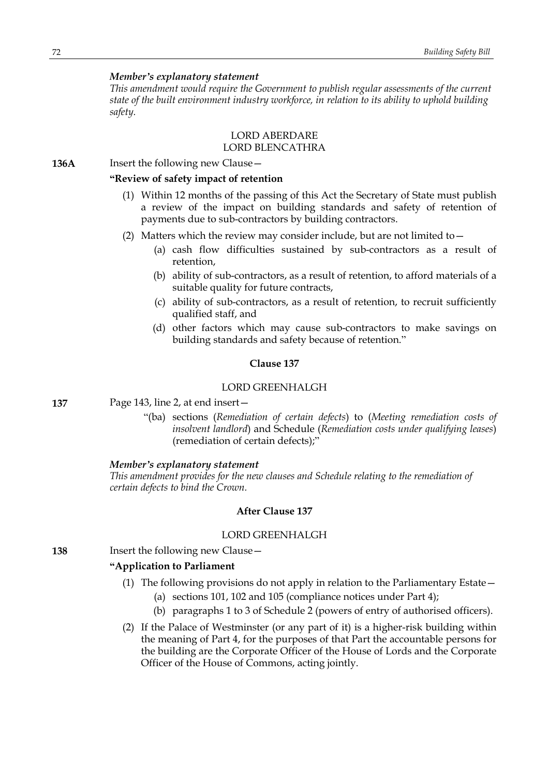# *Member's explanatory statement*

*This amendment would require the Government to publish regular assessments of the current state of the built environment industry workforce, in relation to its ability to uphold building safety.*

# LORD ABERDARE LORD BLENCATHRA

**136A** Insert the following new Clause –

# **"Review of safety impact of retention**

- (1) Within 12 months of the passing of this Act the Secretary of State must publish a review of the impact on building standards and safety of retention of payments due to sub-contractors by building contractors.
- (2) Matters which the review may consider include, but are not limited to  $-$ 
	- (a) cash flow difficulties sustained by sub-contractors as a result of retention,
	- (b) ability of sub-contractors, as a result of retention, to afford materials of a suitable quality for future contracts,
	- (c) ability of sub-contractors, as a result of retention, to recruit sufficiently qualified staff, and
	- (d) other factors which may cause sub-contractors to make savings on building standards and safety because of retention."

# **Clause 137**

### LORD GREENHALGH

**137** Page 143, line 2, at end insert—

"(ba) sections (*Remediation of certain defects*) to (*Meeting remediation costs of insolvent landlord*) and Schedule (*Remediation costs under qualifying leases*) (remediation of certain defects);"

#### *Member's explanatory statement*

*This amendment provides for the new clauses and Schedule relating to the remediation of certain defects to bind the Crown.*

# **After Clause 137**

### LORD GREENHALGH

**138** Insert the following new Clause—

### **"Application to Parliament**

- (1) The following provisions do not apply in relation to the Parliamentary Estate—
	- (a) sections 101, 102 and 105 (compliance notices under Part 4);
	- (b) paragraphs 1 to 3 of Schedule 2 (powers of entry of authorised officers).
- (2) If the Palace of Westminster (or any part of it) is a higher-risk building within the meaning of Part 4, for the purposes of that Part the accountable persons for the building are the Corporate Officer of the House of Lords and the Corporate Officer of the House of Commons, acting jointly.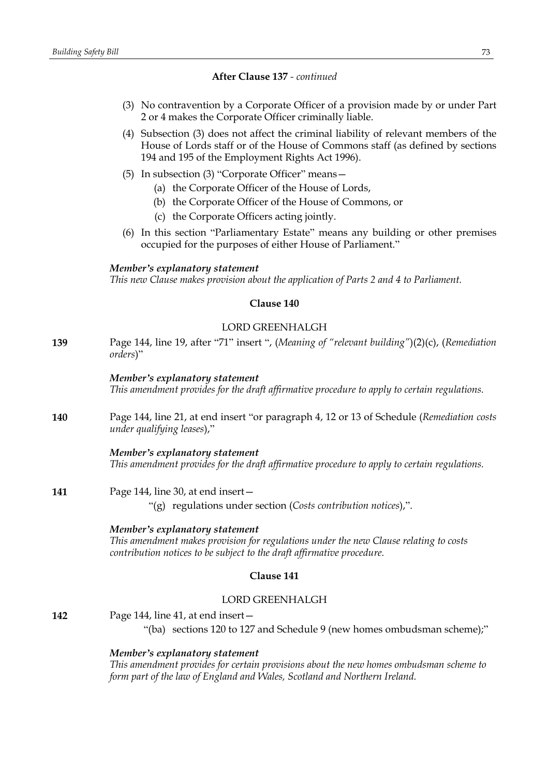### **After Clause 137** *- continued*

- (3) No contravention by a Corporate Officer of a provision made by or under Part 2 or 4 makes the Corporate Officer criminally liable.
- (4) Subsection (3) does not affect the criminal liability of relevant members of the House of Lords staff or of the House of Commons staff (as defined by sections 194 and 195 of the Employment Rights Act 1996).
- (5) In subsection (3) "Corporate Officer" means—
	- (a) the Corporate Officer of the House of Lords,
	- (b) the Corporate Officer of the House of Commons, or
	- (c) the Corporate Officers acting jointly.
- (6) In this section "Parliamentary Estate" means any building or other premises occupied for the purposes of either House of Parliament."

#### *Member's explanatory statement*

*This new Clause makes provision about the application of Parts 2 and 4 to Parliament.*

### **Clause 140**

## LORD GREENHALGH

**139** Page 144, line 19, after "71" insert ", (*Meaning of "relevant building"*)(2)(c), (*Remediation orders*)"

### *Member's explanatory statement*

*This amendment provides for the draft affirmative procedure to apply to certain regulations.*

**140** Page 144, line 21, at end insert "or paragraph 4, 12 or 13 of Schedule (*Remediation costs under qualifying leases*),"

> *Member's explanatory statement This amendment provides for the draft affirmative procedure to apply to certain regulations.*

**141** Page 144, line 30, at end insert—

"(g) regulations under section (*Costs contribution notices*),".

#### *Member's explanatory statement*

*This amendment makes provision for regulations under the new Clause relating to costs contribution notices to be subject to the draft affirmative procedure.*

### **Clause 141**

## LORD GREENHALGH

**142** Page 144, line 41, at end insert—

"(ba) sections 120 to 127 and Schedule 9 (new homes ombudsman scheme);"

#### *Member's explanatory statement*

*This amendment provides for certain provisions about the new homes ombudsman scheme to form part of the law of England and Wales, Scotland and Northern Ireland.*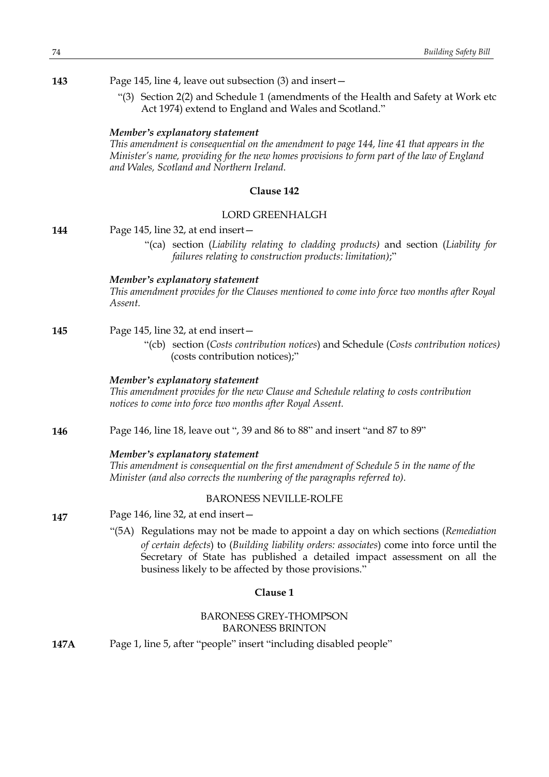**143** Page 145, line 4, leave out subsection (3) and insert—

"(3) Section 2(2) and Schedule 1 (amendments of the Health and Safety at Work etc Act 1974) extend to England and Wales and Scotland."

### *Member's explanatory statement*

*This amendment is consequential on the amendment to page 144, line 41 that appears in the Minister's name, providing for the new homes provisions to form part of the law of England and Wales, Scotland and Northern Ireland.*

## **Clause 142**

#### LORD GREENHALGH

**144** Page 145, line 32, at end insert—

"(ca) section (*Liability relating to cladding products)* and section (*Liability for failures relating to construction products: limitation)*;"

### *Member's explanatory statement*

*This amendment provides for the Clauses mentioned to come into force two months after Royal Assent.*

## **145** Page 145, line 32, at end insert—

"(cb) section (*Costs contribution notices*) and Schedule (*Costs contribution notices)* (costs contribution notices);"

#### *Member's explanatory statement*

*This amendment provides for the new Clause and Schedule relating to costs contribution notices to come into force two months after Royal Assent.*

**146** Page 146, line 18, leave out ", 39 and 86 to 88" and insert "and 87 to 89"

#### *Member's explanatory statement*

*This amendment is consequential on the first amendment of Schedule 5 in the name of the Minister (and also corrects the numbering of the paragraphs referred to).*

## BARONESS NEVILLE-ROLFE

**147** Page 146, line 32, at end insert—

> "(5A) Regulations may not be made to appoint a day on which sections (*Remediation of certain defects*) to (*Building liability orders: associates*) come into force until the Secretary of State has published a detailed impact assessment on all the business likely to be affected by those provisions."

#### **Clause 1**

## BARONESS GREY-THOMPSON BARONESS BRINTON

**147A** Page 1, line 5, after "people" insert "including disabled people"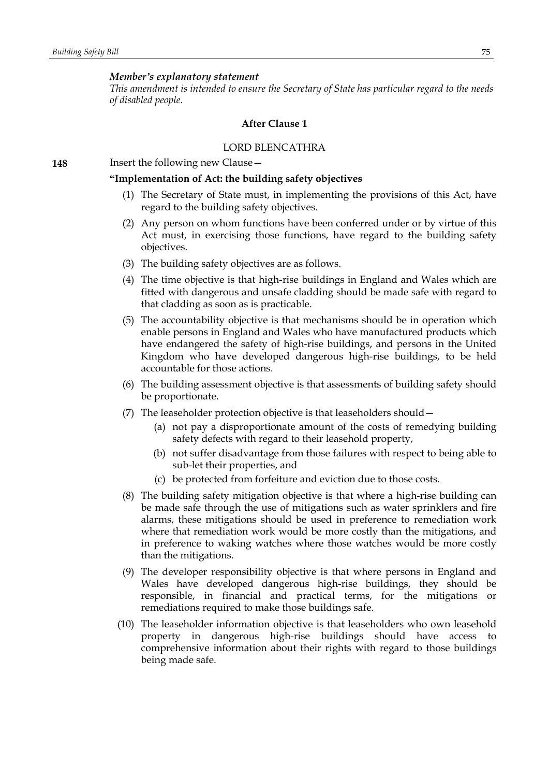#### *Member's explanatory statement*

*This amendment is intended to ensure the Secretary of State has particular regard to the needs of disabled people.*

#### **After Clause 1**

#### LORD BLENCATHRA

**148** Insert the following new Clause -

### **"Implementation of Act: the building safety objectives**

- (1) The Secretary of State must, in implementing the provisions of this Act, have regard to the building safety objectives.
- (2) Any person on whom functions have been conferred under or by virtue of this Act must, in exercising those functions, have regard to the building safety objectives.
- (3) The building safety objectives are as follows.
- (4) The time objective is that high-rise buildings in England and Wales which are fitted with dangerous and unsafe cladding should be made safe with regard to that cladding as soon as is practicable.
- (5) The accountability objective is that mechanisms should be in operation which enable persons in England and Wales who have manufactured products which have endangered the safety of high-rise buildings, and persons in the United Kingdom who have developed dangerous high-rise buildings, to be held accountable for those actions.
- (6) The building assessment objective is that assessments of building safety should be proportionate.
- (7) The leaseholder protection objective is that leaseholders should—
	- (a) not pay a disproportionate amount of the costs of remedying building safety defects with regard to their leasehold property,
	- (b) not suffer disadvantage from those failures with respect to being able to sub-let their properties, and
	- (c) be protected from forfeiture and eviction due to those costs.
- (8) The building safety mitigation objective is that where a high-rise building can be made safe through the use of mitigations such as water sprinklers and fire alarms, these mitigations should be used in preference to remediation work where that remediation work would be more costly than the mitigations, and in preference to waking watches where those watches would be more costly than the mitigations.
- (9) The developer responsibility objective is that where persons in England and Wales have developed dangerous high-rise buildings, they should be responsible, in financial and practical terms, for the mitigations or remediations required to make those buildings safe.
- (10) The leaseholder information objective is that leaseholders who own leasehold property in dangerous high-rise buildings should have access to comprehensive information about their rights with regard to those buildings being made safe.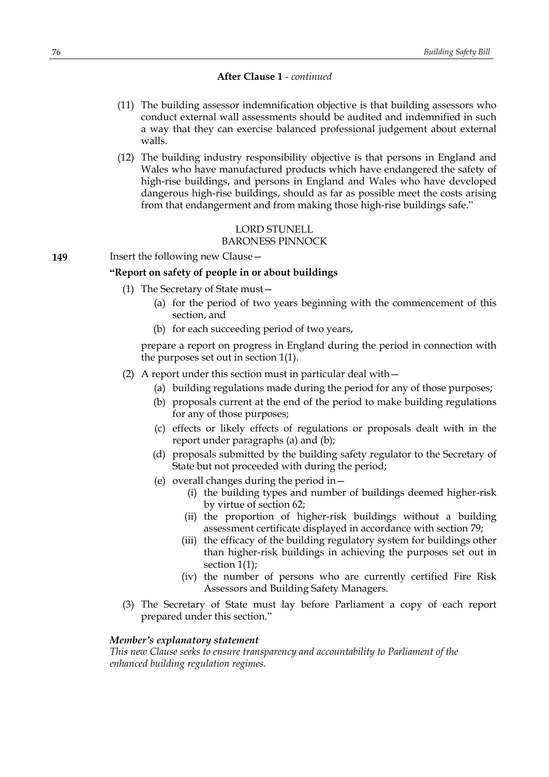### **After Clause 1** *- continued*

- (11) The building assessor indemnification objective is that building assessors who conduct external wall assessments should be audited and indemnified in such a way that they can exercise balanced professional judgement about external walls.
- (12) The building industry responsibility objective is that persons in England and Wales who have manufactured products which have endangered the safety of high-rise buildings, and persons in England and Wales who have developed dangerous high-rise buildings, should as far as possible meet the costs arising from that endangerment and from making those high-rise buildings safe."

# LORD STUNELL

### BARONESS PINNOCK

# **149** Insert the following new Clause -

# **"Report on safety of people in or about buildings**

- (1) The Secretary of State must—
	- (a) for the period of two years beginning with the commencement of this section, and
	- (b) for each succeeding period of two years,

prepare a report on progress in England during the period in connection with the purposes set out in section 1(1).

- (2) A report under this section must in particular deal with—
	- (a) building regulations made during the period for any of those purposes;
	- (b) proposals current at the end of the period to make building regulations for any of those purposes;
	- (c) effects or likely effects of regulations or proposals dealt with in the report under paragraphs (a) and (b);
	- (d) proposals submitted by the building safety regulator to the Secretary of State but not proceeded with during the period;
	- (e) overall changes during the period in—
		- (i) the building types and number of buildings deemed higher-risk by virtue of section 62;
		- (ii) the proportion of higher-risk buildings without a building assessment certificate displayed in accordance with section 79;
		- (iii) the efficacy of the building regulatory system for buildings other than higher-risk buildings in achieving the purposes set out in section 1(1);
		- (iv) the number of persons who are currently certified Fire Risk Assessors and Building Safety Managers.
- (3) The Secretary of State must lay before Parliament a copy of each report prepared under this section."

### *Member's explanatory statement*

*This new Clause seeks to ensure transparency and accountability to Parliament of the enhanced building regulation regimes.*